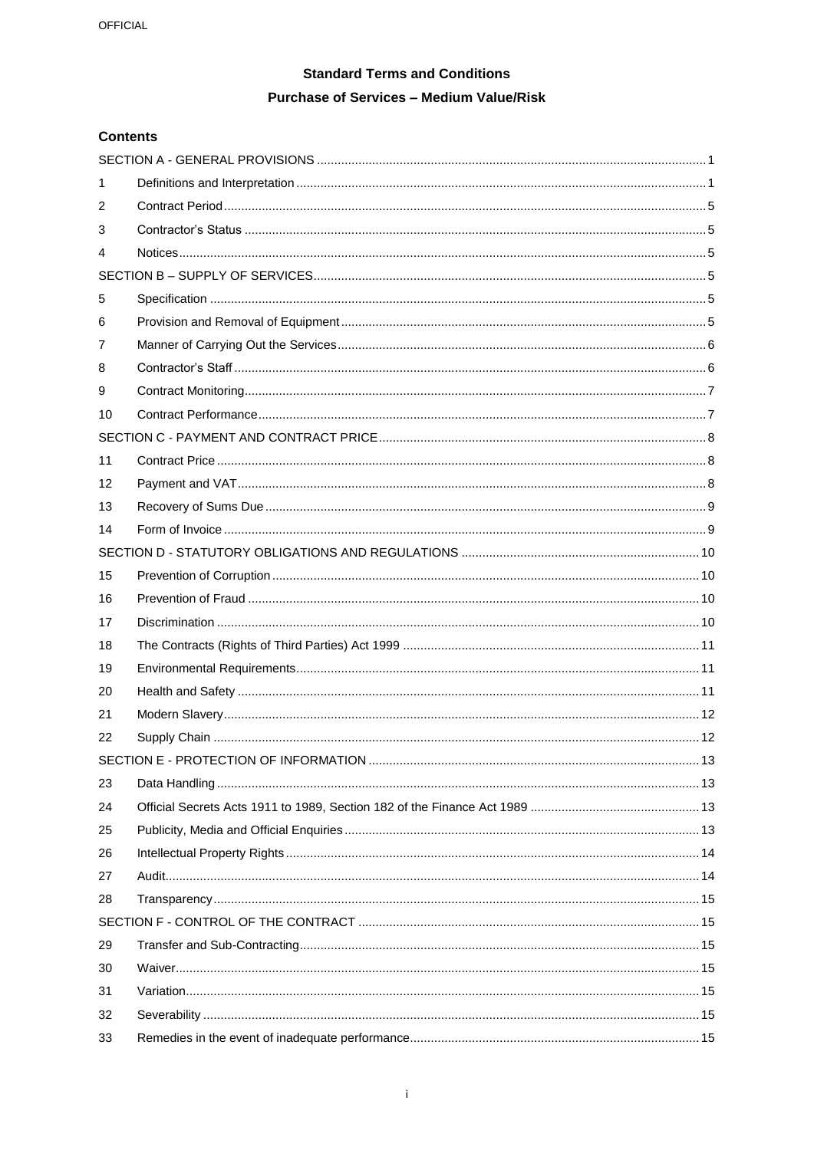# **Standard Terms and Conditions Purchase of Services - Medium Value/Risk**

## **Contents**

| 1  |                                        |    |  |  |
|----|----------------------------------------|----|--|--|
| 2  |                                        |    |  |  |
| 3  |                                        |    |  |  |
| 4  |                                        |    |  |  |
|    |                                        |    |  |  |
| 5  |                                        |    |  |  |
| 6  |                                        |    |  |  |
| 7  |                                        |    |  |  |
| 8  |                                        |    |  |  |
| 9  |                                        |    |  |  |
| 10 |                                        |    |  |  |
|    |                                        |    |  |  |
| 11 |                                        |    |  |  |
| 12 |                                        |    |  |  |
| 13 |                                        |    |  |  |
| 14 |                                        |    |  |  |
|    |                                        |    |  |  |
| 15 |                                        |    |  |  |
| 16 |                                        |    |  |  |
| 17 |                                        |    |  |  |
| 18 |                                        |    |  |  |
| 19 |                                        |    |  |  |
| 20 |                                        |    |  |  |
| 21 |                                        |    |  |  |
| 22 |                                        |    |  |  |
|    | SECTION E - PROTECTION OF INFORMATION. | 13 |  |  |
| 23 |                                        |    |  |  |
| 24 |                                        |    |  |  |
| 25 |                                        |    |  |  |
| 26 |                                        |    |  |  |
| 27 |                                        |    |  |  |
| 28 |                                        |    |  |  |
|    |                                        |    |  |  |
| 29 |                                        |    |  |  |
| 30 |                                        |    |  |  |
| 31 |                                        |    |  |  |
| 32 |                                        |    |  |  |
| 33 |                                        |    |  |  |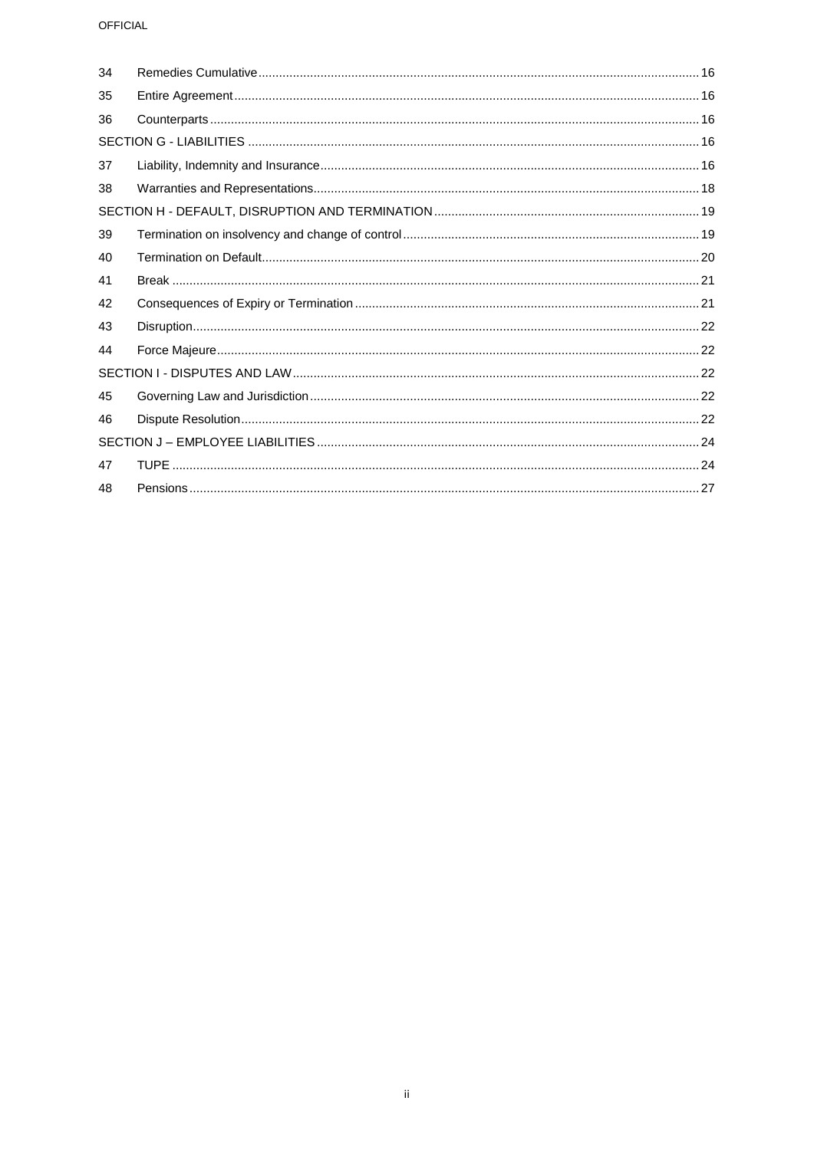## OFFICIAL

| 34 |  |  |  |  |
|----|--|--|--|--|
| 35 |  |  |  |  |
| 36 |  |  |  |  |
|    |  |  |  |  |
| 37 |  |  |  |  |
| 38 |  |  |  |  |
|    |  |  |  |  |
| 39 |  |  |  |  |
| 40 |  |  |  |  |
| 41 |  |  |  |  |
| 42 |  |  |  |  |
| 43 |  |  |  |  |
| 44 |  |  |  |  |
|    |  |  |  |  |
| 45 |  |  |  |  |
| 46 |  |  |  |  |
|    |  |  |  |  |
| 47 |  |  |  |  |
| 48 |  |  |  |  |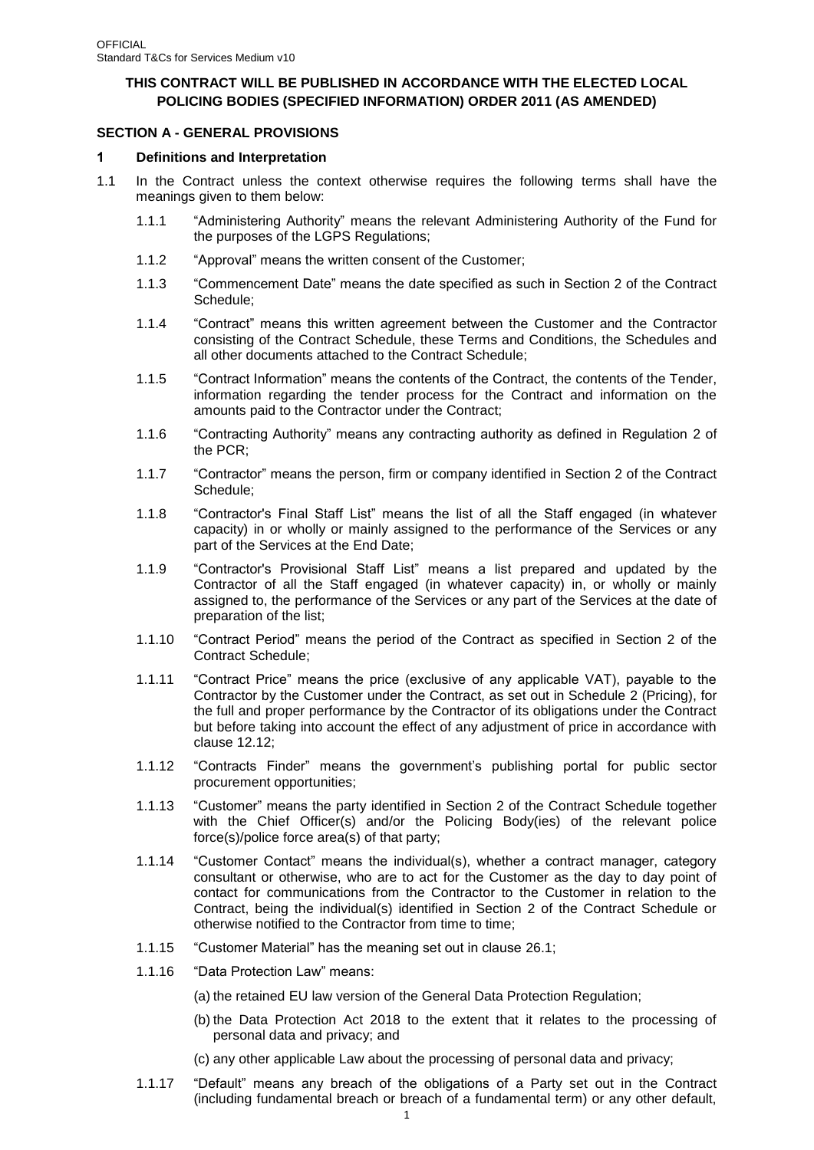## **THIS CONTRACT WILL BE PUBLISHED IN ACCORDANCE WITH THE ELECTED LOCAL POLICING BODIES (SPECIFIED INFORMATION) ORDER 2011 (AS AMENDED)**

## <span id="page-2-0"></span>**SECTION A - GENERAL PROVISIONS**

#### <span id="page-2-1"></span>**1 Definitions and Interpretation**

- 1.1 In the Contract unless the context otherwise requires the following terms shall have the meanings given to them below:
	- 1.1.1 "Administering Authority" means the relevant Administering Authority of the Fund for the purposes of the LGPS Regulations;
	- 1.1.2 "Approval" means the written consent of the Customer;
	- 1.1.3 "Commencement Date" means the date specified as such in Section 2 of the Contract Schedule;
	- 1.1.4 "Contract" means this written agreement between the Customer and the Contractor consisting of the Contract Schedule, these Terms and Conditions, the Schedules and all other documents attached to the Contract Schedule;
	- 1.1.5 "Contract Information" means the contents of the Contract, the contents of the Tender, information regarding the tender process for the Contract and information on the amounts paid to the Contractor under the Contract;
	- 1.1.6 "Contracting Authority" means any contracting authority as defined in Regulation 2 of the PCR;
	- 1.1.7 "Contractor" means the person, firm or company identified in Section 2 of the Contract Schedule;
	- 1.1.8 "Contractor's Final Staff List" means the list of all the Staff engaged (in whatever capacity) in or wholly or mainly assigned to the performance of the Services or any part of the Services at the End Date;
	- 1.1.9 "Contractor's Provisional Staff List" means a list prepared and updated by the Contractor of all the Staff engaged (in whatever capacity) in, or wholly or mainly assigned to, the performance of the Services or any part of the Services at the date of preparation of the list;
	- 1.1.10 "Contract Period" means the period of the Contract as specified in Section 2 of the Contract Schedule;
	- 1.1.11 "Contract Price" means the price (exclusive of any applicable VAT), payable to the Contractor by the Customer under the Contract, as set out in Schedule 2 (Pricing), for the full and proper performance by the Contractor of its obligations under the Contract but before taking into account the effect of any adjustment of price in accordance with clause [12.12;](#page-10-2)
	- 1.1.12 "Contracts Finder" means the government's publishing portal for public sector procurement opportunities;
	- 1.1.13 "Customer" means the party identified in Section 2 of the Contract Schedule together with the Chief Officer(s) and/or the Policing Body(ies) of the relevant police force(s)/police force area(s) of that party;
	- 1.1.14 "Customer Contact" means the individual(s), whether a contract manager, category consultant or otherwise, who are to act for the Customer as the day to day point of contact for communications from the Contractor to the Customer in relation to the Contract, being the individual(s) identified in Section 2 of the Contract Schedule or otherwise notified to the Contractor from time to time;
	- 1.1.15 "Customer Material" has the meaning set out in clause [26.1;](#page-15-2)
	- 1.1.16 "Data Protection Law" means:

(a) the retained EU law version of the General Data Protection Regulation;

- (b) the Data Protection Act 2018 to the extent that it relates to the processing of personal data and privacy; and
- (c) any other applicable Law about the processing of personal data and privacy;
- 1.1.17 "Default" means any breach of the obligations of a Party set out in the Contract (including fundamental breach or breach of a fundamental term) or any other default,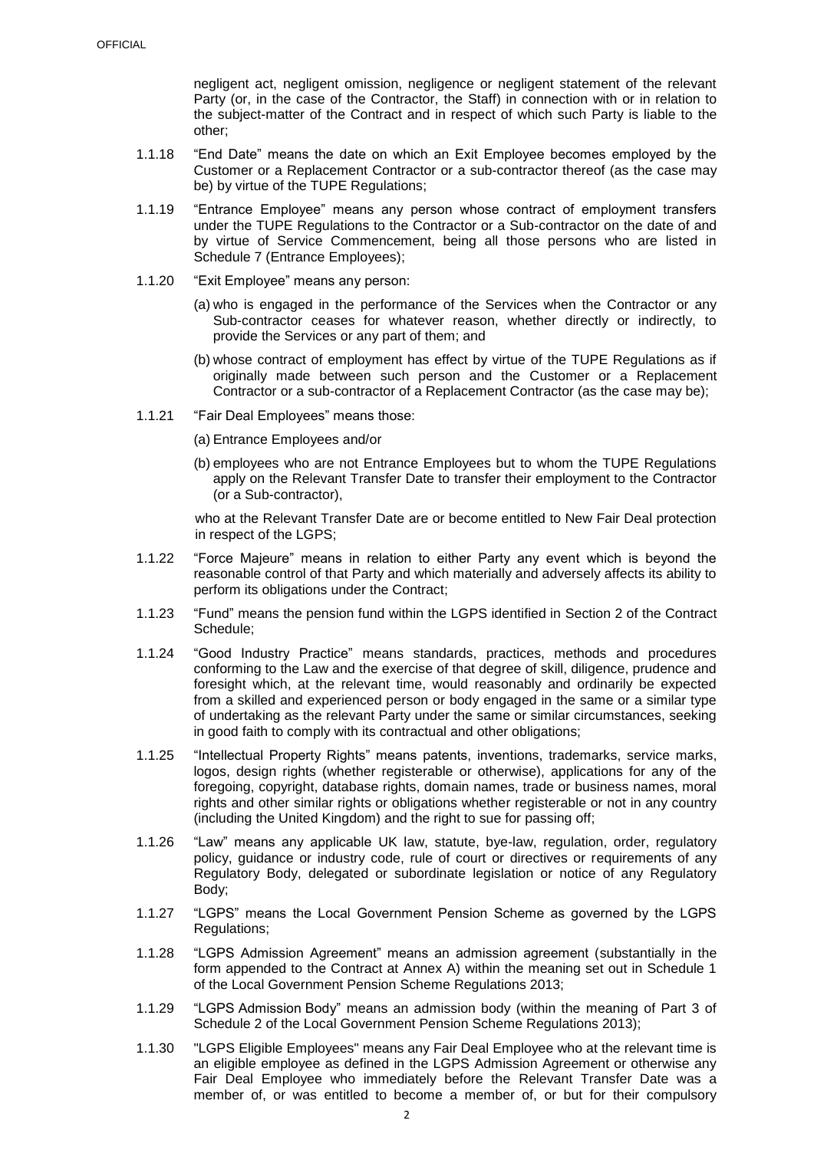negligent act, negligent omission, negligence or negligent statement of the relevant Party (or, in the case of the Contractor, the Staff) in connection with or in relation to the subject-matter of the Contract and in respect of which such Party is liable to the other;

- 1.1.18 "End Date" means the date on which an Exit Employee becomes employed by the Customer or a Replacement Contractor or a sub-contractor thereof (as the case may be) by virtue of the TUPE Regulations;
- 1.1.19 "Entrance Employee" means any person whose contract of employment transfers under the TUPE Regulations to the Contractor or a Sub-contractor on the date of and by virtue of Service Commencement, being all those persons who are listed in Schedule 7 (Entrance Employees);
- 1.1.20 "Exit Employee" means any person:
	- (a) who is engaged in the performance of the Services when the Contractor or any Sub-contractor ceases for whatever reason, whether directly or indirectly, to provide the Services or any part of them; and
	- (b) whose contract of employment has effect by virtue of the TUPE Regulations as if originally made between such person and the Customer or a Replacement Contractor or a sub-contractor of a Replacement Contractor (as the case may be);
- 1.1.21 "Fair Deal Employees" means those:
	- (a) Entrance Employees and/or
	- (b) employees who are not Entrance Employees but to whom the TUPE Regulations apply on the Relevant Transfer Date to transfer their employment to the Contractor (or a Sub-contractor),

who at the Relevant Transfer Date are or become entitled to New Fair Deal protection in respect of the LGPS;

- 1.1.22 "Force Majeure" means in relation to either Party any event which is beyond the reasonable control of that Party and which materially and adversely affects its ability to perform its obligations under the Contract;
- 1.1.23 "Fund" means the pension fund within the LGPS identified in Section 2 of the Contract Schedule;
- 1.1.24 "Good Industry Practice" means standards, practices, methods and procedures conforming to the Law and the exercise of that degree of skill, diligence, prudence and foresight which, at the relevant time, would reasonably and ordinarily be expected from a skilled and experienced person or body engaged in the same or a similar type of undertaking as the relevant Party under the same or similar circumstances, seeking in good faith to comply with its contractual and other obligations;
- 1.1.25 "Intellectual Property Rights" means patents, inventions, trademarks, service marks, logos, design rights (whether registerable or otherwise), applications for any of the foregoing, copyright, database rights, domain names, trade or business names, moral rights and other similar rights or obligations whether registerable or not in any country (including the United Kingdom) and the right to sue for passing off;
- 1.1.26 "Law" means any applicable UK law, statute, bye-law, regulation, order, regulatory policy, guidance or industry code, rule of court or directives or requirements of any Regulatory Body, delegated or subordinate legislation or notice of any Regulatory Body;
- 1.1.27 "LGPS" means the Local Government Pension Scheme as governed by the LGPS Regulations;
- 1.1.28 "LGPS Admission Agreement" means an admission agreement (substantially in the form appended to the Contract at Annex A) within the meaning set out in Schedule 1 of the Local Government Pension Scheme Regulations 2013;
- 1.1.29 "LGPS Admission Body" means an admission body (within the meaning of Part 3 of Schedule 2 of the Local Government Pension Scheme Regulations 2013);
- 1.1.30 "LGPS Eligible Employees" means any Fair Deal Employee who at the relevant time is an eligible employee as defined in the LGPS Admission Agreement or otherwise any Fair Deal Employee who immediately before the Relevant Transfer Date was a member of, or was entitled to become a member of, or but for their compulsory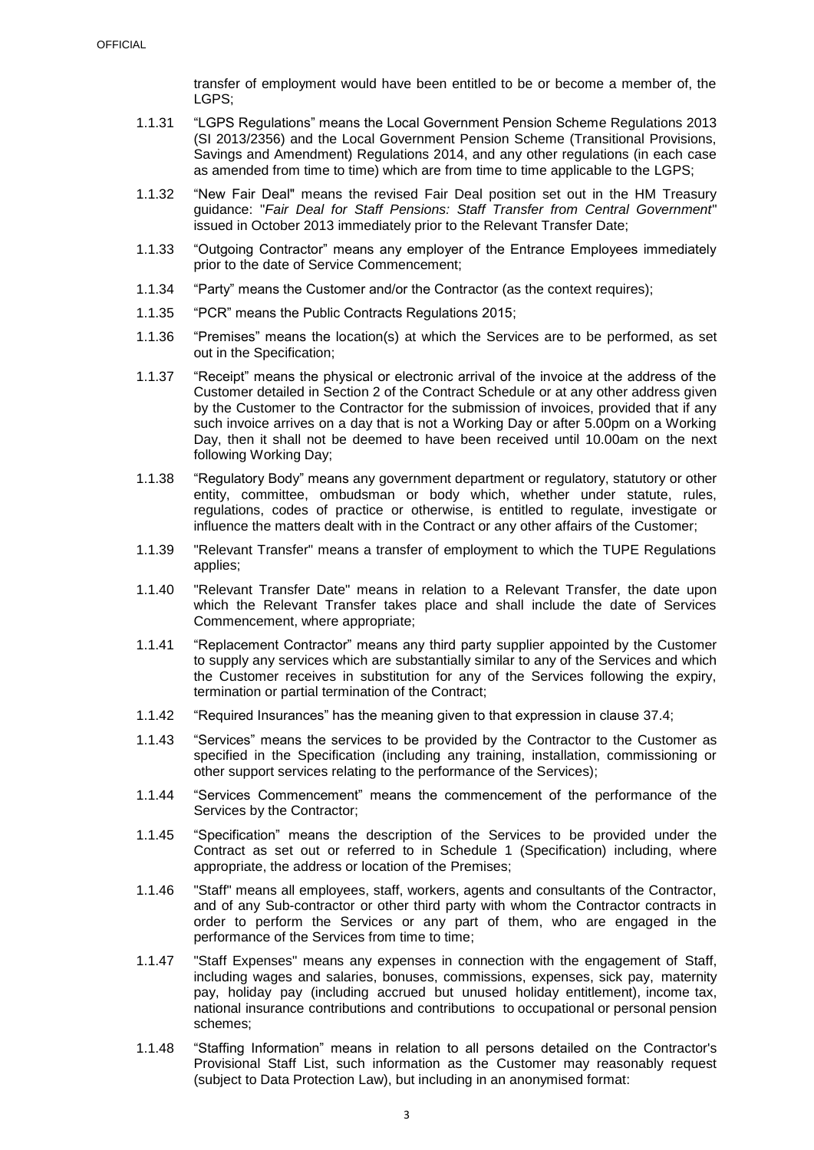transfer of employment would have been entitled to be or become a member of, the LGPS;

- 1.1.31 "LGPS Regulations" means the Local Government Pension Scheme Regulations 2013 (SI 2013/2356) and the Local Government Pension Scheme (Transitional Provisions, Savings and Amendment) Regulations 2014, and any other regulations (in each case as amended from time to time) which are from time to time applicable to the LGPS;
- 1.1.32 "New Fair Deal" means the revised Fair Deal position set out in the HM Treasury guidance: "*Fair Deal for Staff Pensions: Staff Transfer from Central Government*" issued in October 2013 immediately prior to the Relevant Transfer Date;
- 1.1.33 "Outgoing Contractor" means any employer of the Entrance Employees immediately prior to the date of Service Commencement;
- 1.1.34 "Party" means the Customer and/or the Contractor (as the context requires);
- 1.1.35 "PCR" means the Public Contracts Regulations 2015;
- 1.1.36 "Premises" means the location(s) at which the Services are to be performed, as set out in the Specification;
- 1.1.37 "Receipt" means the physical or electronic arrival of the invoice at the address of the Customer detailed in Section 2 of the Contract Schedule or at any other address given by the Customer to the Contractor for the submission of invoices, provided that if any such invoice arrives on a day that is not a Working Day or after 5.00pm on a Working Day, then it shall not be deemed to have been received until 10.00am on the next following Working Day;
- 1.1.38 "Regulatory Body" means any government department or regulatory, statutory or other entity, committee, ombudsman or body which, whether under statute, rules, regulations, codes of practice or otherwise, is entitled to regulate, investigate or influence the matters dealt with in the Contract or any other affairs of the Customer;
- 1.1.39 "Relevant Transfer" means a transfer of employment to which the TUPE Regulations applies;
- 1.1.40 "Relevant Transfer Date" means in relation to a Relevant Transfer, the date upon which the Relevant Transfer takes place and shall include the date of Services Commencement, where appropriate;
- 1.1.41 "Replacement Contractor" means any third party supplier appointed by the Customer to supply any services which are substantially similar to any of the Services and which the Customer receives in substitution for any of the Services following the expiry, termination or partial termination of the Contract;
- 1.1.42 "Required Insurances" has the meaning given to that expression in clause [37.4;](#page-18-0)
- 1.1.43 "Services" means the services to be provided by the Contractor to the Customer as specified in the Specification (including any training, installation, commissioning or other support services relating to the performance of the Services);
- 1.1.44 "Services Commencement" means the commencement of the performance of the Services by the Contractor;
- 1.1.45 "Specification" means the description of the Services to be provided under the Contract as set out or referred to in Schedule 1 (Specification) including, where appropriate, the address or location of the Premises;
- 1.1.46 "Staff" means all employees, staff, workers, agents and consultants of the Contractor, and of any Sub-contractor or other third party with whom the Contractor contracts in order to perform the Services or any part of them, who are engaged in the performance of the Services from time to time:
- 1.1.47 "Staff Expenses" means any expenses in connection with the engagement of Staff, including wages and salaries, bonuses, commissions, expenses, sick pay, maternity pay, holiday pay (including accrued but unused holiday entitlement), income tax, national insurance contributions and contributions to occupational or personal pension schemes;
- 1.1.48 "Staffing Information" means in relation to all persons detailed on the Contractor's Provisional Staff List, such information as the Customer may reasonably request (subject to Data Protection Law), but including in an anonymised format: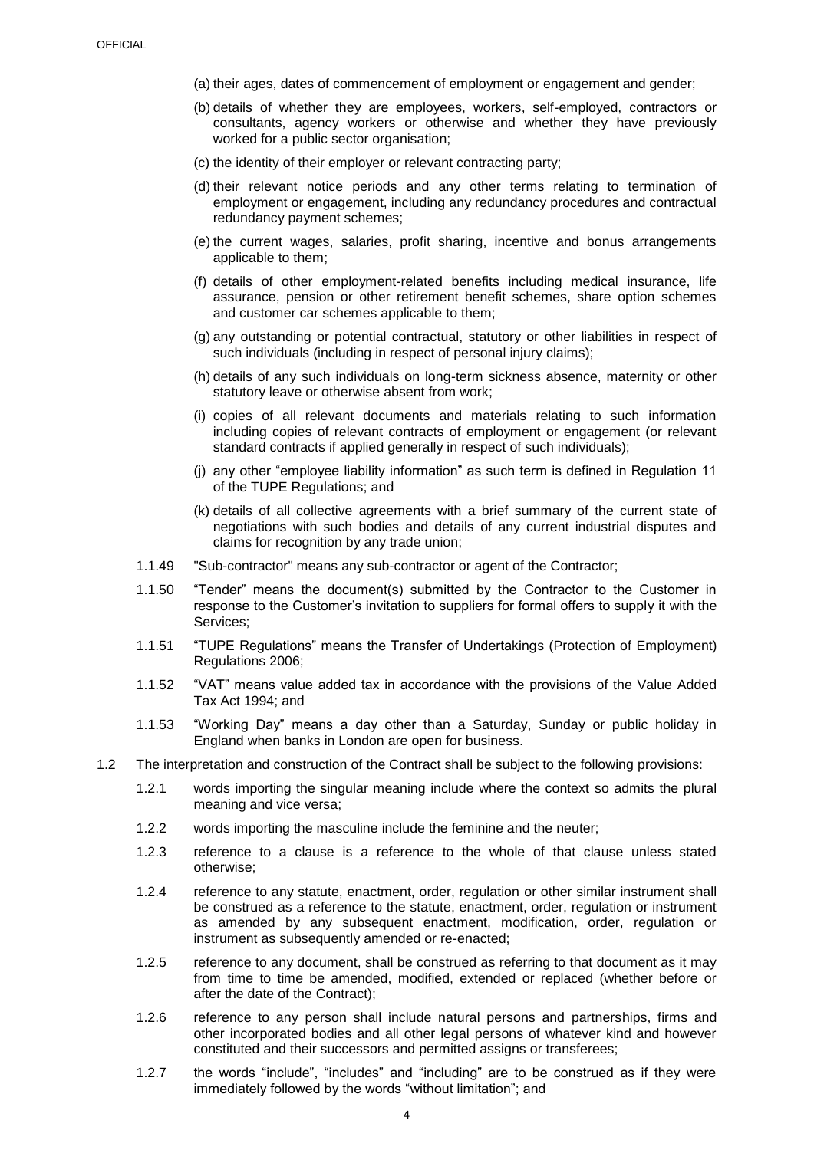- (a) their ages, dates of commencement of employment or engagement and gender;
- (b) details of whether they are employees, workers, self-employed, contractors or consultants, agency workers or otherwise and whether they have previously worked for a public sector organisation;
- (c) the identity of their employer or relevant contracting party;
- (d) their relevant notice periods and any other terms relating to termination of employment or engagement, including any redundancy procedures and contractual redundancy payment schemes;
- (e) the current wages, salaries, profit sharing, incentive and bonus arrangements applicable to them;
- (f) details of other employment-related benefits including medical insurance, life assurance, pension or other retirement benefit schemes, share option schemes and customer car schemes applicable to them;
- (g) any outstanding or potential contractual, statutory or other liabilities in respect of such individuals (including in respect of personal injury claims);
- (h) details of any such individuals on long-term sickness absence, maternity or other statutory leave or otherwise absent from work;
- (i) copies of all relevant documents and materials relating to such information including copies of relevant contracts of employment or engagement (or relevant standard contracts if applied generally in respect of such individuals);
- (j) any other "employee liability information" as such term is defined in Regulation 11 of the TUPE Regulations; and
- (k) details of all collective agreements with a brief summary of the current state of negotiations with such bodies and details of any current industrial disputes and claims for recognition by any trade union;
- 1.1.49 "Sub-contractor" means any sub-contractor or agent of the Contractor;
- 1.1.50 "Tender" means the document(s) submitted by the Contractor to the Customer in response to the Customer's invitation to suppliers for formal offers to supply it with the Services;
- 1.1.51 "TUPE Regulations" means the Transfer of Undertakings (Protection of Employment) Regulations 2006;
- 1.1.52 "VAT" means value added tax in accordance with the provisions of the Value Added Tax Act 1994; and
- 1.1.53 "Working Day" means a day other than a Saturday, Sunday or public holiday in England when banks in London are open for business.
- 1.2 The interpretation and construction of the Contract shall be subject to the following provisions:
	- 1.2.1 words importing the singular meaning include where the context so admits the plural meaning and vice versa;
	- 1.2.2 words importing the masculine include the feminine and the neuter;
	- 1.2.3 reference to a clause is a reference to the whole of that clause unless stated otherwise;
	- 1.2.4 reference to any statute, enactment, order, regulation or other similar instrument shall be construed as a reference to the statute, enactment, order, regulation or instrument as amended by any subsequent enactment, modification, order, regulation or instrument as subsequently amended or re-enacted;
	- 1.2.5 reference to any document, shall be construed as referring to that document as it may from time to time be amended, modified, extended or replaced (whether before or after the date of the Contract);
	- 1.2.6 reference to any person shall include natural persons and partnerships, firms and other incorporated bodies and all other legal persons of whatever kind and however constituted and their successors and permitted assigns or transferees;
	- 1.2.7 the words "include", "includes" and "including" are to be construed as if they were immediately followed by the words "without limitation"; and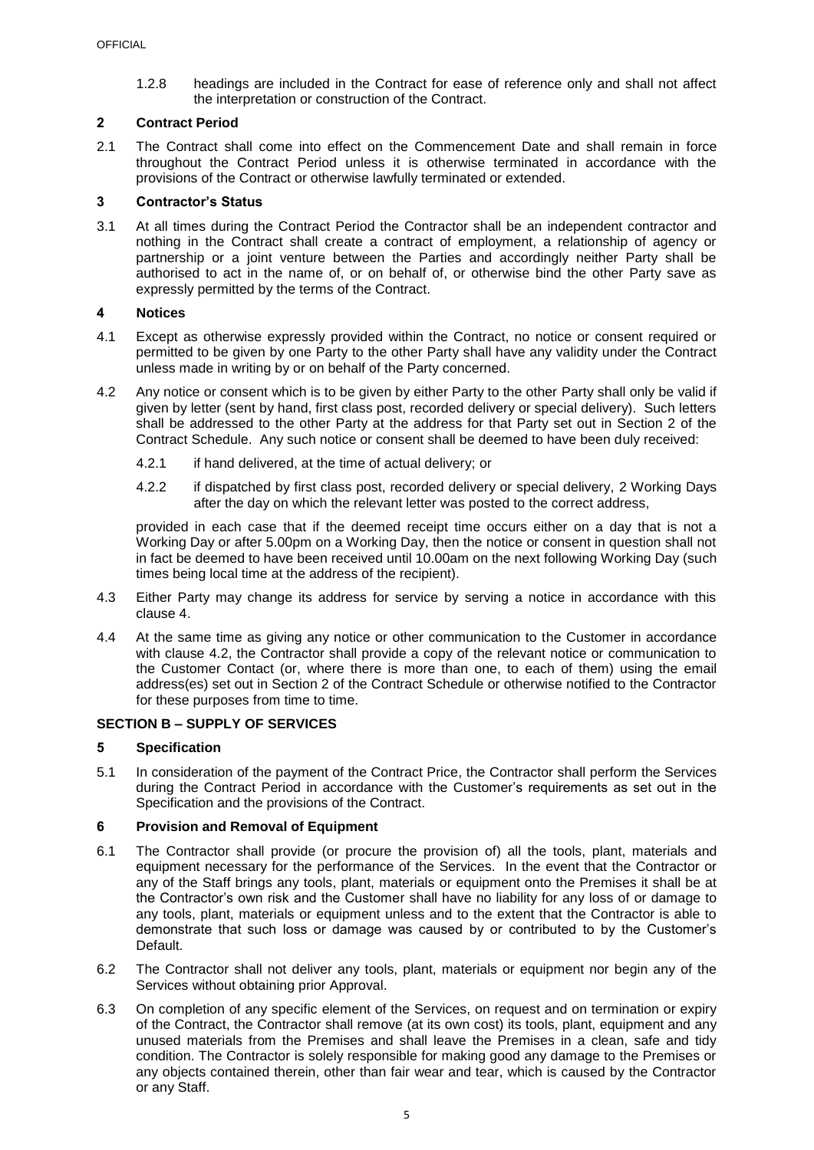1.2.8 headings are included in the Contract for ease of reference only and shall not affect the interpretation or construction of the Contract.

## <span id="page-6-0"></span>**2 Contract Period**

2.1 The Contract shall come into effect on the Commencement Date and shall remain in force throughout the Contract Period unless it is otherwise terminated in accordance with the provisions of the Contract or otherwise lawfully terminated or extended.

## <span id="page-6-1"></span>**3 Contractor's Status**

3.1 At all times during the Contract Period the Contractor shall be an independent contractor and nothing in the Contract shall create a contract of employment, a relationship of agency or partnership or a joint venture between the Parties and accordingly neither Party shall be authorised to act in the name of, or on behalf of, or otherwise bind the other Party save as expressly permitted by the terms of the Contract.

## <span id="page-6-2"></span>**4 Notices**

- 4.1 Except as otherwise expressly provided within the Contract, no notice or consent required or permitted to be given by one Party to the other Party shall have any validity under the Contract unless made in writing by or on behalf of the Party concerned.
- <span id="page-6-6"></span>4.2 Any notice or consent which is to be given by either Party to the other Party shall only be valid if given by letter (sent by hand, first class post, recorded delivery or special delivery). Such letters shall be addressed to the other Party at the address for that Party set out in Section 2 of the Contract Schedule. Any such notice or consent shall be deemed to have been duly received:
	- 4.2.1 if hand delivered, at the time of actual delivery; or
	- 4.2.2 if dispatched by first class post, recorded delivery or special delivery, 2 Working Days after the day on which the relevant letter was posted to the correct address,

provided in each case that if the deemed receipt time occurs either on a day that is not a Working Day or after 5.00pm on a Working Day, then the notice or consent in question shall not in fact be deemed to have been received until 10.00am on the next following Working Day (such times being local time at the address of the recipient).

- 4.3 Either Party may change its address for service by serving a notice in accordance with this clause [4.](#page-6-2)
- 4.4 At the same time as giving any notice or other communication to the Customer in accordance with clause [4.2,](#page-6-6) the Contractor shall provide a copy of the relevant notice or communication to the Customer Contact (or, where there is more than one, to each of them) using the email address(es) set out in Section 2 of the Contract Schedule or otherwise notified to the Contractor for these purposes from time to time.

## <span id="page-6-3"></span>**SECTION B – SUPPLY OF SERVICES**

# <span id="page-6-4"></span>**5 Specification**

5.1 In consideration of the payment of the Contract Price, the Contractor shall perform the Services during the Contract Period in accordance with the Customer's requirements as set out in the Specification and the provisions of the Contract.

# <span id="page-6-5"></span>**6 Provision and Removal of Equipment**

- 6.1 The Contractor shall provide (or procure the provision of) all the tools, plant, materials and equipment necessary for the performance of the Services. In the event that the Contractor or any of the Staff brings any tools, plant, materials or equipment onto the Premises it shall be at the Contractor's own risk and the Customer shall have no liability for any loss of or damage to any tools, plant, materials or equipment unless and to the extent that the Contractor is able to demonstrate that such loss or damage was caused by or contributed to by the Customer's Default.
- 6.2 The Contractor shall not deliver any tools, plant, materials or equipment nor begin any of the Services without obtaining prior Approval.
- 6.3 On completion of any specific element of the Services, on request and on termination or expiry of the Contract, the Contractor shall remove (at its own cost) its tools, plant, equipment and any unused materials from the Premises and shall leave the Premises in a clean, safe and tidy condition. The Contractor is solely responsible for making good any damage to the Premises or any objects contained therein, other than fair wear and tear, which is caused by the Contractor or any Staff.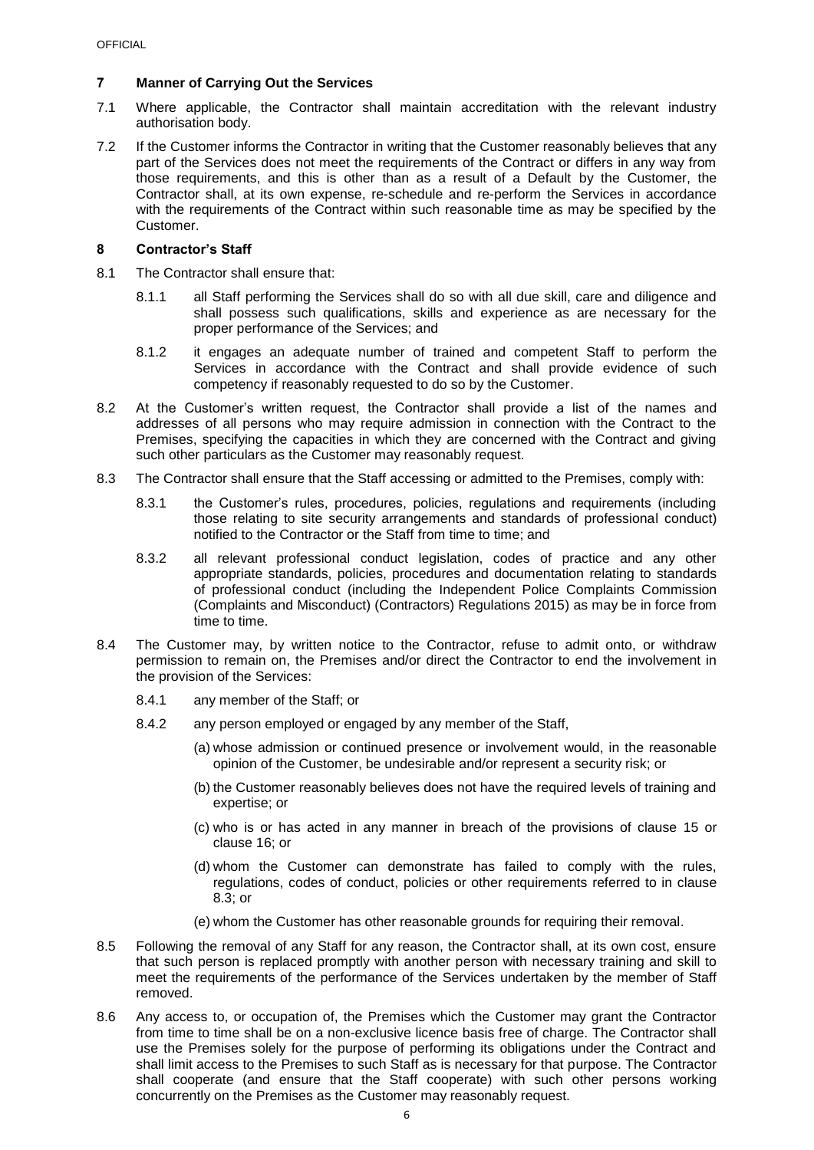## <span id="page-7-0"></span>**7 Manner of Carrying Out the Services**

- 7.1 Where applicable, the Contractor shall maintain accreditation with the relevant industry authorisation body.
- 7.2 If the Customer informs the Contractor in writing that the Customer reasonably believes that any part of the Services does not meet the requirements of the Contract or differs in any way from those requirements, and this is other than as a result of a Default by the Customer, the Contractor shall, at its own expense, re-schedule and re-perform the Services in accordance with the requirements of the Contract within such reasonable time as may be specified by the Customer.

## <span id="page-7-1"></span>**8 Contractor's Staff**

- 8.1 The Contractor shall ensure that:
	- 8.1.1 all Staff performing the Services shall do so with all due skill, care and diligence and shall possess such qualifications, skills and experience as are necessary for the proper performance of the Services; and
	- 8.1.2 it engages an adequate number of trained and competent Staff to perform the Services in accordance with the Contract and shall provide evidence of such competency if reasonably requested to do so by the Customer.
- 8.2 At the Customer's written request, the Contractor shall provide a list of the names and addresses of all persons who may require admission in connection with the Contract to the Premises, specifying the capacities in which they are concerned with the Contract and giving such other particulars as the Customer may reasonably request.
- <span id="page-7-2"></span>8.3 The Contractor shall ensure that the Staff accessing or admitted to the Premises, comply with:
	- 8.3.1 the Customer's rules, procedures, policies, regulations and requirements (including those relating to site security arrangements and standards of professional conduct) notified to the Contractor or the Staff from time to time; and
	- 8.3.2 all relevant professional conduct legislation, codes of practice and any other appropriate standards, policies, procedures and documentation relating to standards of professional conduct (including the Independent Police Complaints Commission (Complaints and Misconduct) (Contractors) Regulations 2015) as may be in force from time to time.
- 8.4 The Customer may, by written notice to the Contractor, refuse to admit onto, or withdraw permission to remain on, the Premises and/or direct the Contractor to end the involvement in the provision of the Services:
	- 8.4.1 any member of the Staff; or
	- 8.4.2 any person employed or engaged by any member of the Staff,
		- (a) whose admission or continued presence or involvement would, in the reasonable opinion of the Customer, be undesirable and/or represent a security risk; or
		- (b) the Customer reasonably believes does not have the required levels of training and expertise; or
		- (c) who is or has acted in any manner in breach of the provisions of clause [15](#page-11-1) or clause [16;](#page-11-2) or
		- (d) whom the Customer can demonstrate has failed to comply with the rules, regulations, codes of conduct, policies or other requirements referred to in clause [8.3;](#page-7-2) or
		- (e) whom the Customer has other reasonable grounds for requiring their removal.
- 8.5 Following the removal of any Staff for any reason, the Contractor shall, at its own cost, ensure that such person is replaced promptly with another person with necessary training and skill to meet the requirements of the performance of the Services undertaken by the member of Staff removed.
- 8.6 Any access to, or occupation of, the Premises which the Customer may grant the Contractor from time to time shall be on a non-exclusive licence basis free of charge. The Contractor shall use the Premises solely for the purpose of performing its obligations under the Contract and shall limit access to the Premises to such Staff as is necessary for that purpose. The Contractor shall cooperate (and ensure that the Staff cooperate) with such other persons working concurrently on the Premises as the Customer may reasonably request.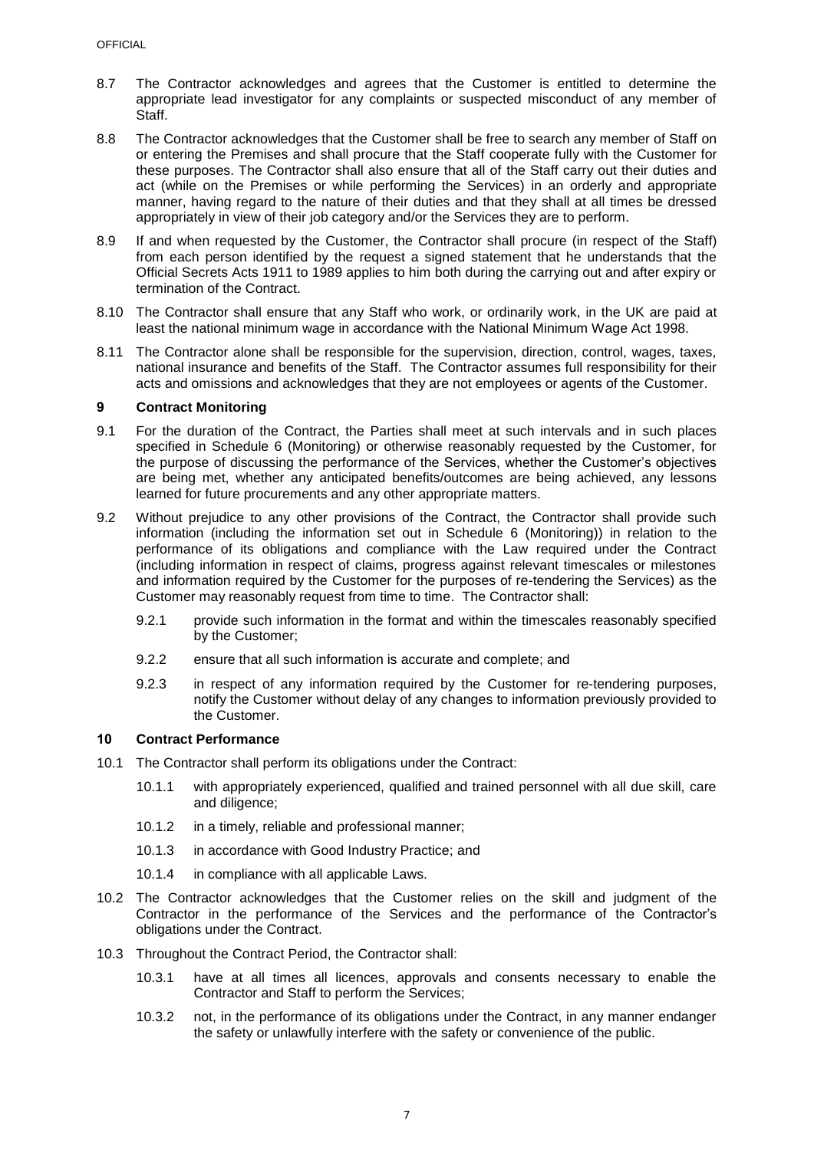- 8.7 The Contractor acknowledges and agrees that the Customer is entitled to determine the appropriate lead investigator for any complaints or suspected misconduct of any member of Staff.
- 8.8 The Contractor acknowledges that the Customer shall be free to search any member of Staff on or entering the Premises and shall procure that the Staff cooperate fully with the Customer for these purposes. The Contractor shall also ensure that all of the Staff carry out their duties and act (while on the Premises or while performing the Services) in an orderly and appropriate manner, having regard to the nature of their duties and that they shall at all times be dressed appropriately in view of their job category and/or the Services they are to perform.
- 8.9 If and when requested by the Customer, the Contractor shall procure (in respect of the Staff) from each person identified by the request a signed statement that he understands that the Official Secrets Acts 1911 to 1989 applies to him both during the carrying out and after expiry or termination of the Contract.
- 8.10 The Contractor shall ensure that any Staff who work, or ordinarily work, in the UK are paid at least the national minimum wage in accordance with the National Minimum Wage Act 1998.
- 8.11 The Contractor alone shall be responsible for the supervision, direction, control, wages, taxes, national insurance and benefits of the Staff. The Contractor assumes full responsibility for their acts and omissions and acknowledges that they are not employees or agents of the Customer.

### <span id="page-8-0"></span>**9 Contract Monitoring**

- 9.1 For the duration of the Contract, the Parties shall meet at such intervals and in such places specified in Schedule 6 (Monitoring) or otherwise reasonably requested by the Customer, for the purpose of discussing the performance of the Services, whether the Customer's objectives are being met, whether any anticipated benefits/outcomes are being achieved, any lessons learned for future procurements and any other appropriate matters.
- 9.2 Without prejudice to any other provisions of the Contract, the Contractor shall provide such information (including the information set out in Schedule 6 (Monitoring)) in relation to the performance of its obligations and compliance with the Law required under the Contract (including information in respect of claims, progress against relevant timescales or milestones and information required by the Customer for the purposes of re-tendering the Services) as the Customer may reasonably request from time to time. The Contractor shall:
	- 9.2.1 provide such information in the format and within the timescales reasonably specified by the Customer;
	- 9.2.2 ensure that all such information is accurate and complete; and
	- 9.2.3 in respect of any information required by the Customer for re-tendering purposes, notify the Customer without delay of any changes to information previously provided to the Customer.

## <span id="page-8-1"></span>**10 Contract Performance**

- 10.1 The Contractor shall perform its obligations under the Contract:
	- 10.1.1 with appropriately experienced, qualified and trained personnel with all due skill, care and diligence;
	- 10.1.2 in a timely, reliable and professional manner;
	- 10.1.3 in accordance with Good Industry Practice; and
	- 10.1.4 in compliance with all applicable Laws.
- 10.2 The Contractor acknowledges that the Customer relies on the skill and judgment of the Contractor in the performance of the Services and the performance of the Contractor's obligations under the Contract.
- <span id="page-8-2"></span>10.3 Throughout the Contract Period, the Contractor shall:
	- 10.3.1 have at all times all licences, approvals and consents necessary to enable the Contractor and Staff to perform the Services;
	- 10.3.2 not, in the performance of its obligations under the Contract, in any manner endanger the safety or unlawfully interfere with the safety or convenience of the public.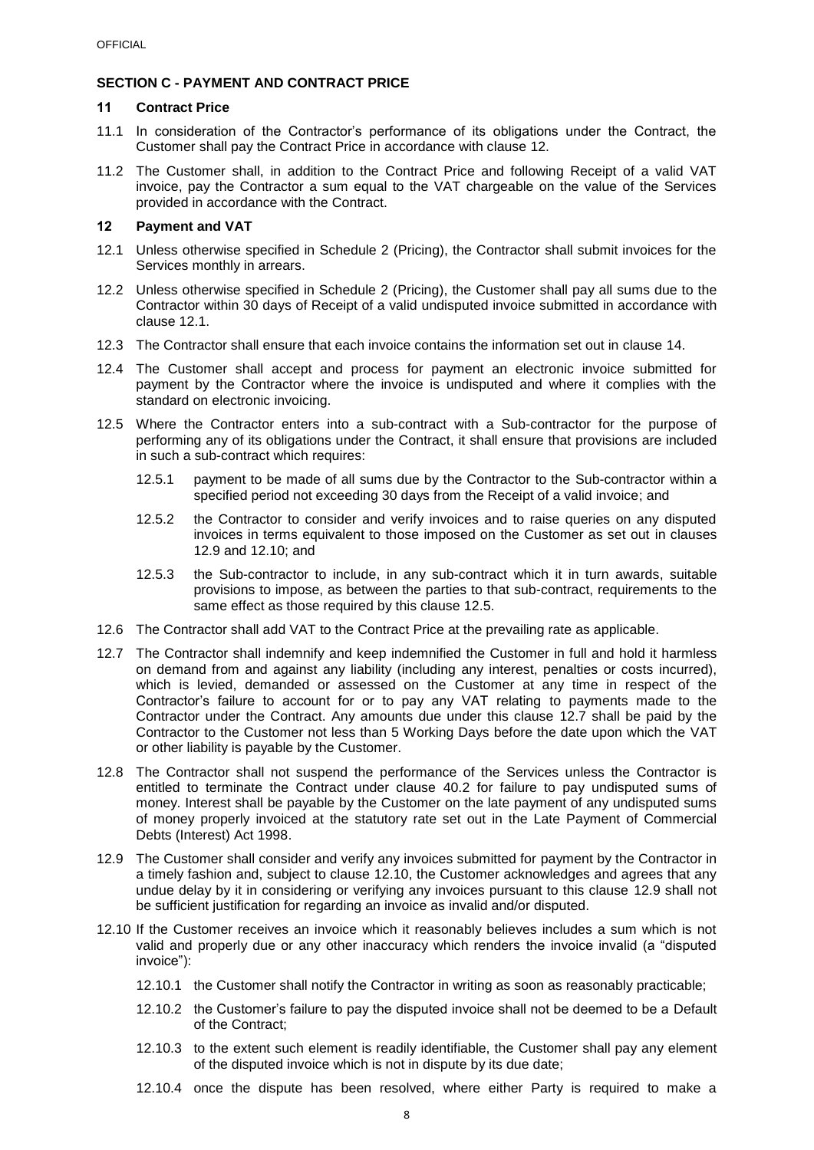# **SECTION C - PAYMENT AND CONTRACT PRICE**

#### <span id="page-9-0"></span>**11 Contract Price**

- 11.1 In consideration of the Contractor's performance of its obligations under the Contract, the Customer shall pay the Contract Price in accordance with clause [12.](#page-9-1)
- 11.2 The Customer shall, in addition to the Contract Price and following Receipt of a valid VAT invoice, pay the Contractor a sum equal to the VAT chargeable on the value of the Services provided in accordance with the Contract.

#### <span id="page-9-1"></span>**12 Payment and VAT**

- <span id="page-9-2"></span>12.1 Unless otherwise specified in Schedule 2 (Pricing), the Contractor shall submit invoices for the Services monthly in arrears.
- 12.2 Unless otherwise specified in Schedule 2 (Pricing), the Customer shall pay all sums due to the Contractor within 30 days of Receipt of a valid undisputed invoice submitted in accordance with clause [12.1.](#page-9-2)
- 12.3 The Contractor shall ensure that each invoice contains the information set out in clause [14.](#page-10-1)
- 12.4 The Customer shall accept and process for payment an electronic invoice submitted for payment by the Contractor where the invoice is undisputed and where it complies with the standard on electronic invoicing.
- <span id="page-9-5"></span>12.5 Where the Contractor enters into a sub-contract with a Sub-contractor for the purpose of performing any of its obligations under the Contract, it shall ensure that provisions are included in such a sub-contract which requires:
	- 12.5.1 payment to be made of all sums due by the Contractor to the Sub-contractor within a specified period not exceeding 30 days from the Receipt of a valid invoice; and
	- 12.5.2 the Contractor to consider and verify invoices and to raise queries on any disputed invoices in terms equivalent to those imposed on the Customer as set out in clauses [12.9](#page-9-3) and [12.10;](#page-9-4) and
	- 12.5.3 the Sub-contractor to include, in any sub-contract which it in turn awards, suitable provisions to impose, as between the parties to that sub-contract, requirements to the same effect as those required by this clause [12.5.](#page-9-5)
- 12.6 The Contractor shall add VAT to the Contract Price at the prevailing rate as applicable.
- <span id="page-9-6"></span>12.7 The Contractor shall indemnify and keep indemnified the Customer in full and hold it harmless on demand from and against any liability (including any interest, penalties or costs incurred), which is levied, demanded or assessed on the Customer at any time in respect of the Contractor's failure to account for or to pay any VAT relating to payments made to the Contractor under the Contract. Any amounts due under this clause [12.7](#page-9-6) shall be paid by the Contractor to the Customer not less than 5 Working Days before the date upon which the VAT or other liability is payable by the Customer.
- 12.8 The Contractor shall not suspend the performance of the Services unless the Contractor is entitled to terminate the Contract under clause [40.2](#page-21-1) for failure to pay undisputed sums of money. Interest shall be payable by the Customer on the late payment of any undisputed sums of money properly invoiced at the statutory rate set out in the Late Payment of Commercial Debts (Interest) Act 1998.
- <span id="page-9-3"></span>12.9 The Customer shall consider and verify any invoices submitted for payment by the Contractor in a timely fashion and, subject to clause [12.10,](#page-9-4) the Customer acknowledges and agrees that any undue delay by it in considering or verifying any invoices pursuant to this clause [12.9](#page-9-3) shall not be sufficient justification for regarding an invoice as invalid and/or disputed.
- <span id="page-9-4"></span>12.10 If the Customer receives an invoice which it reasonably believes includes a sum which is not valid and properly due or any other inaccuracy which renders the invoice invalid (a "disputed invoice"):
	- 12.10.1 the Customer shall notify the Contractor in writing as soon as reasonably practicable;
	- 12.10.2 the Customer's failure to pay the disputed invoice shall not be deemed to be a Default of the Contract;
	- 12.10.3 to the extent such element is readily identifiable, the Customer shall pay any element of the disputed invoice which is not in dispute by its due date;
	- 12.10.4 once the dispute has been resolved, where either Party is required to make a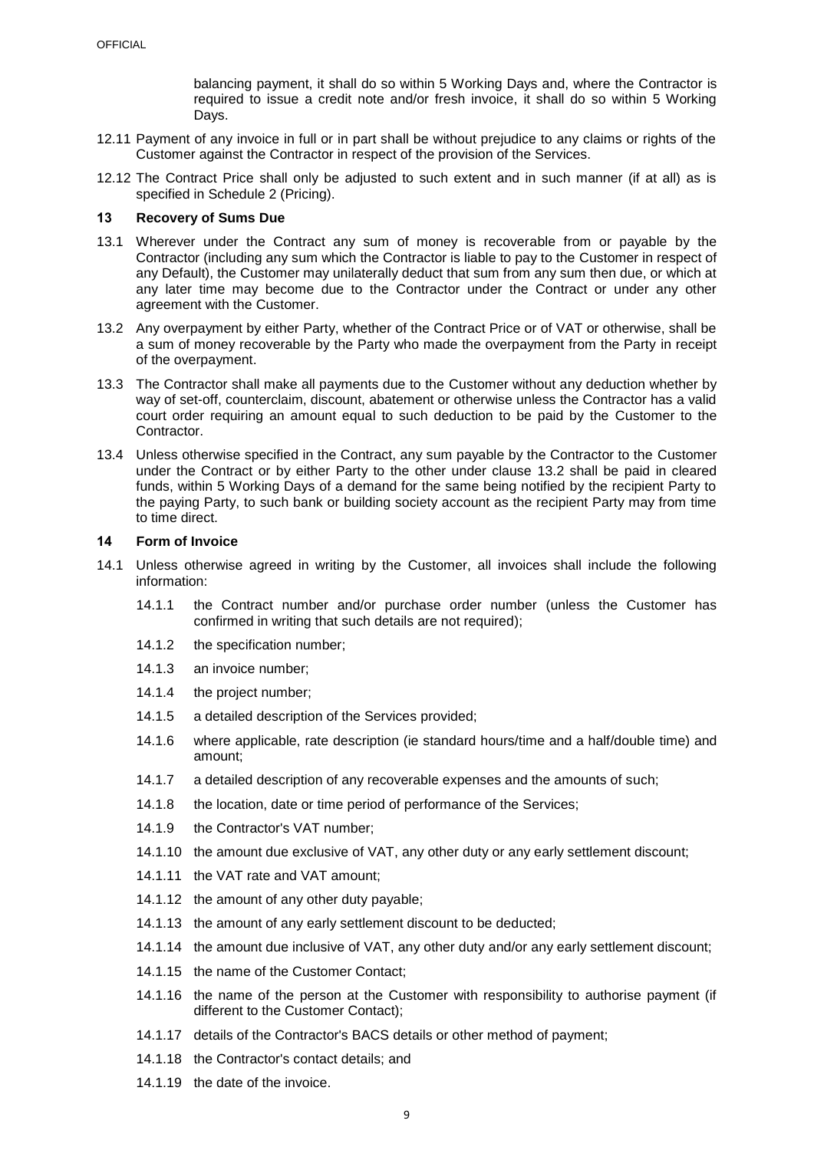balancing payment, it shall do so within 5 Working Days and, where the Contractor is required to issue a credit note and/or fresh invoice, it shall do so within 5 Working Days.

- 12.11 Payment of any invoice in full or in part shall be without prejudice to any claims or rights of the Customer against the Contractor in respect of the provision of the Services.
- <span id="page-10-2"></span>12.12 The Contract Price shall only be adjusted to such extent and in such manner (if at all) as is specified in Schedule 2 (Pricing).

### <span id="page-10-0"></span>**13 Recovery of Sums Due**

- 13.1 Wherever under the Contract any sum of money is recoverable from or payable by the Contractor (including any sum which the Contractor is liable to pay to the Customer in respect of any Default), the Customer may unilaterally deduct that sum from any sum then due, or which at any later time may become due to the Contractor under the Contract or under any other agreement with the Customer.
- <span id="page-10-3"></span>13.2 Any overpayment by either Party, whether of the Contract Price or of VAT or otherwise, shall be a sum of money recoverable by the Party who made the overpayment from the Party in receipt of the overpayment.
- 13.3 The Contractor shall make all payments due to the Customer without any deduction whether by way of set-off, counterclaim, discount, abatement or otherwise unless the Contractor has a valid court order requiring an amount equal to such deduction to be paid by the Customer to the Contractor.
- 13.4 Unless otherwise specified in the Contract, any sum payable by the Contractor to the Customer under the Contract or by either Party to the other under clause [13.2](#page-10-3) shall be paid in cleared funds, within 5 Working Days of a demand for the same being notified by the recipient Party to the paying Party, to such bank or building society account as the recipient Party may from time to time direct.

#### <span id="page-10-1"></span>**14 Form of Invoice**

- 14.1 Unless otherwise agreed in writing by the Customer, all invoices shall include the following information:
	- 14.1.1 the Contract number and/or purchase order number (unless the Customer has confirmed in writing that such details are not required);
	- 14.1.2 the specification number;
	- 14.1.3 an invoice number;
	- 14.1.4 the project number;
	- 14.1.5 a detailed description of the Services provided;
	- 14.1.6 where applicable, rate description (ie standard hours/time and a half/double time) and amount;
	- 14.1.7 a detailed description of any recoverable expenses and the amounts of such;
	- 14.1.8 the location, date or time period of performance of the Services;
	- 14.1.9 the Contractor's VAT number;
	- 14.1.10 the amount due exclusive of VAT, any other duty or any early settlement discount;
	- 14.1.11 the VAT rate and VAT amount;
	- 14.1.12 the amount of any other duty payable;
	- 14.1.13 the amount of any early settlement discount to be deducted;
	- 14.1.14 the amount due inclusive of VAT, any other duty and/or any early settlement discount;
	- 14.1.15 the name of the Customer Contact;
	- 14.1.16 the name of the person at the Customer with responsibility to authorise payment (if different to the Customer Contact);
	- 14.1.17 details of the Contractor's BACS details or other method of payment;
	- 14.1.18 the Contractor's contact details; and
	- 14.1.19 the date of the invoice.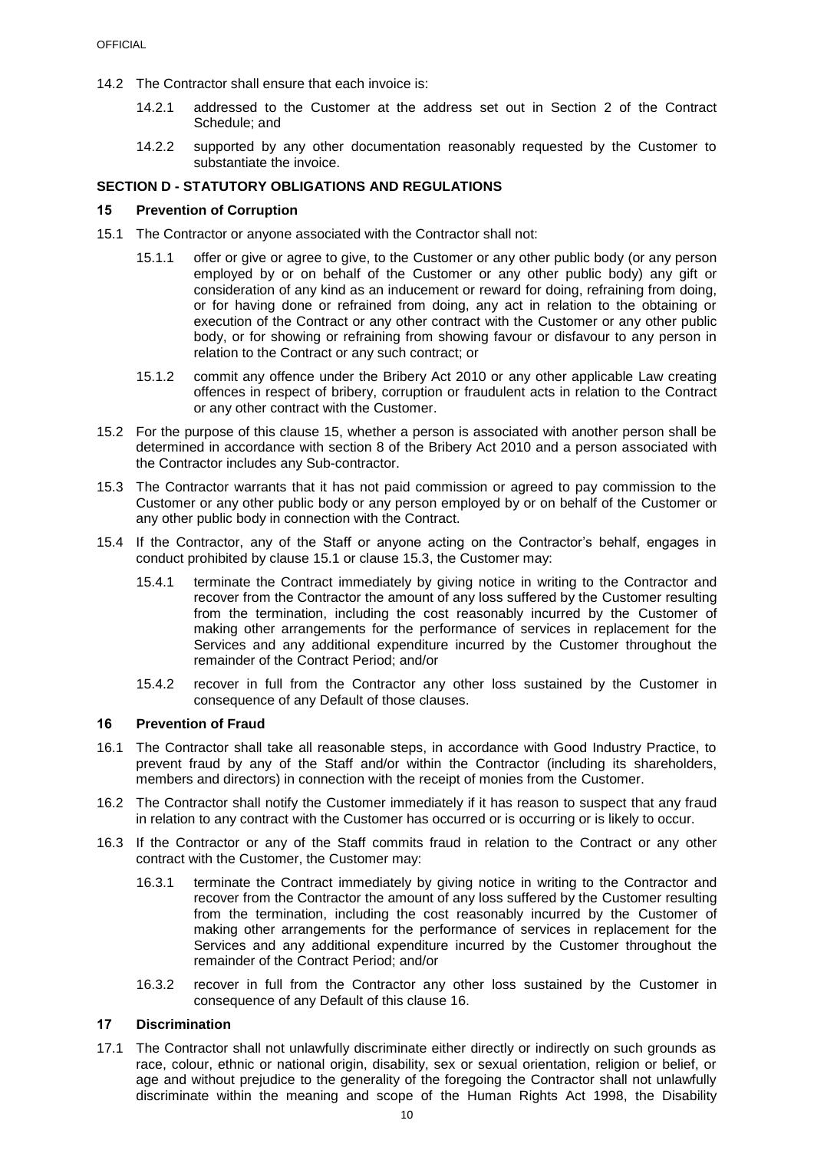14.2 The Contractor shall ensure that each invoice is:

- 14.2.1 addressed to the Customer at the address set out in Section 2 of the Contract Schedule; and
- 14.2.2 supported by any other documentation reasonably requested by the Customer to substantiate the invoice.

## <span id="page-11-0"></span>**SECTION D - STATUTORY OBLIGATIONS AND REGULATIONS**

#### <span id="page-11-1"></span>**15 Prevention of Corruption**

- <span id="page-11-4"></span>15.1 The Contractor or anyone associated with the Contractor shall not:
	- 15.1.1 offer or give or agree to give, to the Customer or any other public body (or any person employed by or on behalf of the Customer or any other public body) any gift or consideration of any kind as an inducement or reward for doing, refraining from doing, or for having done or refrained from doing, any act in relation to the obtaining or execution of the Contract or any other contract with the Customer or any other public body, or for showing or refraining from showing favour or disfavour to any person in relation to the Contract or any such contract; or
	- 15.1.2 commit any offence under the Bribery Act 2010 or any other applicable Law creating offences in respect of bribery, corruption or fraudulent acts in relation to the Contract or any other contract with the Customer.
- 15.2 For the purpose of this clause [15,](#page-11-1) whether a person is associated with another person shall be determined in accordance with section 8 of the Bribery Act 2010 and a person associated with the Contractor includes any Sub-contractor.
- <span id="page-11-5"></span>15.3 The Contractor warrants that it has not paid commission or agreed to pay commission to the Customer or any other public body or any person employed by or on behalf of the Customer or any other public body in connection with the Contract.
- 15.4 If the Contractor, any of the Staff or anyone acting on the Contractor's behalf, engages in conduct prohibited by clause [15.1](#page-11-4) or clause [15.3,](#page-11-5) the Customer may:
	- 15.4.1 terminate the Contract immediately by giving notice in writing to the Contractor and recover from the Contractor the amount of any loss suffered by the Customer resulting from the termination, including the cost reasonably incurred by the Customer of making other arrangements for the performance of services in replacement for the Services and any additional expenditure incurred by the Customer throughout the remainder of the Contract Period; and/or
	- 15.4.2 recover in full from the Contractor any other loss sustained by the Customer in consequence of any Default of those clauses.

#### <span id="page-11-2"></span>**16 Prevention of Fraud**

- 16.1 The Contractor shall take all reasonable steps, in accordance with Good Industry Practice, to prevent fraud by any of the Staff and/or within the Contractor (including its shareholders, members and directors) in connection with the receipt of monies from the Customer.
- 16.2 The Contractor shall notify the Customer immediately if it has reason to suspect that any fraud in relation to any contract with the Customer has occurred or is occurring or is likely to occur.
- 16.3 If the Contractor or any of the Staff commits fraud in relation to the Contract or any other contract with the Customer, the Customer may:
	- 16.3.1 terminate the Contract immediately by giving notice in writing to the Contractor and recover from the Contractor the amount of any loss suffered by the Customer resulting from the termination, including the cost reasonably incurred by the Customer of making other arrangements for the performance of services in replacement for the Services and any additional expenditure incurred by the Customer throughout the remainder of the Contract Period; and/or
	- 16.3.2 recover in full from the Contractor any other loss sustained by the Customer in consequence of any Default of this clause [16.](#page-11-2)

### <span id="page-11-3"></span>**17 Discrimination**

<span id="page-11-6"></span>17.1 The Contractor shall not unlawfully discriminate either directly or indirectly on such grounds as race, colour, ethnic or national origin, disability, sex or sexual orientation, religion or belief, or age and without prejudice to the generality of the foregoing the Contractor shall not unlawfully discriminate within the meaning and scope of the Human Rights Act 1998, the Disability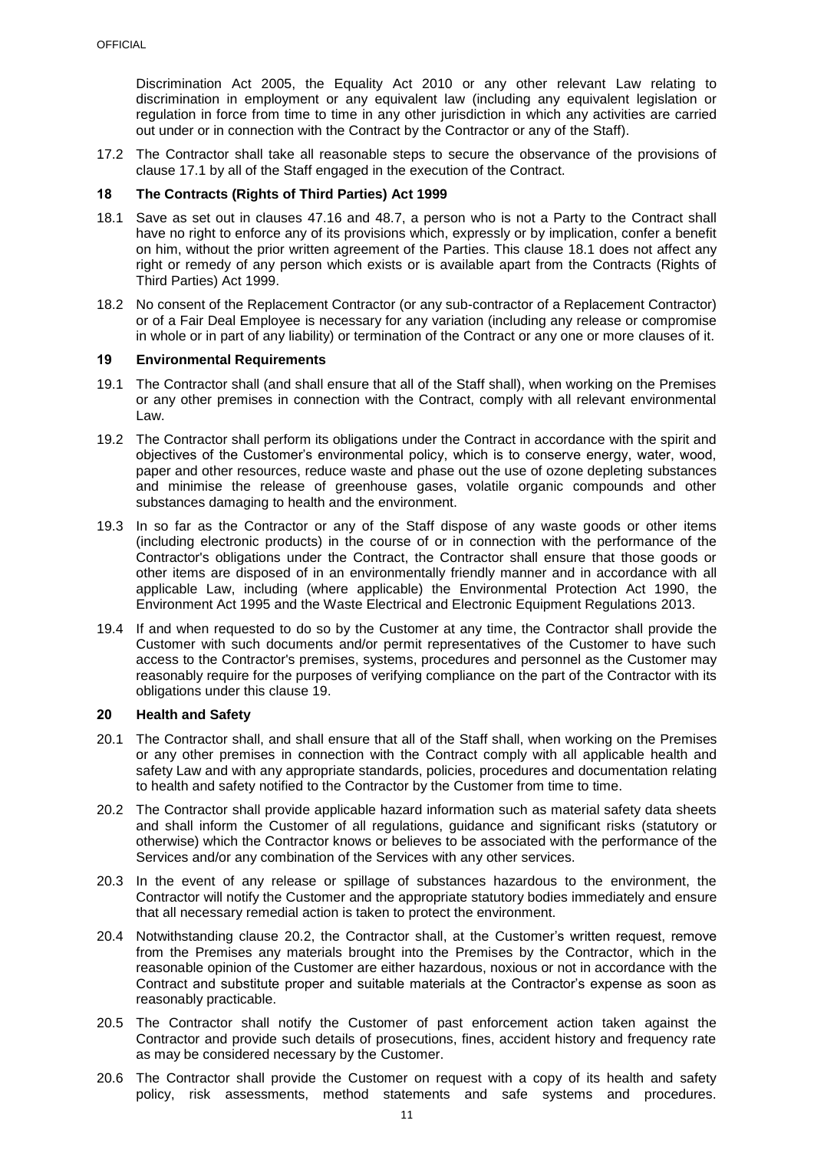Discrimination Act 2005, the Equality Act 2010 or any other relevant Law relating to discrimination in employment or any equivalent law (including any equivalent legislation or regulation in force from time to time in any other jurisdiction in which any activities are carried out under or in connection with the Contract by the Contractor or any of the Staff).

17.2 The Contractor shall take all reasonable steps to secure the observance of the provisions of clause [17.1](#page-11-6) by all of the Staff engaged in the execution of the Contract.

## <span id="page-12-0"></span>**18 The Contracts (Rights of Third Parties) Act 1999**

- <span id="page-12-3"></span>18.1 Save as set out in clauses [47.16](#page-28-1) and [48.7,](#page-29-0) a person who is not a Party to the Contract shall have no right to enforce any of its provisions which, expressly or by implication, confer a benefit on him, without the prior written agreement of the Parties. This clause [18.1](#page-12-3) does not affect any right or remedy of any person which exists or is available apart from the Contracts (Rights of Third Parties) Act 1999.
- 18.2 No consent of the Replacement Contractor (or any sub-contractor of a Replacement Contractor) or of a Fair Deal Employee is necessary for any variation (including any release or compromise in whole or in part of any liability) or termination of the Contract or any one or more clauses of it.

#### <span id="page-12-1"></span>**19 Environmental Requirements**

- 19.1 The Contractor shall (and shall ensure that all of the Staff shall), when working on the Premises or any other premises in connection with the Contract, comply with all relevant environmental Law.
- 19.2 The Contractor shall perform its obligations under the Contract in accordance with the spirit and objectives of the Customer's environmental policy, which is to conserve energy, water, wood, paper and other resources, reduce waste and phase out the use of ozone depleting substances and minimise the release of greenhouse gases, volatile organic compounds and other substances damaging to health and the environment.
- 19.3 In so far as the Contractor or any of the Staff dispose of any waste goods or other items (including electronic products) in the course of or in connection with the performance of the Contractor's obligations under the Contract, the Contractor shall ensure that those goods or other items are disposed of in an environmentally friendly manner and in accordance with all applicable Law, including (where applicable) the Environmental Protection Act 1990, the Environment Act 1995 and the Waste Electrical and Electronic Equipment Regulations 2013.
- 19.4 If and when requested to do so by the Customer at any time, the Contractor shall provide the Customer with such documents and/or permit representatives of the Customer to have such access to the Contractor's premises, systems, procedures and personnel as the Customer may reasonably require for the purposes of verifying compliance on the part of the Contractor with its obligations under this clause [19.](#page-12-1)

## <span id="page-12-2"></span>**20 Health and Safety**

- 20.1 The Contractor shall, and shall ensure that all of the Staff shall, when working on the Premises or any other premises in connection with the Contract comply with all applicable health and safety Law and with any appropriate standards, policies, procedures and documentation relating to health and safety notified to the Contractor by the Customer from time to time.
- <span id="page-12-4"></span>20.2 The Contractor shall provide applicable hazard information such as material safety data sheets and shall inform the Customer of all regulations, guidance and significant risks (statutory or otherwise) which the Contractor knows or believes to be associated with the performance of the Services and/or any combination of the Services with any other services.
- 20.3 In the event of any release or spillage of substances hazardous to the environment, the Contractor will notify the Customer and the appropriate statutory bodies immediately and ensure that all necessary remedial action is taken to protect the environment.
- 20.4 Notwithstanding clause [20.2,](#page-12-4) the Contractor shall, at the Customer's written request, remove from the Premises any materials brought into the Premises by the Contractor, which in the reasonable opinion of the Customer are either hazardous, noxious or not in accordance with the Contract and substitute proper and suitable materials at the Contractor's expense as soon as reasonably practicable.
- 20.5 The Contractor shall notify the Customer of past enforcement action taken against the Contractor and provide such details of prosecutions, fines, accident history and frequency rate as may be considered necessary by the Customer.
- 20.6 The Contractor shall provide the Customer on request with a copy of its health and safety policy, risk assessments, method statements and safe systems and procedures.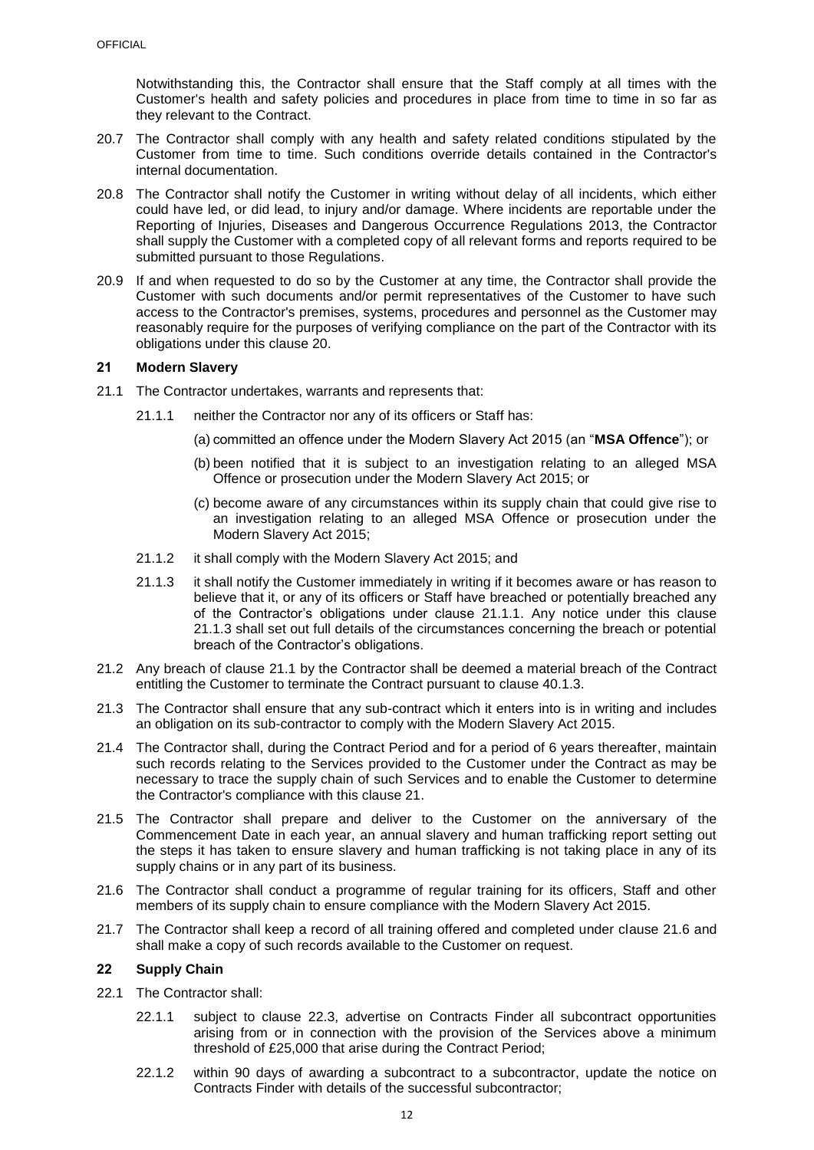Notwithstanding this, the Contractor shall ensure that the Staff comply at all times with the Customer's health and safety policies and procedures in place from time to time in so far as they relevant to the Contract.

- 20.7 The Contractor shall comply with any health and safety related conditions stipulated by the Customer from time to time. Such conditions override details contained in the Contractor's internal documentation.
- 20.8 The Contractor shall notify the Customer in writing without delay of all incidents, which either could have led, or did lead, to injury and/or damage. Where incidents are reportable under the Reporting of Injuries, Diseases and Dangerous Occurrence Regulations 2013, the Contractor shall supply the Customer with a completed copy of all relevant forms and reports required to be submitted pursuant to those Regulations.
- 20.9 If and when requested to do so by the Customer at any time, the Contractor shall provide the Customer with such documents and/or permit representatives of the Customer to have such access to the Contractor's premises, systems, procedures and personnel as the Customer may reasonably require for the purposes of verifying compliance on the part of the Contractor with its obligations under this clause [20.](#page-12-2)

### <span id="page-13-0"></span>**21 Modern Slavery**

- <span id="page-13-4"></span><span id="page-13-2"></span>21.1 The Contractor undertakes, warrants and represents that:
	- 21.1.1 neither the Contractor nor any of its officers or Staff has:
		- (a) committed an offence under the Modern Slavery Act 2015 (an "**MSA Offence**"); or
		- (b) been notified that it is subject to an investigation relating to an alleged MSA Offence or prosecution under the Modern Slavery Act 2015; or
		- (c) become aware of any circumstances within its supply chain that could give rise to an investigation relating to an alleged MSA Offence or prosecution under the Modern Slavery Act 2015;
	- 21.1.2 it shall comply with the Modern Slavery Act 2015; and
	- 21.1.3 it shall notify the Customer immediately in writing if it becomes aware or has reason to believe that it, or any of its officers or Staff have breached or potentially breached any of the Contractor's obligations under clause [21.1.1.](#page-13-2) Any notice under this clause [21.1.3](#page-13-3) shall set out full details of the circumstances concerning the breach or potential breach of the Contractor's obligations.
- <span id="page-13-3"></span>21.2 Any breach of clause [21.1](#page-13-4) by the Contractor shall be deemed a material breach of the Contract entitling the Customer to terminate the Contract pursuant to clause [40.1.3.](#page-21-2)
- 21.3 The Contractor shall ensure that any sub-contract which it enters into is in writing and includes an obligation on its sub-contractor to comply with the Modern Slavery Act 2015.
- 21.4 The Contractor shall, during the Contract Period and for a period of 6 years thereafter, maintain such records relating to the Services provided to the Customer under the Contract as may be necessary to trace the supply chain of such Services and to enable the Customer to determine the Contractor's compliance with this clause [21.](#page-13-0)
- 21.5 The Contractor shall prepare and deliver to the Customer on the anniversary of the Commencement Date in each year, an annual slavery and human trafficking report setting out the steps it has taken to ensure slavery and human trafficking is not taking place in any of its supply chains or in any part of its business.
- <span id="page-13-5"></span>21.6 The Contractor shall conduct a programme of regular training for its officers, Staff and other members of its supply chain to ensure compliance with the Modern Slavery Act 2015.
- 21.7 The Contractor shall keep a record of all training offered and completed under clause [21.6](#page-13-5) and shall make a copy of such records available to the Customer on request.

#### <span id="page-13-1"></span>**22 Supply Chain**

- <span id="page-13-7"></span><span id="page-13-6"></span>22.1 The Contractor shall:
	- 22.1.1 subject to clause [22.3,](#page-14-4) advertise on Contracts Finder all subcontract opportunities arising from or in connection with the provision of the Services above a minimum threshold of £25,000 that arise during the Contract Period;
	- 22.1.2 within 90 days of awarding a subcontract to a subcontractor, update the notice on Contracts Finder with details of the successful subcontractor;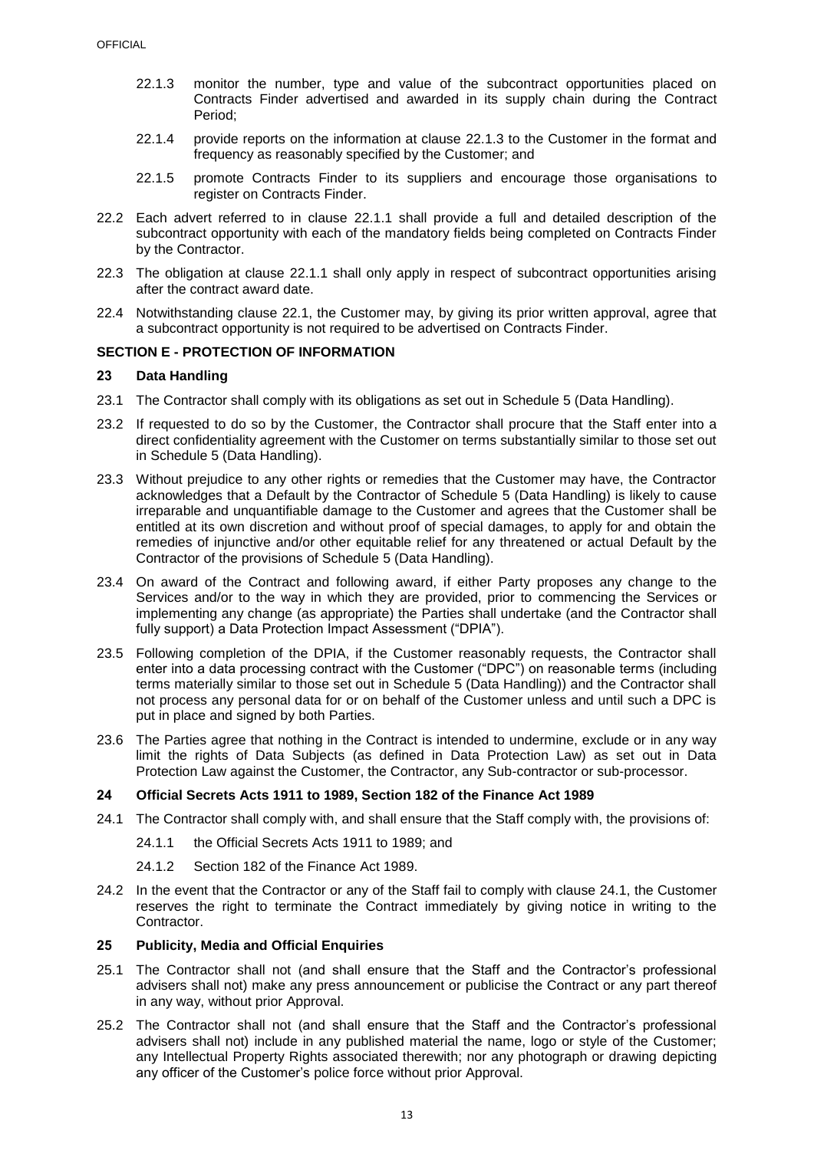- <span id="page-14-5"></span>22.1.3 monitor the number, type and value of the subcontract opportunities placed on Contracts Finder advertised and awarded in its supply chain during the Contract Period;
- 22.1.4 provide reports on the information at clause [22.1.3](#page-14-5) to the Customer in the format and frequency as reasonably specified by the Customer; and
- 22.1.5 promote Contracts Finder to its suppliers and encourage those organisations to register on Contracts Finder.
- 22.2 Each advert referred to in clause [22.1.1](#page-13-6) shall provide a full and detailed description of the subcontract opportunity with each of the mandatory fields being completed on Contracts Finder by the Contractor.
- <span id="page-14-4"></span>22.3 The obligation at clause [22.1.1](#page-13-6) shall only apply in respect of subcontract opportunities arising after the contract award date.
- 22.4 Notwithstanding clause [22.1,](#page-13-7) the Customer may, by giving its prior written approval, agree that a subcontract opportunity is not required to be advertised on Contracts Finder.

## <span id="page-14-0"></span>**SECTION E - PROTECTION OF INFORMATION**

### <span id="page-14-1"></span>**23 Data Handling**

- 23.1 The Contractor shall comply with its obligations as set out in Schedule 5 (Data Handling).
- 23.2 If requested to do so by the Customer, the Contractor shall procure that the Staff enter into a direct confidentiality agreement with the Customer on terms substantially similar to those set out in Schedule 5 (Data Handling).
- 23.3 Without prejudice to any other rights or remedies that the Customer may have, the Contractor acknowledges that a Default by the Contractor of Schedule 5 (Data Handling) is likely to cause irreparable and unquantifiable damage to the Customer and agrees that the Customer shall be entitled at its own discretion and without proof of special damages, to apply for and obtain the remedies of injunctive and/or other equitable relief for any threatened or actual Default by the Contractor of the provisions of Schedule 5 (Data Handling).
- 23.4 On award of the Contract and following award, if either Party proposes any change to the Services and/or to the way in which they are provided, prior to commencing the Services or implementing any change (as appropriate) the Parties shall undertake (and the Contractor shall fully support) a Data Protection Impact Assessment ("DPIA").
- 23.5 Following completion of the DPIA, if the Customer reasonably requests, the Contractor shall enter into a data processing contract with the Customer ("DPC") on reasonable terms (including terms materially similar to those set out in Schedule 5 (Data Handling)) and the Contractor shall not process any personal data for or on behalf of the Customer unless and until such a DPC is put in place and signed by both Parties.
- 23.6 The Parties agree that nothing in the Contract is intended to undermine, exclude or in any way limit the rights of Data Subjects (as defined in Data Protection Law) as set out in Data Protection Law against the Customer, the Contractor, any Sub-contractor or sub-processor.

## <span id="page-14-2"></span>**24 Official Secrets Acts 1911 to 1989, Section 182 of the Finance Act 1989**

- <span id="page-14-6"></span>24.1 The Contractor shall comply with, and shall ensure that the Staff comply with, the provisions of:
	- 24.1.1 the Official Secrets Acts 1911 to 1989; and
	- 24.1.2 Section 182 of the Finance Act 1989.
- 24.2 In the event that the Contractor or any of the Staff fail to comply with clause [24.1,](#page-14-6) the Customer reserves the right to terminate the Contract immediately by giving notice in writing to the Contractor.

#### <span id="page-14-3"></span>**25 Publicity, Media and Official Enquiries**

- 25.1 The Contractor shall not (and shall ensure that the Staff and the Contractor's professional advisers shall not) make any press announcement or publicise the Contract or any part thereof in any way, without prior Approval.
- 25.2 The Contractor shall not (and shall ensure that the Staff and the Contractor's professional advisers shall not) include in any published material the name, logo or style of the Customer; any Intellectual Property Rights associated therewith; nor any photograph or drawing depicting any officer of the Customer's police force without prior Approval.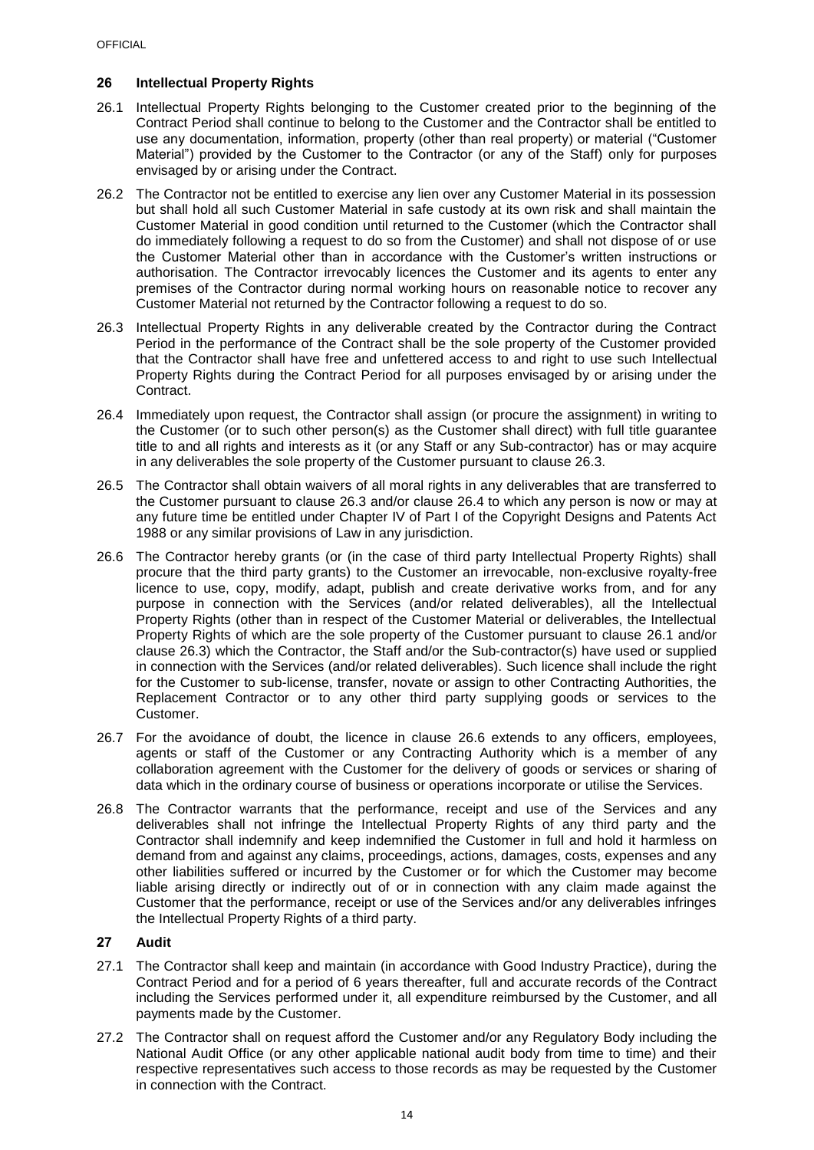## <span id="page-15-0"></span>**26 Intellectual Property Rights**

- <span id="page-15-2"></span>26.1 Intellectual Property Rights belonging to the Customer created prior to the beginning of the Contract Period shall continue to belong to the Customer and the Contractor shall be entitled to use any documentation, information, property (other than real property) or material ("Customer Material") provided by the Customer to the Contractor (or any of the Staff) only for purposes envisaged by or arising under the Contract.
- 26.2 The Contractor not be entitled to exercise any lien over any Customer Material in its possession but shall hold all such Customer Material in safe custody at its own risk and shall maintain the Customer Material in good condition until returned to the Customer (which the Contractor shall do immediately following a request to do so from the Customer) and shall not dispose of or use the Customer Material other than in accordance with the Customer's written instructions or authorisation. The Contractor irrevocably licences the Customer and its agents to enter any premises of the Contractor during normal working hours on reasonable notice to recover any Customer Material not returned by the Contractor following a request to do so.
- <span id="page-15-3"></span>26.3 Intellectual Property Rights in any deliverable created by the Contractor during the Contract Period in the performance of the Contract shall be the sole property of the Customer provided that the Contractor shall have free and unfettered access to and right to use such Intellectual Property Rights during the Contract Period for all purposes envisaged by or arising under the Contract.
- <span id="page-15-4"></span>26.4 Immediately upon request, the Contractor shall assign (or procure the assignment) in writing to the Customer (or to such other person(s) as the Customer shall direct) with full title guarantee title to and all rights and interests as it (or any Staff or any Sub-contractor) has or may acquire in any deliverables the sole property of the Customer pursuant to clause [26.3.](#page-15-3)
- 26.5 The Contractor shall obtain waivers of all moral rights in any deliverables that are transferred to the Customer pursuant to clause [26.3](#page-15-3) and/or clause [26.4](#page-15-4) to which any person is now or may at any future time be entitled under Chapter IV of Part I of the Copyright Designs and Patents Act 1988 or any similar provisions of Law in any jurisdiction.
- <span id="page-15-5"></span>26.6 The Contractor hereby grants (or (in the case of third party Intellectual Property Rights) shall procure that the third party grants) to the Customer an irrevocable, non-exclusive royalty-free licence to use, copy, modify, adapt, publish and create derivative works from, and for any purpose in connection with the Services (and/or related deliverables), all the Intellectual Property Rights (other than in respect of the Customer Material or deliverables, the Intellectual Property Rights of which are the sole property of the Customer pursuant to clause [26.1](#page-15-2) and/or clause [26.3\)](#page-15-3) which the Contractor, the Staff and/or the Sub-contractor(s) have used or supplied in connection with the Services (and/or related deliverables). Such licence shall include the right for the Customer to sub-license, transfer, novate or assign to other Contracting Authorities, the Replacement Contractor or to any other third party supplying goods or services to the Customer.
- 26.7 For the avoidance of doubt, the licence in clause [26.6](#page-15-5) extends to any officers, employees, agents or staff of the Customer or any Contracting Authority which is a member of any collaboration agreement with the Customer for the delivery of goods or services or sharing of data which in the ordinary course of business or operations incorporate or utilise the Services.
- 26.8 The Contractor warrants that the performance, receipt and use of the Services and any deliverables shall not infringe the Intellectual Property Rights of any third party and the Contractor shall indemnify and keep indemnified the Customer in full and hold it harmless on demand from and against any claims, proceedings, actions, damages, costs, expenses and any other liabilities suffered or incurred by the Customer or for which the Customer may become liable arising directly or indirectly out of or in connection with any claim made against the Customer that the performance, receipt or use of the Services and/or any deliverables infringes the Intellectual Property Rights of a third party.

## <span id="page-15-1"></span>**27 Audit**

- 27.1 The Contractor shall keep and maintain (in accordance with Good Industry Practice), during the Contract Period and for a period of 6 years thereafter, full and accurate records of the Contract including the Services performed under it, all expenditure reimbursed by the Customer, and all payments made by the Customer.
- 27.2 The Contractor shall on request afford the Customer and/or any Regulatory Body including the National Audit Office (or any other applicable national audit body from time to time) and their respective representatives such access to those records as may be requested by the Customer in connection with the Contract.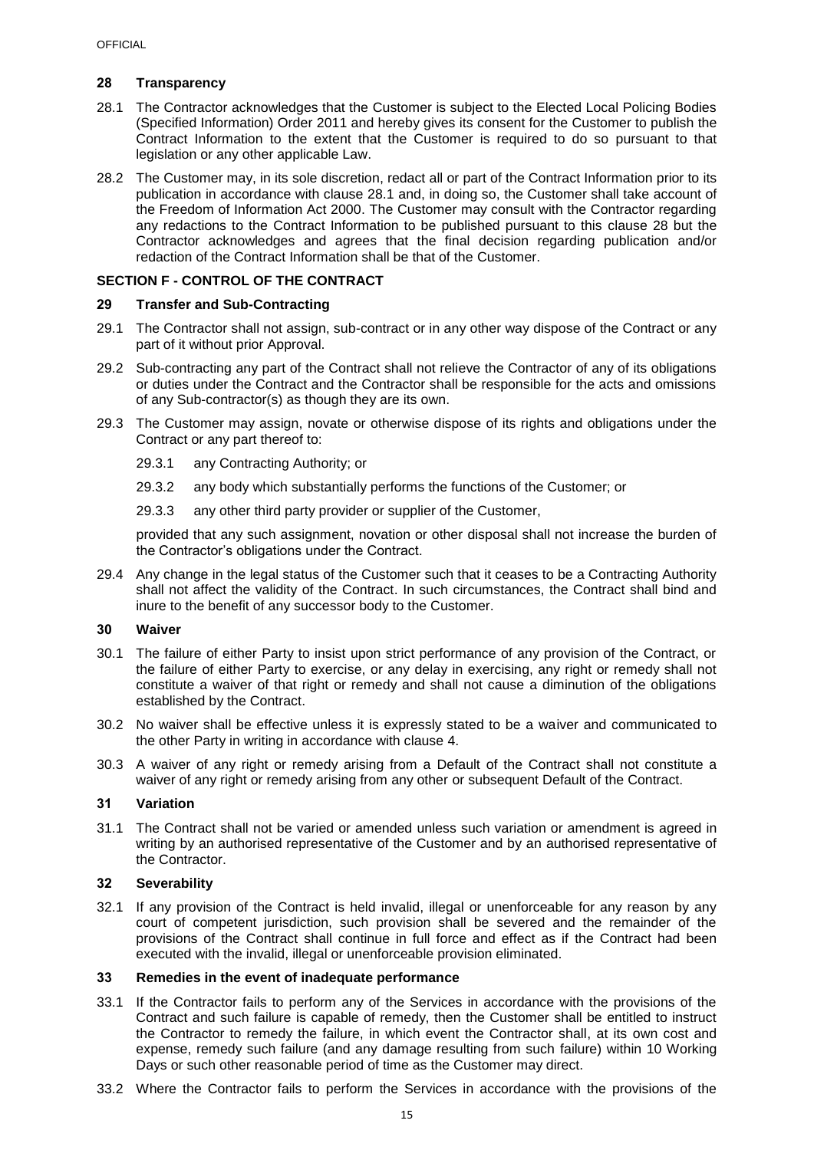## <span id="page-16-0"></span>**28 Transparency**

- <span id="page-16-7"></span>28.1 The Contractor acknowledges that the Customer is subject to the Elected Local Policing Bodies (Specified Information) Order 2011 and hereby gives its consent for the Customer to publish the Contract Information to the extent that the Customer is required to do so pursuant to that legislation or any other applicable Law.
- 28.2 The Customer may, in its sole discretion, redact all or part of the Contract Information prior to its publication in accordance with clause [28.1](#page-16-7) and, in doing so, the Customer shall take account of the Freedom of Information Act 2000. The Customer may consult with the Contractor regarding any redactions to the Contract Information to be published pursuant to this clause [28](#page-16-0) but the Contractor acknowledges and agrees that the final decision regarding publication and/or redaction of the Contract Information shall be that of the Customer.

## <span id="page-16-1"></span>**SECTION F - CONTROL OF THE CONTRACT**

#### <span id="page-16-2"></span>**29 Transfer and Sub-Contracting**

- 29.1 The Contractor shall not assign, sub-contract or in any other way dispose of the Contract or any part of it without prior Approval.
- 29.2 Sub-contracting any part of the Contract shall not relieve the Contractor of any of its obligations or duties under the Contract and the Contractor shall be responsible for the acts and omissions of any Sub-contractor(s) as though they are its own.
- 29.3 The Customer may assign, novate or otherwise dispose of its rights and obligations under the Contract or any part thereof to:
	- 29.3.1 any Contracting Authority; or
	- 29.3.2 any body which substantially performs the functions of the Customer; or
	- 29.3.3 any other third party provider or supplier of the Customer,

provided that any such assignment, novation or other disposal shall not increase the burden of the Contractor's obligations under the Contract.

29.4 Any change in the legal status of the Customer such that it ceases to be a Contracting Authority shall not affect the validity of the Contract. In such circumstances, the Contract shall bind and inure to the benefit of any successor body to the Customer.

#### <span id="page-16-3"></span>**30 Waiver**

- 30.1 The failure of either Party to insist upon strict performance of any provision of the Contract, or the failure of either Party to exercise, or any delay in exercising, any right or remedy shall not constitute a waiver of that right or remedy and shall not cause a diminution of the obligations established by the Contract.
- 30.2 No waiver shall be effective unless it is expressly stated to be a waiver and communicated to the other Party in writing in accordance with clause [4.](#page-6-2)
- 30.3 A waiver of any right or remedy arising from a Default of the Contract shall not constitute a waiver of any right or remedy arising from any other or subsequent Default of the Contract.

## <span id="page-16-4"></span>**31 Variation**

31.1 The Contract shall not be varied or amended unless such variation or amendment is agreed in writing by an authorised representative of the Customer and by an authorised representative of the Contractor.

### <span id="page-16-5"></span>**32 Severability**

32.1 If any provision of the Contract is held invalid, illegal or unenforceable for any reason by any court of competent jurisdiction, such provision shall be severed and the remainder of the provisions of the Contract shall continue in full force and effect as if the Contract had been executed with the invalid, illegal or unenforceable provision eliminated.

#### <span id="page-16-6"></span>**33 Remedies in the event of inadequate performance**

- 33.1 If the Contractor fails to perform any of the Services in accordance with the provisions of the Contract and such failure is capable of remedy, then the Customer shall be entitled to instruct the Contractor to remedy the failure, in which event the Contractor shall, at its own cost and expense, remedy such failure (and any damage resulting from such failure) within 10 Working Days or such other reasonable period of time as the Customer may direct.
- 33.2 Where the Contractor fails to perform the Services in accordance with the provisions of the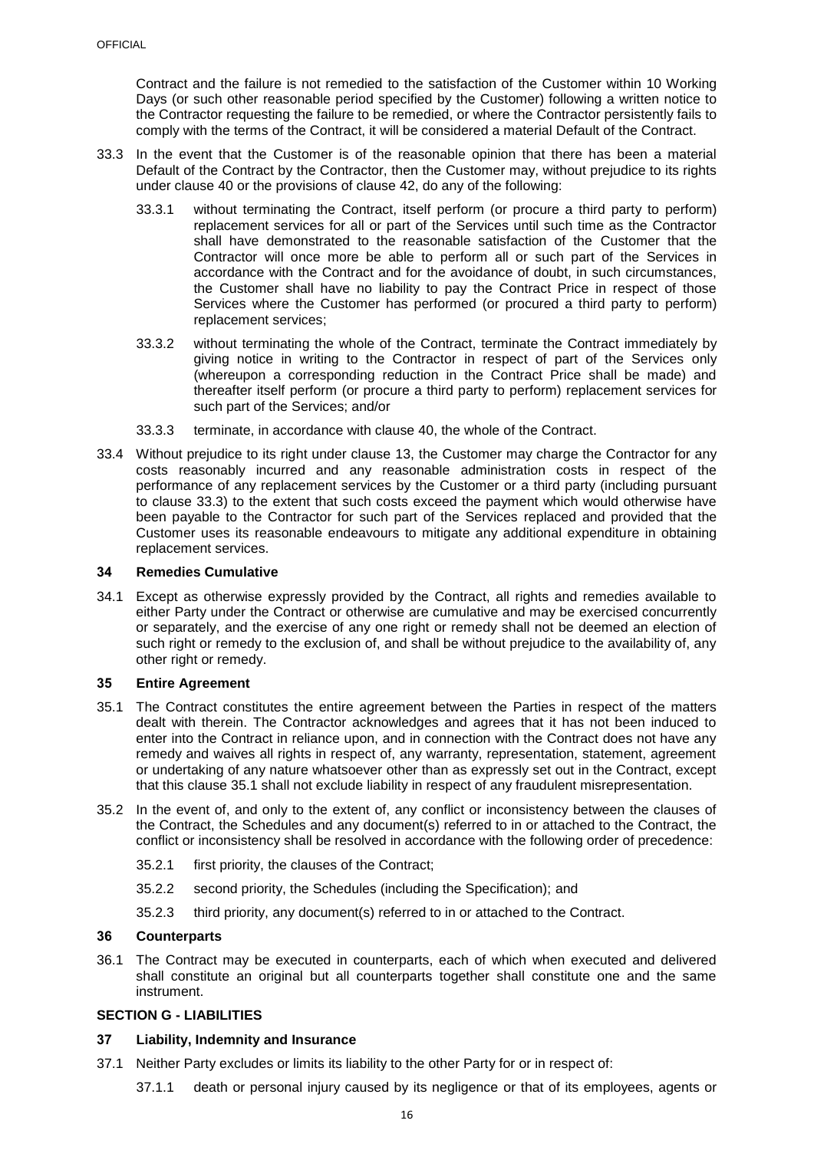Contract and the failure is not remedied to the satisfaction of the Customer within 10 Working Days (or such other reasonable period specified by the Customer) following a written notice to the Contractor requesting the failure to be remedied, or where the Contractor persistently fails to comply with the terms of the Contract, it will be considered a material Default of the Contract.

- <span id="page-17-5"></span>33.3 In the event that the Customer is of the reasonable opinion that there has been a material Default of the Contract by the Contractor, then the Customer may, without prejudice to its rights under clause [40](#page-21-0) or the provisions of clause [42,](#page-22-1) do any of the following:
	- 33.3.1 without terminating the Contract, itself perform (or procure a third party to perform) replacement services for all or part of the Services until such time as the Contractor shall have demonstrated to the reasonable satisfaction of the Customer that the Contractor will once more be able to perform all or such part of the Services in accordance with the Contract and for the avoidance of doubt, in such circumstances, the Customer shall have no liability to pay the Contract Price in respect of those Services where the Customer has performed (or procured a third party to perform) replacement services;
	- 33.3.2 without terminating the whole of the Contract, terminate the Contract immediately by giving notice in writing to the Contractor in respect of part of the Services only (whereupon a corresponding reduction in the Contract Price shall be made) and thereafter itself perform (or procure a third party to perform) replacement services for such part of the Services; and/or
	- 33.3.3 terminate, in accordance with clause [40,](#page-21-0) the whole of the Contract.
- 33.4 Without prejudice to its right under clause [13,](#page-10-0) the Customer may charge the Contractor for any costs reasonably incurred and any reasonable administration costs in respect of the performance of any replacement services by the Customer or a third party (including pursuant to clause [33.3\)](#page-17-5) to the extent that such costs exceed the payment which would otherwise have been payable to the Contractor for such part of the Services replaced and provided that the Customer uses its reasonable endeavours to mitigate any additional expenditure in obtaining replacement services.

### <span id="page-17-0"></span>**34 Remedies Cumulative**

34.1 Except as otherwise expressly provided by the Contract, all rights and remedies available to either Party under the Contract or otherwise are cumulative and may be exercised concurrently or separately, and the exercise of any one right or remedy shall not be deemed an election of such right or remedy to the exclusion of, and shall be without prejudice to the availability of, any other right or remedy.

#### <span id="page-17-1"></span>**35 Entire Agreement**

- <span id="page-17-6"></span>35.1 The Contract constitutes the entire agreement between the Parties in respect of the matters dealt with therein. The Contractor acknowledges and agrees that it has not been induced to enter into the Contract in reliance upon, and in connection with the Contract does not have any remedy and waives all rights in respect of, any warranty, representation, statement, agreement or undertaking of any nature whatsoever other than as expressly set out in the Contract, except that this clause [35.1](#page-17-6) shall not exclude liability in respect of any fraudulent misrepresentation.
- 35.2 In the event of, and only to the extent of, any conflict or inconsistency between the clauses of the Contract, the Schedules and any document(s) referred to in or attached to the Contract, the conflict or inconsistency shall be resolved in accordance with the following order of precedence:
	- 35.2.1 first priority, the clauses of the Contract;
	- 35.2.2 second priority, the Schedules (including the Specification); and
	- 35.2.3 third priority, any document(s) referred to in or attached to the Contract.

### <span id="page-17-2"></span>**36 Counterparts**

36.1 The Contract may be executed in counterparts, each of which when executed and delivered shall constitute an original but all counterparts together shall constitute one and the same instrument.

#### <span id="page-17-3"></span>**SECTION G - LIABILITIES**

#### <span id="page-17-4"></span>**37 Liability, Indemnity and Insurance**

- <span id="page-17-7"></span>37.1 Neither Party excludes or limits its liability to the other Party for or in respect of:
	- 37.1.1 death or personal injury caused by its negligence or that of its employees, agents or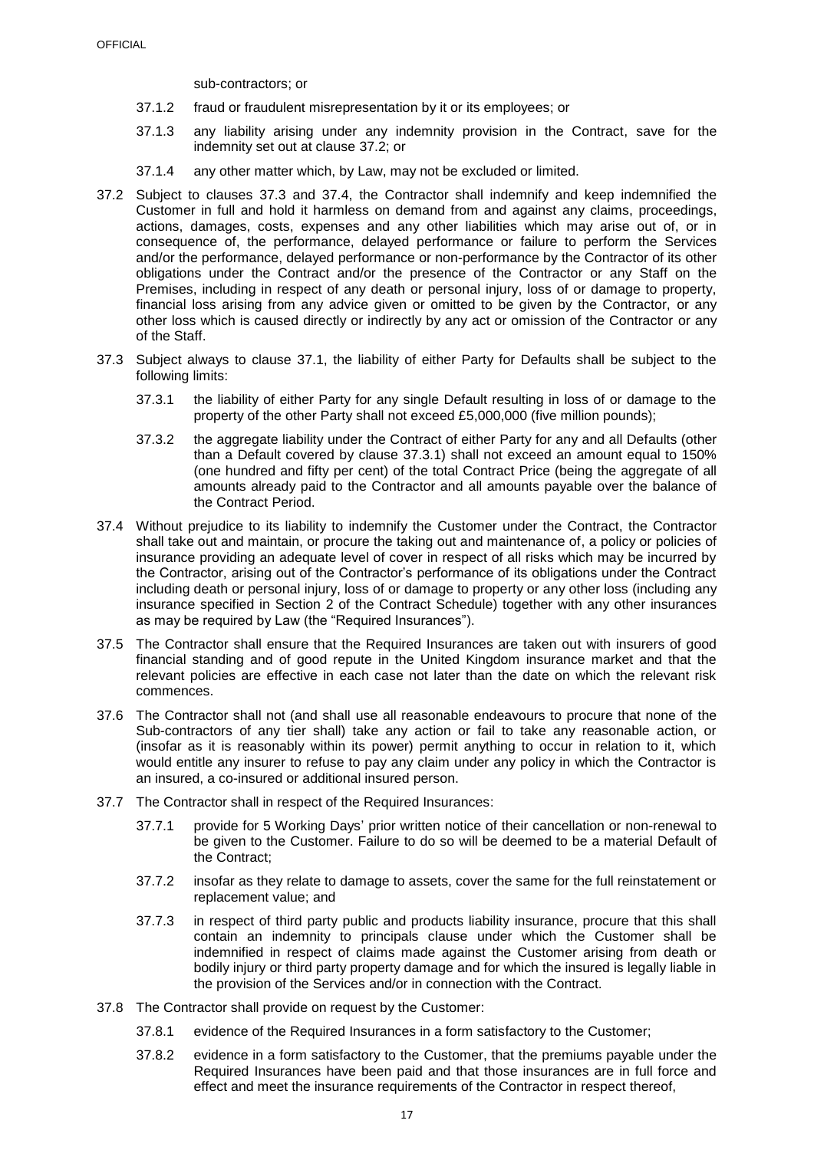sub-contractors; or

- 37.1.2 fraud or fraudulent misrepresentation by it or its employees; or
- 37.1.3 any liability arising under any indemnity provision in the Contract, save for the indemnity set out at clause [37.2;](#page-18-1) or
- 37.1.4 any other matter which, by Law, may not be excluded or limited.
- <span id="page-18-1"></span>37.2 Subject to clauses [37.3](#page-18-2) and [37.4,](#page-18-0) the Contractor shall indemnify and keep indemnified the Customer in full and hold it harmless on demand from and against any claims, proceedings, actions, damages, costs, expenses and any other liabilities which may arise out of, or in consequence of, the performance, delayed performance or failure to perform the Services and/or the performance, delayed performance or non-performance by the Contractor of its other obligations under the Contract and/or the presence of the Contractor or any Staff on the Premises, including in respect of any death or personal injury, loss of or damage to property, financial loss arising from any advice given or omitted to be given by the Contractor, or any other loss which is caused directly or indirectly by any act or omission of the Contractor or any of the Staff.
- <span id="page-18-3"></span><span id="page-18-2"></span>37.3 Subject always to clause [37.1,](#page-17-7) the liability of either Party for Defaults shall be subject to the following limits:
	- 37.3.1 the liability of either Party for any single Default resulting in loss of or damage to the property of the other Party shall not exceed £5,000,000 (five million pounds);
	- 37.3.2 the aggregate liability under the Contract of either Party for any and all Defaults (other than a Default covered by clause [37.3.1\)](#page-18-3) shall not exceed an amount equal to 150% (one hundred and fifty per cent) of the total Contract Price (being the aggregate of all amounts already paid to the Contractor and all amounts payable over the balance of the Contract Period.
- <span id="page-18-0"></span>37.4 Without prejudice to its liability to indemnify the Customer under the Contract, the Contractor shall take out and maintain, or procure the taking out and maintenance of, a policy or policies of insurance providing an adequate level of cover in respect of all risks which may be incurred by the Contractor, arising out of the Contractor's performance of its obligations under the Contract including death or personal injury, loss of or damage to property or any other loss (including any insurance specified in Section 2 of the Contract Schedule) together with any other insurances as may be required by Law (the "Required Insurances").
- <span id="page-18-4"></span>37.5 The Contractor shall ensure that the Required Insurances are taken out with insurers of good financial standing and of good repute in the United Kingdom insurance market and that the relevant policies are effective in each case not later than the date on which the relevant risk commences.
- 37.6 The Contractor shall not (and shall use all reasonable endeavours to procure that none of the Sub-contractors of any tier shall) take any action or fail to take any reasonable action, or (insofar as it is reasonably within its power) permit anything to occur in relation to it, which would entitle any insurer to refuse to pay any claim under any policy in which the Contractor is an insured, a co-insured or additional insured person.
- 37.7 The Contractor shall in respect of the Required Insurances:
	- 37.7.1 provide for 5 Working Days' prior written notice of their cancellation or non-renewal to be given to the Customer. Failure to do so will be deemed to be a material Default of the Contract;
	- 37.7.2 insofar as they relate to damage to assets, cover the same for the full reinstatement or replacement value; and
	- 37.7.3 in respect of third party public and products liability insurance, procure that this shall contain an indemnity to principals clause under which the Customer shall be indemnified in respect of claims made against the Customer arising from death or bodily injury or third party property damage and for which the insured is legally liable in the provision of the Services and/or in connection with the Contract.
- 37.8 The Contractor shall provide on request by the Customer:
	- 37.8.1 evidence of the Required Insurances in a form satisfactory to the Customer;
	- 37.8.2 evidence in a form satisfactory to the Customer, that the premiums payable under the Required Insurances have been paid and that those insurances are in full force and effect and meet the insurance requirements of the Contractor in respect thereof,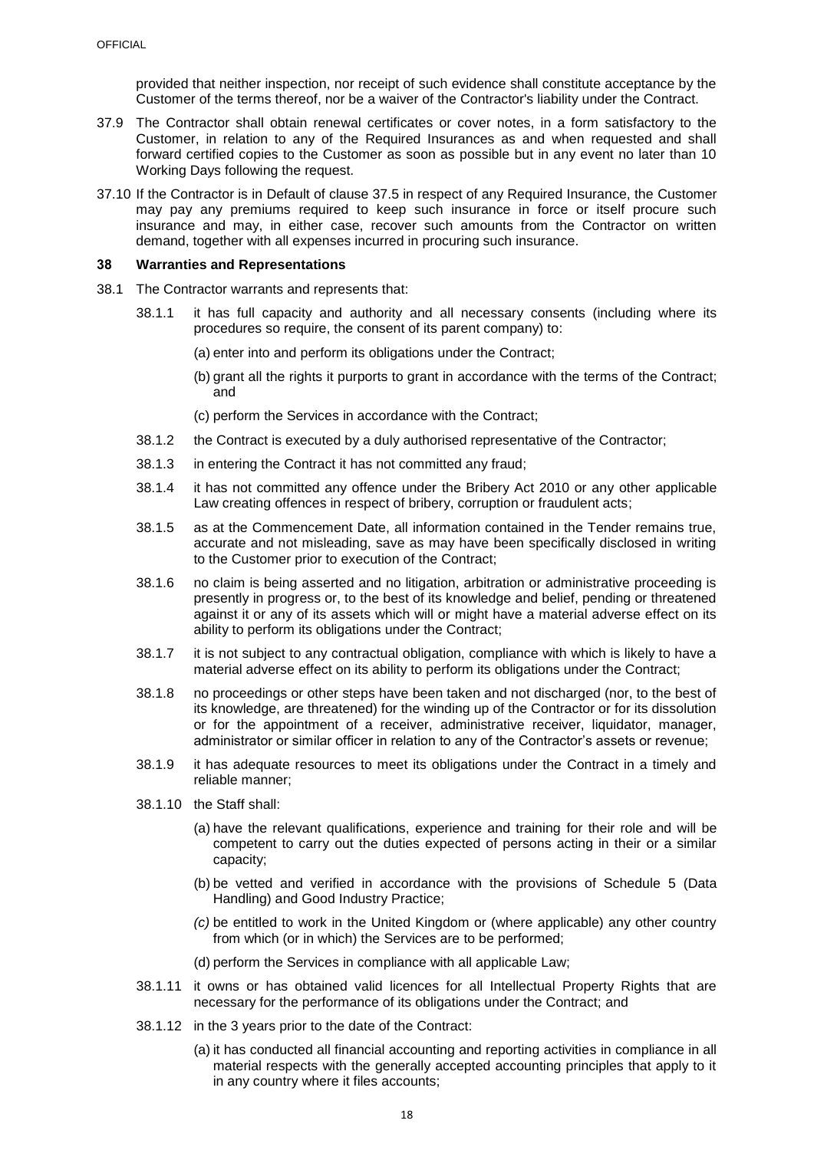provided that neither inspection, nor receipt of such evidence shall constitute acceptance by the Customer of the terms thereof, nor be a waiver of the Contractor's liability under the Contract.

- 37.9 The Contractor shall obtain renewal certificates or cover notes, in a form satisfactory to the Customer, in relation to any of the Required Insurances as and when requested and shall forward certified copies to the Customer as soon as possible but in any event no later than 10 Working Days following the request.
- 37.10 If the Contractor is in Default of clause [37.5](#page-18-4) in respect of any Required Insurance, the Customer may pay any premiums required to keep such insurance in force or itself procure such insurance and may, in either case, recover such amounts from the Contractor on written demand, together with all expenses incurred in procuring such insurance.

#### <span id="page-19-0"></span>**38 Warranties and Representations**

- 38.1 The Contractor warrants and represents that:
	- 38.1.1 it has full capacity and authority and all necessary consents (including where its procedures so require, the consent of its parent company) to:
		- (a) enter into and perform its obligations under the Contract;
		- (b) grant all the rights it purports to grant in accordance with the terms of the Contract; and
		- (c) perform the Services in accordance with the Contract;
	- 38.1.2 the Contract is executed by a duly authorised representative of the Contractor;
	- 38.1.3 in entering the Contract it has not committed any fraud;
	- 38.1.4 it has not committed any offence under the Bribery Act 2010 or any other applicable Law creating offences in respect of bribery, corruption or fraudulent acts;
	- 38.1.5 as at the Commencement Date, all information contained in the Tender remains true, accurate and not misleading, save as may have been specifically disclosed in writing to the Customer prior to execution of the Contract;
	- 38.1.6 no claim is being asserted and no litigation, arbitration or administrative proceeding is presently in progress or, to the best of its knowledge and belief, pending or threatened against it or any of its assets which will or might have a material adverse effect on its ability to perform its obligations under the Contract;
	- 38.1.7 it is not subject to any contractual obligation, compliance with which is likely to have a material adverse effect on its ability to perform its obligations under the Contract;
	- 38.1.8 no proceedings or other steps have been taken and not discharged (nor, to the best of its knowledge, are threatened) for the winding up of the Contractor or for its dissolution or for the appointment of a receiver, administrative receiver, liquidator, manager, administrator or similar officer in relation to any of the Contractor's assets or revenue;
	- 38.1.9 it has adequate resources to meet its obligations under the Contract in a timely and reliable manner;
	- 38.1.10 the Staff shall:
		- (a) have the relevant qualifications, experience and training for their role and will be competent to carry out the duties expected of persons acting in their or a similar capacity;
		- (b) be vetted and verified in accordance with the provisions of Schedule 5 (Data Handling) and Good Industry Practice;
		- *(c)* be entitled to work in the United Kingdom or (where applicable) any other country from which (or in which) the Services are to be performed;
		- (d) perform the Services in compliance with all applicable Law;
	- 38.1.11 it owns or has obtained valid licences for all Intellectual Property Rights that are necessary for the performance of its obligations under the Contract; and
	- 38.1.12 in the 3 years prior to the date of the Contract:
		- (a) it has conducted all financial accounting and reporting activities in compliance in all material respects with the generally accepted accounting principles that apply to it in any country where it files accounts;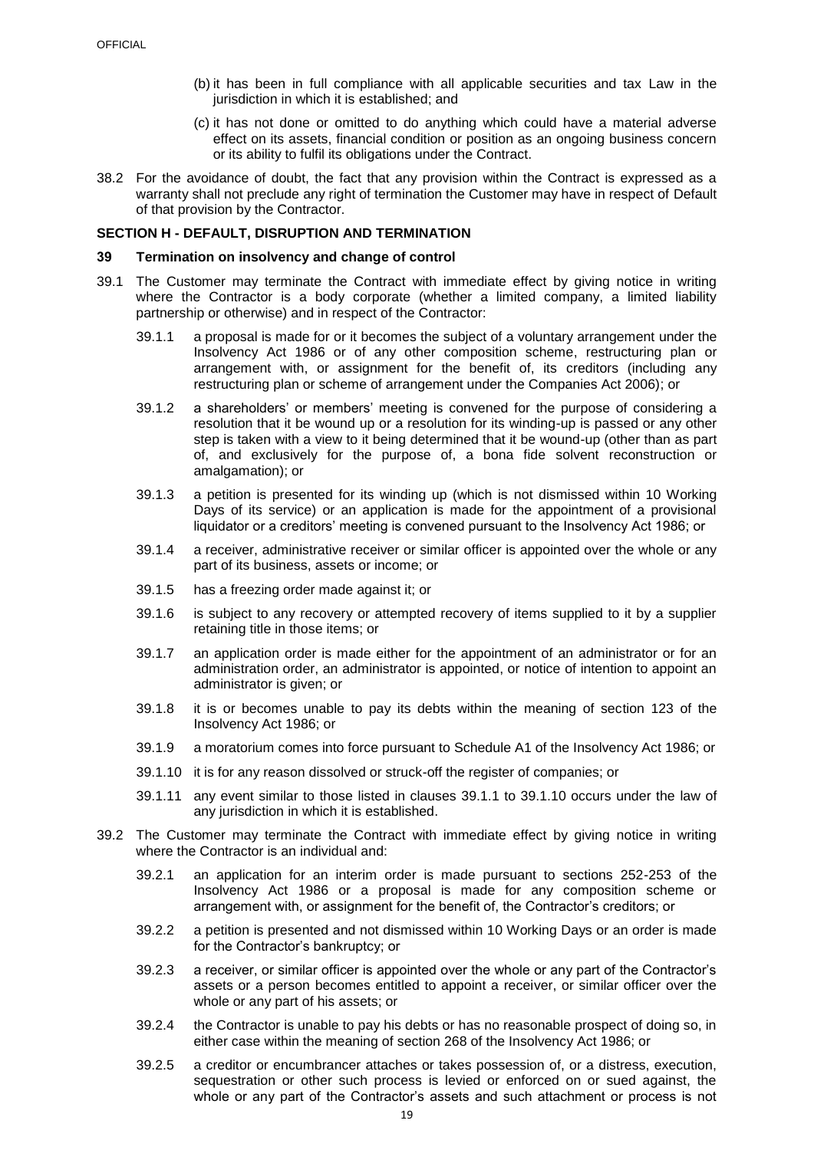- (b) it has been in full compliance with all applicable securities and tax Law in the jurisdiction in which it is established; and
- (c) it has not done or omitted to do anything which could have a material adverse effect on its assets, financial condition or position as an ongoing business concern or its ability to fulfil its obligations under the Contract.
- 38.2 For the avoidance of doubt, the fact that any provision within the Contract is expressed as a warranty shall not preclude any right of termination the Customer may have in respect of Default of that provision by the Contractor.

#### <span id="page-20-0"></span>**SECTION H - DEFAULT, DISRUPTION AND TERMINATION**

#### <span id="page-20-1"></span>**39 Termination on insolvency and change of control**

- <span id="page-20-2"></span>39.1 The Customer may terminate the Contract with immediate effect by giving notice in writing where the Contractor is a body corporate (whether a limited company, a limited liability partnership or otherwise) and in respect of the Contractor:
	- 39.1.1 a proposal is made for or it becomes the subject of a voluntary arrangement under the Insolvency Act 1986 or of any other composition scheme, restructuring plan or arrangement with, or assignment for the benefit of, its creditors (including any restructuring plan or scheme of arrangement under the Companies Act 2006); or
	- 39.1.2 a shareholders' or members' meeting is convened for the purpose of considering a resolution that it be wound up or a resolution for its winding-up is passed or any other step is taken with a view to it being determined that it be wound-up (other than as part of, and exclusively for the purpose of, a bona fide solvent reconstruction or amalgamation); or
	- 39.1.3 a petition is presented for its winding up (which is not dismissed within 10 Working Days of its service) or an application is made for the appointment of a provisional liquidator or a creditors' meeting is convened pursuant to the Insolvency Act 1986; or
	- 39.1.4 a receiver, administrative receiver or similar officer is appointed over the whole or any part of its business, assets or income; or
	- 39.1.5 has a freezing order made against it; or
	- 39.1.6 is subject to any recovery or attempted recovery of items supplied to it by a supplier retaining title in those items; or
	- 39.1.7 an application order is made either for the appointment of an administrator or for an administration order, an administrator is appointed, or notice of intention to appoint an administrator is given; or
	- 39.1.8 it is or becomes unable to pay its debts within the meaning of section 123 of the Insolvency Act 1986; or
	- 39.1.9 a moratorium comes into force pursuant to Schedule A1 of the Insolvency Act 1986; or
	- 39.1.10 it is for any reason dissolved or struck-off the register of companies; or
	- 39.1.11 any event similar to those listed in clauses [39.1.1](#page-20-2) to [39.1.10](#page-20-3) occurs under the law of any jurisdiction in which it is established.
- <span id="page-20-3"></span>39.2 The Customer may terminate the Contract with immediate effect by giving notice in writing where the Contractor is an individual and:
	- 39.2.1 an application for an interim order is made pursuant to sections 252-253 of the Insolvency Act 1986 or a proposal is made for any composition scheme or arrangement with, or assignment for the benefit of, the Contractor's creditors; or
	- 39.2.2 a petition is presented and not dismissed within 10 Working Days or an order is made for the Contractor's bankruptcy; or
	- 39.2.3 a receiver, or similar officer is appointed over the whole or any part of the Contractor's assets or a person becomes entitled to appoint a receiver, or similar officer over the whole or any part of his assets; or
	- 39.2.4 the Contractor is unable to pay his debts or has no reasonable prospect of doing so, in either case within the meaning of section 268 of the Insolvency Act 1986; or
	- 39.2.5 a creditor or encumbrancer attaches or takes possession of, or a distress, execution, sequestration or other such process is levied or enforced on or sued against, the whole or any part of the Contractor's assets and such attachment or process is not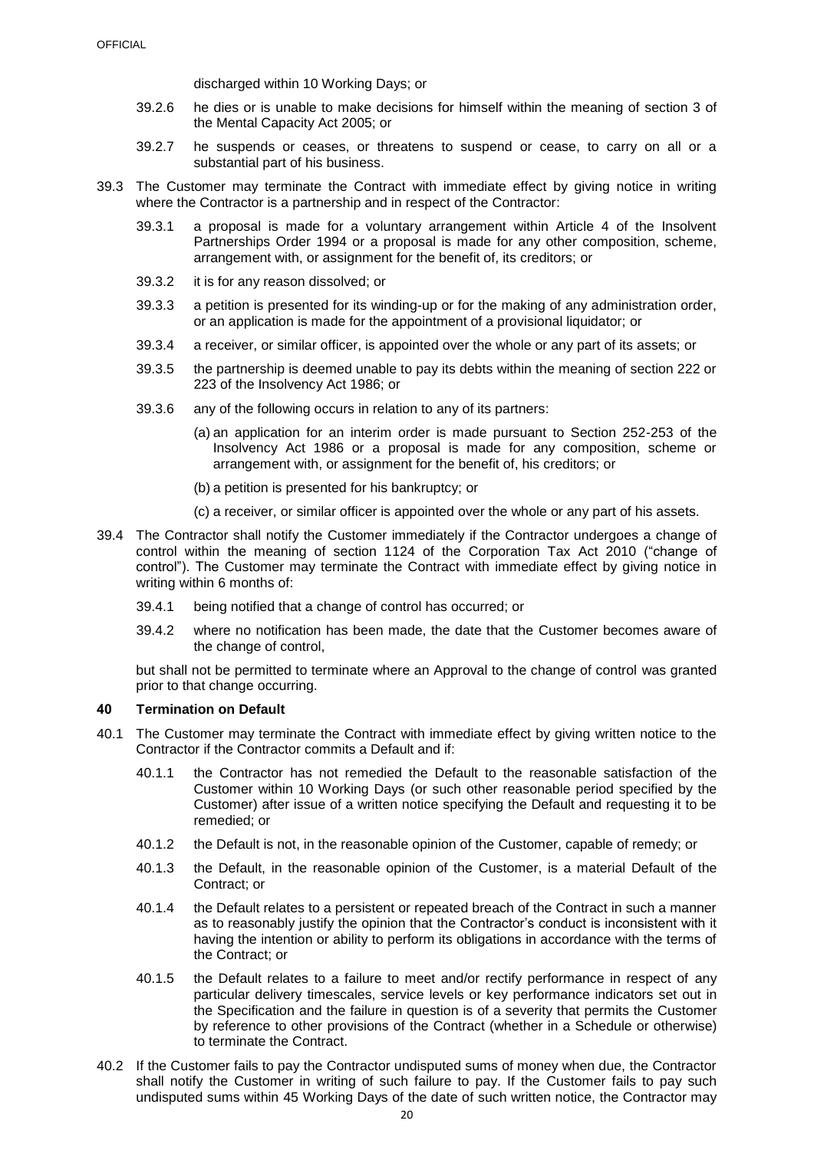discharged within 10 Working Days; or

- 39.2.6 he dies or is unable to make decisions for himself within the meaning of section 3 of the Mental Capacity Act 2005; or
- 39.2.7 he suspends or ceases, or threatens to suspend or cease, to carry on all or a substantial part of his business.
- 39.3 The Customer may terminate the Contract with immediate effect by giving notice in writing where the Contractor is a partnership and in respect of the Contractor:
	- 39.3.1 a proposal is made for a voluntary arrangement within Article 4 of the Insolvent Partnerships Order 1994 or a proposal is made for any other composition, scheme, arrangement with, or assignment for the benefit of, its creditors; or
	- 39.3.2 it is for any reason dissolved; or
	- 39.3.3 a petition is presented for its winding-up or for the making of any administration order, or an application is made for the appointment of a provisional liquidator; or
	- 39.3.4 a receiver, or similar officer, is appointed over the whole or any part of its assets; or
	- 39.3.5 the partnership is deemed unable to pay its debts within the meaning of section 222 or 223 of the Insolvency Act 1986; or
	- 39.3.6 any of the following occurs in relation to any of its partners:
		- (a) an application for an interim order is made pursuant to Section 252-253 of the Insolvency Act 1986 or a proposal is made for any composition, scheme or arrangement with, or assignment for the benefit of, his creditors; or
		- (b) a petition is presented for his bankruptcy; or
		- (c) a receiver, or similar officer is appointed over the whole or any part of his assets.
- 39.4 The Contractor shall notify the Customer immediately if the Contractor undergoes a change of control within the meaning of section 1124 of the Corporation Tax Act 2010 ("change of control"). The Customer may terminate the Contract with immediate effect by giving notice in writing within 6 months of:
	- 39.4.1 being notified that a change of control has occurred; or
	- 39.4.2 where no notification has been made, the date that the Customer becomes aware of the change of control,

but shall not be permitted to terminate where an Approval to the change of control was granted prior to that change occurring.

#### <span id="page-21-0"></span>**40 Termination on Default**

- <span id="page-21-2"></span>40.1 The Customer may terminate the Contract with immediate effect by giving written notice to the Contractor if the Contractor commits a Default and if:
	- 40.1.1 the Contractor has not remedied the Default to the reasonable satisfaction of the Customer within 10 Working Days (or such other reasonable period specified by the Customer) after issue of a written notice specifying the Default and requesting it to be remedied; or
	- 40.1.2 the Default is not, in the reasonable opinion of the Customer, capable of remedy; or
	- 40.1.3 the Default, in the reasonable opinion of the Customer, is a material Default of the Contract; or
	- 40.1.4 the Default relates to a persistent or repeated breach of the Contract in such a manner as to reasonably justify the opinion that the Contractor's conduct is inconsistent with it having the intention or ability to perform its obligations in accordance with the terms of the Contract; or
	- 40.1.5 the Default relates to a failure to meet and/or rectify performance in respect of any particular delivery timescales, service levels or key performance indicators set out in the Specification and the failure in question is of a severity that permits the Customer by reference to other provisions of the Contract (whether in a Schedule or otherwise) to terminate the Contract.
- <span id="page-21-1"></span>40.2 If the Customer fails to pay the Contractor undisputed sums of money when due, the Contractor shall notify the Customer in writing of such failure to pay. If the Customer fails to pay such undisputed sums within 45 Working Days of the date of such written notice, the Contractor may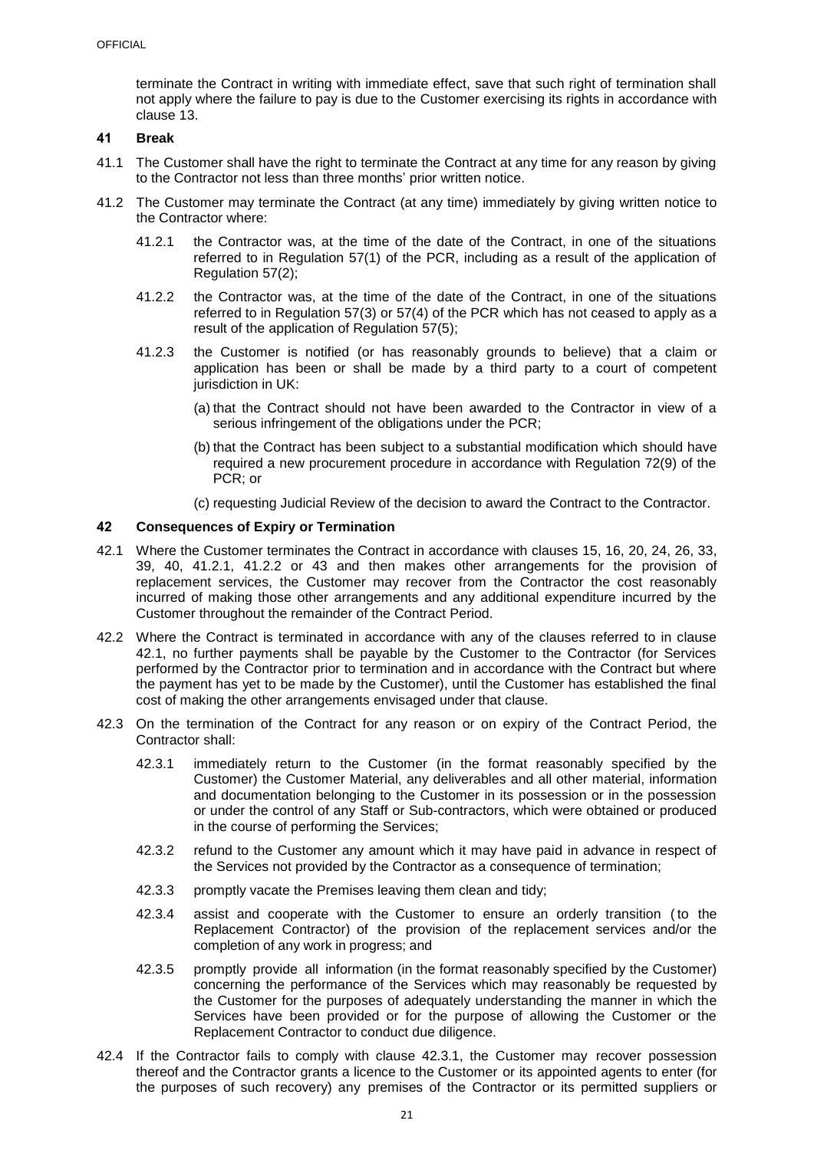terminate the Contract in writing with immediate effect, save that such right of termination shall not apply where the failure to pay is due to the Customer exercising its rights in accordance with clause [13.](#page-10-0)

## <span id="page-22-0"></span>**41 Break**

- 41.1 The Customer shall have the right to terminate the Contract at any time for any reason by giving to the Contractor not less than three months' prior written notice.
- <span id="page-22-3"></span><span id="page-22-2"></span>41.2 The Customer may terminate the Contract (at any time) immediately by giving written notice to the Contractor where:
	- 41.2.1 the Contractor was, at the time of the date of the Contract, in one of the situations referred to in Regulation 57(1) of the PCR, including as a result of the application of Regulation 57(2);
	- 41.2.2 the Contractor was, at the time of the date of the Contract, in one of the situations referred to in Regulation 57(3) or 57(4) of the PCR which has not ceased to apply as a result of the application of Regulation 57(5);
	- 41.2.3 the Customer is notified (or has reasonably grounds to believe) that a claim or application has been or shall be made by a third party to a court of competent jurisdiction in UK:
		- (a) that the Contract should not have been awarded to the Contractor in view of a serious infringement of the obligations under the PCR;
		- (b) that the Contract has been subject to a substantial modification which should have required a new procurement procedure in accordance with Regulation 72(9) of the PCR; or
		- (c) requesting Judicial Review of the decision to award the Contract to the Contractor.

#### <span id="page-22-1"></span>**42 Consequences of Expiry or Termination**

- <span id="page-22-4"></span>42.1 Where the Customer terminates the Contract in accordance with clauses [15,](#page-11-1) [16,](#page-11-2) [20,](#page-12-2) [24,](#page-14-2) [26,](#page-15-0) [33,](#page-16-6) [39,](#page-20-1) [40,](#page-21-0) [41.2.1,](#page-22-2) [41.2.2](#page-22-3) or [43](#page-23-0) and then makes other arrangements for the provision of replacement services, the Customer may recover from the Contractor the cost reasonably incurred of making those other arrangements and any additional expenditure incurred by the Customer throughout the remainder of the Contract Period.
- 42.2 Where the Contract is terminated in accordance with any of the clauses referred to in clause [42.1,](#page-22-4) no further payments shall be payable by the Customer to the Contractor (for Services performed by the Contractor prior to termination and in accordance with the Contract but where the payment has yet to be made by the Customer), until the Customer has established the final cost of making the other arrangements envisaged under that clause.
- <span id="page-22-6"></span><span id="page-22-5"></span>42.3 On the termination of the Contract for any reason or on expiry of the Contract Period, the Contractor shall:
	- 42.3.1 immediately return to the Customer (in the format reasonably specified by the Customer) the Customer Material, any deliverables and all other material, information and documentation belonging to the Customer in its possession or in the possession or under the control of any Staff or Sub-contractors, which were obtained or produced in the course of performing the Services;
	- 42.3.2 refund to the Customer any amount which it may have paid in advance in respect of the Services not provided by the Contractor as a consequence of termination;
	- 42.3.3 promptly vacate the Premises leaving them clean and tidy;
	- 42.3.4 assist and cooperate with the Customer to ensure an orderly transition ( to the Replacement Contractor) of the provision of the replacement services and/or the completion of any work in progress; and
	- 42.3.5 promptly provide all information (in the format reasonably specified by the Customer) concerning the performance of the Services which may reasonably be requested by the Customer for the purposes of adequately understanding the manner in which the Services have been provided or for the purpose of allowing the Customer or the Replacement Contractor to conduct due diligence.
- 42.4 If the Contractor fails to comply with clause [42.3.1,](#page-22-5) the Customer may recover possession thereof and the Contractor grants a licence to the Customer or its appointed agents to enter (for the purposes of such recovery) any premises of the Contractor or its permitted suppliers or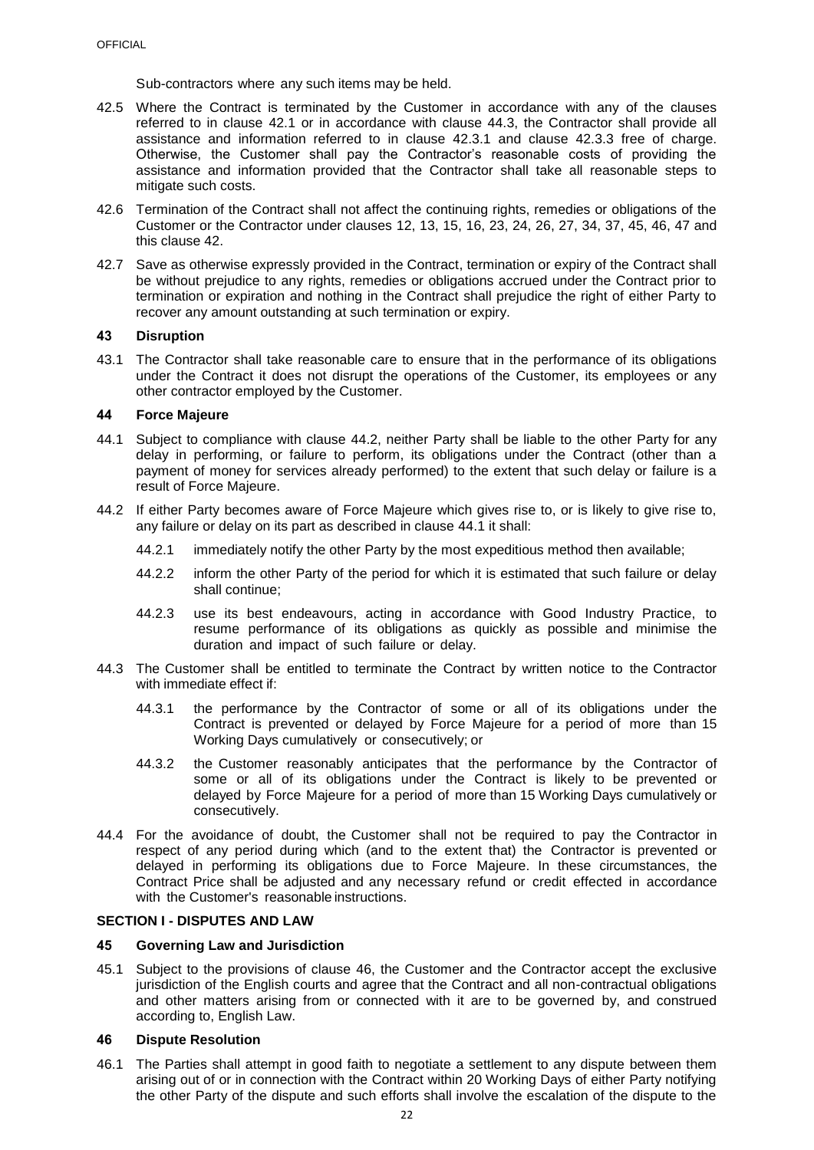Sub-contractors where any such items may be held.

- 42.5 Where the Contract is terminated by the Customer in accordance with any of the clauses referred to in clause [42.1](#page-22-4) or in accordance with clause [44.3,](#page-23-5) the Contractor shall provide all assistance and information referred to in clause [42.3.1](#page-22-5) and clause [42.3.3](#page-22-6) free of charge. Otherwise, the Customer shall pay the Contractor's reasonable costs of providing the assistance and information provided that the Contractor shall take all reasonable steps to mitigate such costs.
- 42.6 Termination of the Contract shall not affect the continuing rights, remedies or obligations of the Customer or the Contractor under clauses [12,](#page-9-1) [13,](#page-10-0) [15,](#page-11-1) [16,](#page-11-2) [23,](#page-14-1) [24,](#page-14-2) [26,](#page-15-0) [27,](#page-15-1) [34,](#page-17-0) [37,](#page-17-4) [45,](#page-23-3) [46,](#page-23-4) [47](#page-25-1) and this clause [42.](#page-22-1)
- 42.7 Save as otherwise expressly provided in the Contract, termination or expiry of the Contract shall be without prejudice to any rights, remedies or obligations accrued under the Contract prior to termination or expiration and nothing in the Contract shall prejudice the right of either Party to recover any amount outstanding at such termination or expiry.

#### <span id="page-23-0"></span>**43 Disruption**

43.1 The Contractor shall take reasonable care to ensure that in the performance of its obligations under the Contract it does not disrupt the operations of the Customer, its employees or any other contractor employed by the Customer.

#### <span id="page-23-1"></span>**44 Force Majeure**

- <span id="page-23-7"></span>44.1 Subject to compliance with clause [44.2,](#page-23-6) neither Party shall be liable to the other Party for any delay in performing, or failure to perform, its obligations under the Contract (other than a payment of money for services already performed) to the extent that such delay or failure is a result of Force Majeure.
- <span id="page-23-6"></span>44.2 If either Party becomes aware of Force Majeure which gives rise to, or is likely to give rise to, any failure or delay on its part as described in clause [44.1](#page-23-7) it shall:
	- 44.2.1 immediately notify the other Party by the most expeditious method then available;
	- 44.2.2 inform the other Party of the period for which it is estimated that such failure or delay shall continue;
	- 44.2.3 use its best endeavours, acting in accordance with Good Industry Practice, to resume performance of its obligations as quickly as possible and minimise the duration and impact of such failure or delay.
- <span id="page-23-5"></span>44.3 The Customer shall be entitled to terminate the Contract by written notice to the Contractor with immediate effect if:
	- 44.3.1 the performance by the Contractor of some or all of its obligations under the Contract is prevented or delayed by Force Majeure for a period of more than 15 Working Days cumulatively or consecutively; or
	- 44.3.2 the Customer reasonably anticipates that the performance by the Contractor of some or all of its obligations under the Contract is likely to be prevented or delayed by Force Majeure for a period of more than 15 Working Days cumulatively or consecutively.
- 44.4 For the avoidance of doubt, the Customer shall not be required to pay the Contractor in respect of any period during which (and to the extent that) the Contractor is prevented or delayed in performing its obligations due to Force Majeure. In these circumstances, the Contract Price shall be adjusted and any necessary refund or credit effected in accordance with the Customer's reasonable instructions.

#### <span id="page-23-2"></span>**SECTION I - DISPUTES AND LAW**

## <span id="page-23-3"></span>**45 Governing Law and Jurisdiction**

45.1 Subject to the provisions of clause [46,](#page-23-4) the Customer and the Contractor accept the exclusive jurisdiction of the English courts and agree that the Contract and all non-contractual obligations and other matters arising from or connected with it are to be governed by, and construed according to, English Law.

#### <span id="page-23-4"></span>**46 Dispute Resolution**

<span id="page-23-8"></span>46.1 The Parties shall attempt in good faith to negotiate a settlement to any dispute between them arising out of or in connection with the Contract within 20 Working Days of either Party notifying the other Party of the dispute and such efforts shall involve the escalation of the dispute to the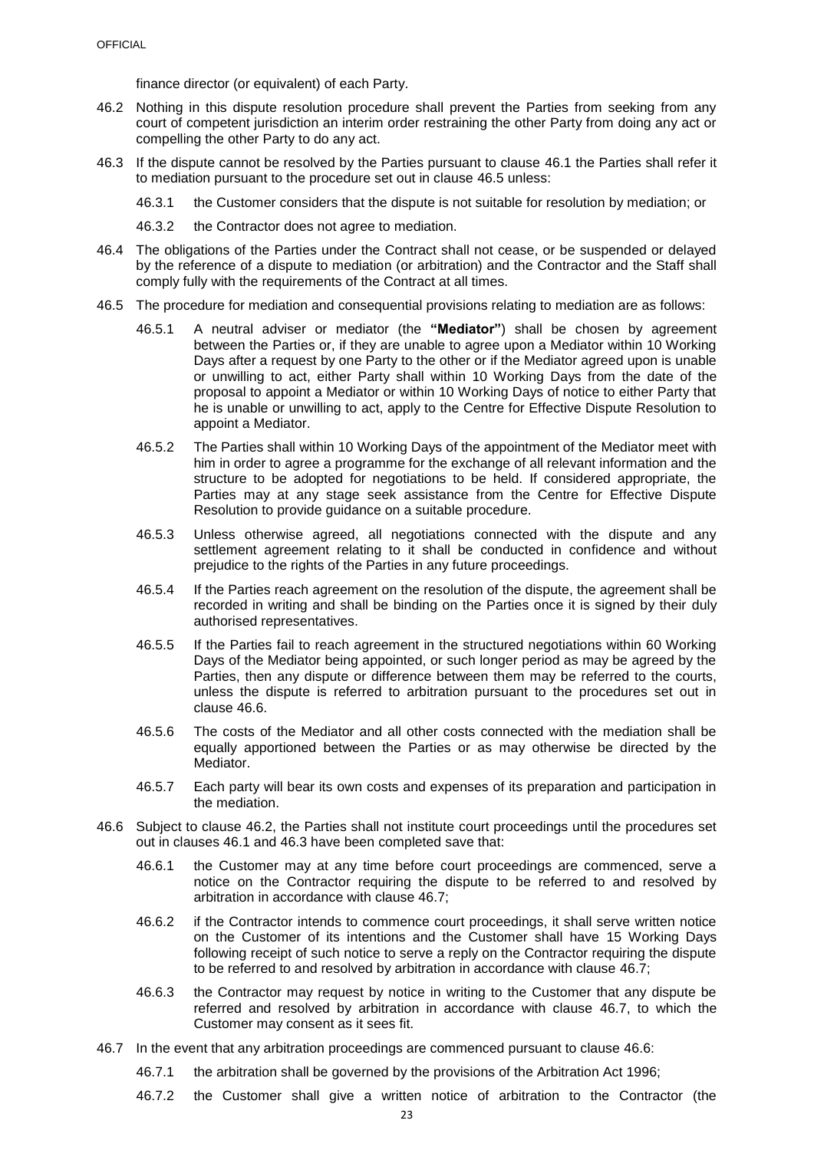finance director (or equivalent) of each Party.

- <span id="page-24-2"></span>46.2 Nothing in this dispute resolution procedure shall prevent the Parties from seeking from any court of competent jurisdiction an interim order restraining the other Party from doing any act or compelling the other Party to do any act.
- <span id="page-24-3"></span>46.3 If the dispute cannot be resolved by the Parties pursuant to clause [46.1](#page-23-8) the Parties shall refer it to mediation pursuant to the procedure set out in clause [46.5](#page-24-0) unless:
	- 46.3.1 the Customer considers that the dispute is not suitable for resolution by mediation; or
	- 46.3.2 the Contractor does not agree to mediation.
- 46.4 The obligations of the Parties under the Contract shall not cease, or be suspended or delayed by the reference of a dispute to mediation (or arbitration) and the Contractor and the Staff shall comply fully with the requirements of the Contract at all times.
- <span id="page-24-0"></span>46.5 The procedure for mediation and consequential provisions relating to mediation are as follows:
	- 46.5.1 A neutral adviser or mediator (the **"Mediator"**) shall be chosen by agreement between the Parties or, if they are unable to agree upon a Mediator within 10 Working Days after a request by one Party to the other or if the Mediator agreed upon is unable or unwilling to act, either Party shall within 10 Working Days from the date of the proposal to appoint a Mediator or within 10 Working Days of notice to either Party that he is unable or unwilling to act, apply to the Centre for Effective Dispute Resolution to appoint a Mediator.
	- 46.5.2 The Parties shall within 10 Working Days of the appointment of the Mediator meet with him in order to agree a programme for the exchange of all relevant information and the structure to be adopted for negotiations to be held. If considered appropriate, the Parties may at any stage seek assistance from the Centre for Effective Dispute Resolution to provide guidance on a suitable procedure.
	- 46.5.3 Unless otherwise agreed, all negotiations connected with the dispute and any settlement agreement relating to it shall be conducted in confidence and without prejudice to the rights of the Parties in any future proceedings.
	- 46.5.4 If the Parties reach agreement on the resolution of the dispute, the agreement shall be recorded in writing and shall be binding on the Parties once it is signed by their duly authorised representatives.
	- 46.5.5 If the Parties fail to reach agreement in the structured negotiations within 60 Working Days of the Mediator being appointed, or such longer period as may be agreed by the Parties, then any dispute or difference between them may be referred to the courts, unless the dispute is referred to arbitration pursuant to the procedures set out in clause [46.6.](#page-24-1)
	- 46.5.6 The costs of the Mediator and all other costs connected with the mediation shall be equally apportioned between the Parties or as may otherwise be directed by the Mediator.
	- 46.5.7 Each party will bear its own costs and expenses of its preparation and participation in the mediation.
- <span id="page-24-1"></span>46.6 Subject to clause [46.2,](#page-24-2) the Parties shall not institute court proceedings until the procedures set out in clauses [46.1](#page-23-8) and [46.3](#page-24-3) have been completed save that:
	- 46.6.1 the Customer may at any time before court proceedings are commenced, serve a notice on the Contractor requiring the dispute to be referred to and resolved by arbitration in accordance with clause [46.7;](#page-24-4)
	- 46.6.2 if the Contractor intends to commence court proceedings, it shall serve written notice on the Customer of its intentions and the Customer shall have 15 Working Days following receipt of such notice to serve a reply on the Contractor requiring the dispute to be referred to and resolved by arbitration in accordance with clause [46.7;](#page-24-4)
	- 46.6.3 the Contractor may request by notice in writing to the Customer that any dispute be referred and resolved by arbitration in accordance with clause [46.7,](#page-24-4) to which the Customer may consent as it sees fit.
- <span id="page-24-5"></span><span id="page-24-4"></span>46.7 In the event that any arbitration proceedings are commenced pursuant to clause [46.6:](#page-24-1)
	- 46.7.1 the arbitration shall be governed by the provisions of the Arbitration Act 1996;
	- 46.7.2 the Customer shall give a written notice of arbitration to the Contractor (the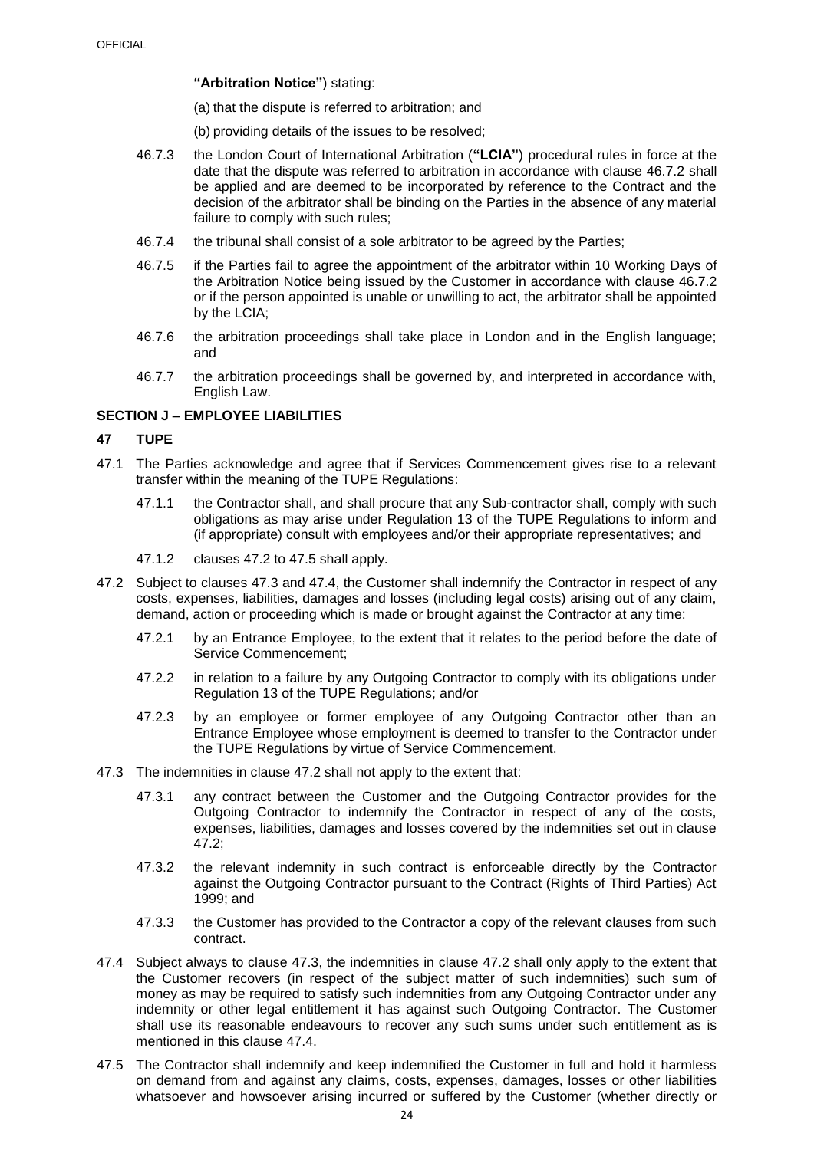**"Arbitration Notice"**) stating:

(a) that the dispute is referred to arbitration; and

- (b) providing details of the issues to be resolved;
- 46.7.3 the London Court of International Arbitration (**"LCIA"**) procedural rules in force at the date that the dispute was referred to arbitration in accordance with clause [46.7.2](#page-24-5) shall be applied and are deemed to be incorporated by reference to the Contract and the decision of the arbitrator shall be binding on the Parties in the absence of any material failure to comply with such rules;
- 46.7.4 the tribunal shall consist of a sole arbitrator to be agreed by the Parties;
- 46.7.5 if the Parties fail to agree the appointment of the arbitrator within 10 Working Days of the Arbitration Notice being issued by the Customer in accordance with clause [46.7.2](#page-24-5) or if the person appointed is unable or unwilling to act, the arbitrator shall be appointed by the LCIA;
- 46.7.6 the arbitration proceedings shall take place in London and in the English language; and
- 46.7.7 the arbitration proceedings shall be governed by, and interpreted in accordance with, English Law.

## <span id="page-25-0"></span>**SECTION J – EMPLOYEE LIABILITIES**

### <span id="page-25-1"></span>**47 TUPE**

- 47.1 The Parties acknowledge and agree that if Services Commencement gives rise to a relevant transfer within the meaning of the TUPE Regulations:
	- 47.1.1 the Contractor shall, and shall procure that any Sub-contractor shall, comply with such obligations as may arise under Regulation 13 of the TUPE Regulations to inform and (if appropriate) consult with employees and/or their appropriate representatives; and
	- 47.1.2 clauses [47.2](#page-25-2) to [47.5](#page-25-3) shall apply.
- <span id="page-25-2"></span>47.2 Subject to clauses [47.3](#page-25-4) and [47.4,](#page-25-5) the Customer shall indemnify the Contractor in respect of any costs, expenses, liabilities, damages and losses (including legal costs) arising out of any claim, demand, action or proceeding which is made or brought against the Contractor at any time:
	- 47.2.1 by an Entrance Employee, to the extent that it relates to the period before the date of Service Commencement;
	- 47.2.2 in relation to a failure by any Outgoing Contractor to comply with its obligations under Regulation 13 of the TUPE Regulations; and/or
	- 47.2.3 by an employee or former employee of any Outgoing Contractor other than an Entrance Employee whose employment is deemed to transfer to the Contractor under the TUPE Regulations by virtue of Service Commencement.
- <span id="page-25-4"></span>47.3 The indemnities in clause [47.2](#page-25-2) shall not apply to the extent that:
	- 47.3.1 any contract between the Customer and the Outgoing Contractor provides for the Outgoing Contractor to indemnify the Contractor in respect of any of the costs, expenses, liabilities, damages and losses covered by the indemnities set out in clause [47.2;](#page-25-2)
	- 47.3.2 the relevant indemnity in such contract is enforceable directly by the Contractor against the Outgoing Contractor pursuant to the Contract (Rights of Third Parties) Act 1999; and
	- 47.3.3 the Customer has provided to the Contractor a copy of the relevant clauses from such contract.
- <span id="page-25-5"></span>47.4 Subject always to clause [47.3,](#page-25-4) the indemnities in clause [47.2](#page-25-2) shall only apply to the extent that the Customer recovers (in respect of the subject matter of such indemnities) such sum of money as may be required to satisfy such indemnities from any Outgoing Contractor under any indemnity or other legal entitlement it has against such Outgoing Contractor. The Customer shall use its reasonable endeavours to recover any such sums under such entitlement as is mentioned in this clause 47.4
- <span id="page-25-3"></span>47.5 The Contractor shall indemnify and keep indemnified the Customer in full and hold it harmless on demand from and against any claims, costs, expenses, damages, losses or other liabilities whatsoever and howsoever arising incurred or suffered by the Customer (whether directly or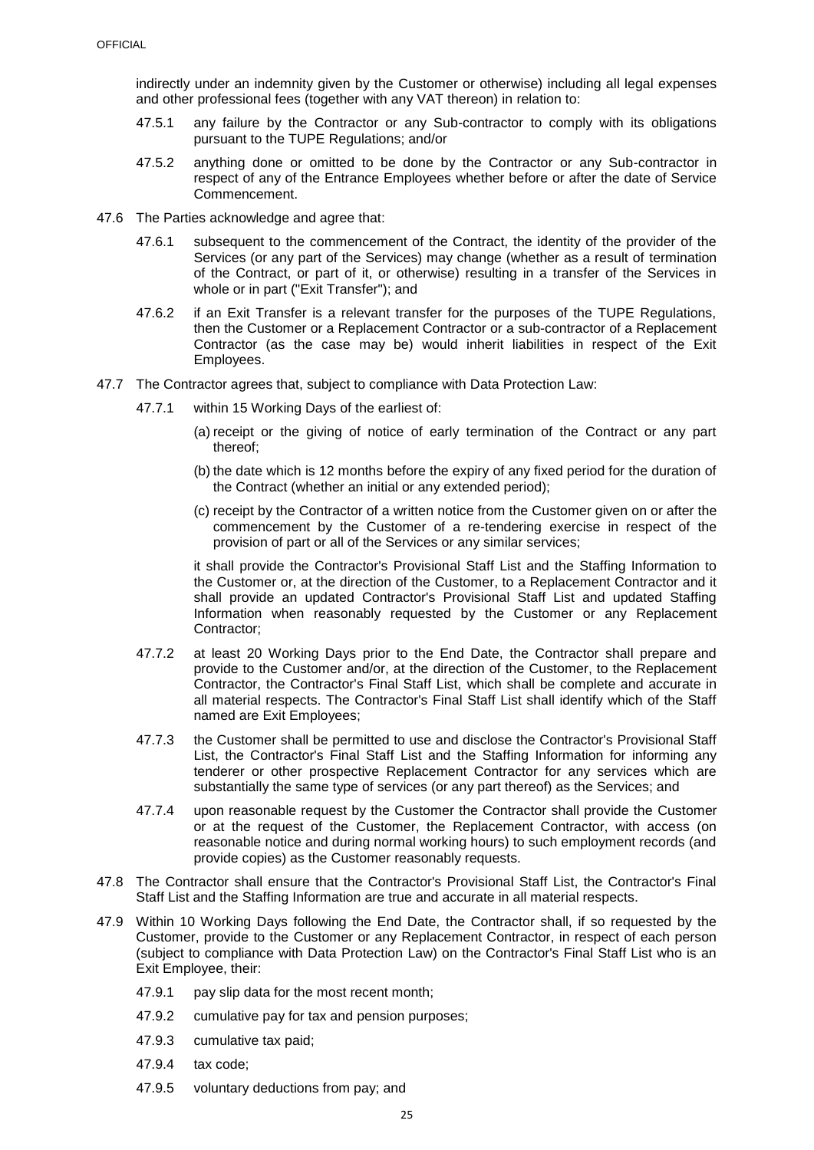indirectly under an indemnity given by the Customer or otherwise) including all legal expenses and other professional fees (together with any VAT thereon) in relation to:

- 47.5.1 any failure by the Contractor or any Sub-contractor to comply with its obligations pursuant to the TUPE Regulations; and/or
- 47.5.2 anything done or omitted to be done by the Contractor or any Sub-contractor in respect of any of the Entrance Employees whether before or after the date of Service Commencement.
- 47.6 The Parties acknowledge and agree that:
	- 47.6.1 subsequent to the commencement of the Contract, the identity of the provider of the Services (or any part of the Services) may change (whether as a result of termination of the Contract, or part of it, or otherwise) resulting in a transfer of the Services in whole or in part ("Exit Transfer"); and
	- 47.6.2 if an Exit Transfer is a relevant transfer for the purposes of the TUPE Regulations, then the Customer or a Replacement Contractor or a sub-contractor of a Replacement Contractor (as the case may be) would inherit liabilities in respect of the Exit Employees.
- <span id="page-26-0"></span>47.7 The Contractor agrees that, subject to compliance with Data Protection Law:
	- 47.7.1 within 15 Working Days of the earliest of:
		- (a) receipt or the giving of notice of early termination of the Contract or any part thereof;
		- (b) the date which is 12 months before the expiry of any fixed period for the duration of the Contract (whether an initial or any extended period);
		- (c) receipt by the Contractor of a written notice from the Customer given on or after the commencement by the Customer of a re-tendering exercise in respect of the provision of part or all of the Services or any similar services;

it shall provide the Contractor's Provisional Staff List and the Staffing Information to the Customer or, at the direction of the Customer, to a Replacement Contractor and it shall provide an updated Contractor's Provisional Staff List and updated Staffing Information when reasonably requested by the Customer or any Replacement Contractor;

- 47.7.2 at least 20 Working Days prior to the End Date, the Contractor shall prepare and provide to the Customer and/or, at the direction of the Customer, to the Replacement Contractor, the Contractor's Final Staff List, which shall be complete and accurate in all material respects. The Contractor's Final Staff List shall identify which of the Staff named are Exit Employees;
- 47.7.3 the Customer shall be permitted to use and disclose the Contractor's Provisional Staff List, the Contractor's Final Staff List and the Staffing Information for informing any tenderer or other prospective Replacement Contractor for any services which are substantially the same type of services (or any part thereof) as the Services; and
- 47.7.4 upon reasonable request by the Customer the Contractor shall provide the Customer or at the request of the Customer, the Replacement Contractor, with access (on reasonable notice and during normal working hours) to such employment records (and provide copies) as the Customer reasonably requests.
- 47.8 The Contractor shall ensure that the Contractor's Provisional Staff List, the Contractor's Final Staff List and the Staffing Information are true and accurate in all material respects.
- 47.9 Within 10 Working Days following the End Date, the Contractor shall, if so requested by the Customer, provide to the Customer or any Replacement Contractor, in respect of each person (subject to compliance with Data Protection Law) on the Contractor's Final Staff List who is an Exit Employee, their:
	- 47.9.1 pay slip data for the most recent month;
	- 47.9.2 cumulative pay for tax and pension purposes;
	- 47.9.3 cumulative tax paid;
	- 47.9.4 tax code;
	- 47.9.5 voluntary deductions from pay; and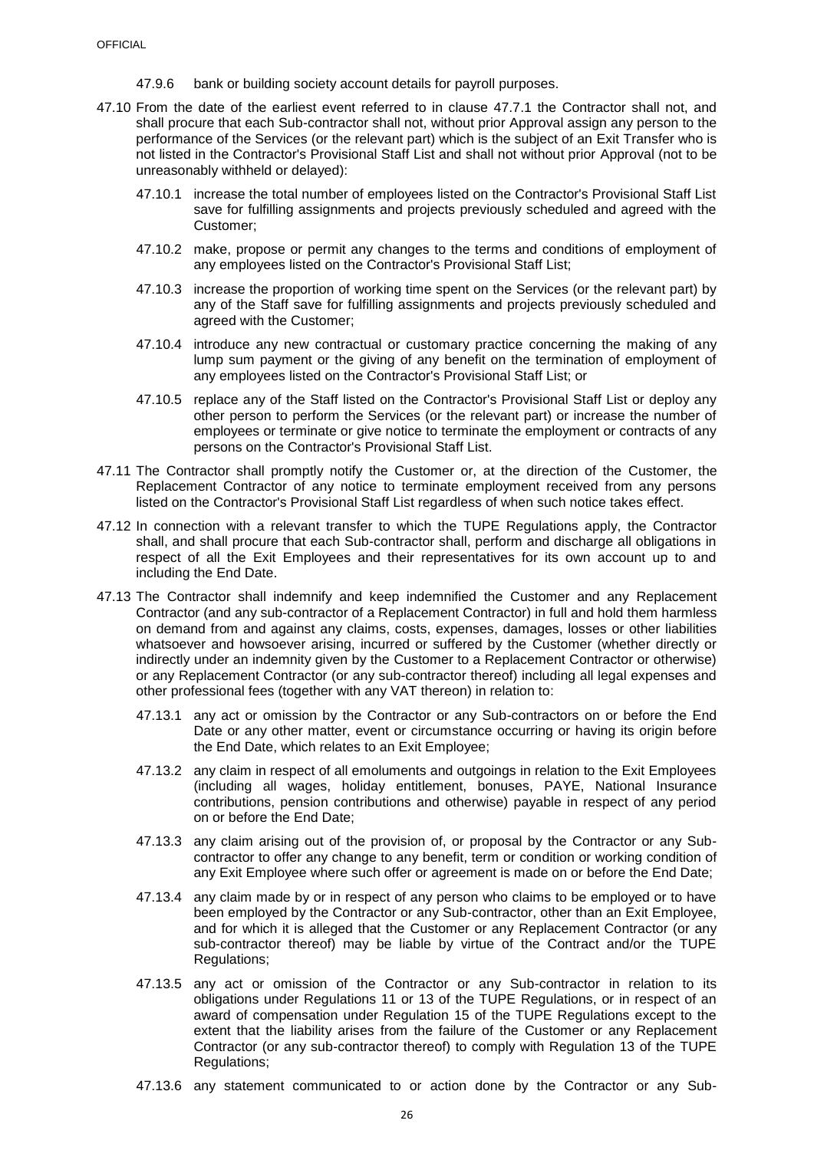- 47.9.6 bank or building society account details for payroll purposes.
- 47.10 From the date of the earliest event referred to in clause [47.7.1](#page-26-0) the Contractor shall not, and shall procure that each Sub-contractor shall not, without prior Approval assign any person to the performance of the Services (or the relevant part) which is the subject of an Exit Transfer who is not listed in the Contractor's Provisional Staff List and shall not without prior Approval (not to be unreasonably withheld or delayed):
	- 47.10.1 increase the total number of employees listed on the Contractor's Provisional Staff List save for fulfilling assignments and projects previously scheduled and agreed with the Customer;
	- 47.10.2 make, propose or permit any changes to the terms and conditions of employment of any employees listed on the Contractor's Provisional Staff List;
	- 47.10.3 increase the proportion of working time spent on the Services (or the relevant part) by any of the Staff save for fulfilling assignments and projects previously scheduled and agreed with the Customer;
	- 47.10.4 introduce any new contractual or customary practice concerning the making of any lump sum payment or the giving of any benefit on the termination of employment of any employees listed on the Contractor's Provisional Staff List; or
	- 47.10.5 replace any of the Staff listed on the Contractor's Provisional Staff List or deploy any other person to perform the Services (or the relevant part) or increase the number of employees or terminate or give notice to terminate the employment or contracts of any persons on the Contractor's Provisional Staff List.
- 47.11 The Contractor shall promptly notify the Customer or, at the direction of the Customer, the Replacement Contractor of any notice to terminate employment received from any persons listed on the Contractor's Provisional Staff List regardless of when such notice takes effect.
- 47.12 In connection with a relevant transfer to which the TUPE Regulations apply, the Contractor shall, and shall procure that each Sub-contractor shall, perform and discharge all obligations in respect of all the Exit Employees and their representatives for its own account up to and including the End Date.
- 47.13 The Contractor shall indemnify and keep indemnified the Customer and any Replacement Contractor (and any sub-contractor of a Replacement Contractor) in full and hold them harmless on demand from and against any claims, costs, expenses, damages, losses or other liabilities whatsoever and howsoever arising, incurred or suffered by the Customer (whether directly or indirectly under an indemnity given by the Customer to a Replacement Contractor or otherwise) or any Replacement Contractor (or any sub-contractor thereof) including all legal expenses and other professional fees (together with any VAT thereon) in relation to:
	- 47.13.1 any act or omission by the Contractor or any Sub-contractors on or before the End Date or any other matter, event or circumstance occurring or having its origin before the End Date, which relates to an Exit Employee;
	- 47.13.2 any claim in respect of all emoluments and outgoings in relation to the Exit Employees (including all wages, holiday entitlement, bonuses, PAYE, National Insurance contributions, pension contributions and otherwise) payable in respect of any period on or before the End Date;
	- 47.13.3 any claim arising out of the provision of, or proposal by the Contractor or any Subcontractor to offer any change to any benefit, term or condition or working condition of any Exit Employee where such offer or agreement is made on or before the End Date;
	- 47.13.4 any claim made by or in respect of any person who claims to be employed or to have been employed by the Contractor or any Sub-contractor, other than an Exit Employee, and for which it is alleged that the Customer or any Replacement Contractor (or any sub-contractor thereof) may be liable by virtue of the Contract and/or the TUPE Regulations;
	- 47.13.5 any act or omission of the Contractor or any Sub-contractor in relation to its obligations under Regulations 11 or 13 of the TUPE Regulations, or in respect of an award of compensation under Regulation 15 of the TUPE Regulations except to the extent that the liability arises from the failure of the Customer or any Replacement Contractor (or any sub-contractor thereof) to comply with Regulation 13 of the TUPE Regulations:
	- 47.13.6 any statement communicated to or action done by the Contractor or any Sub-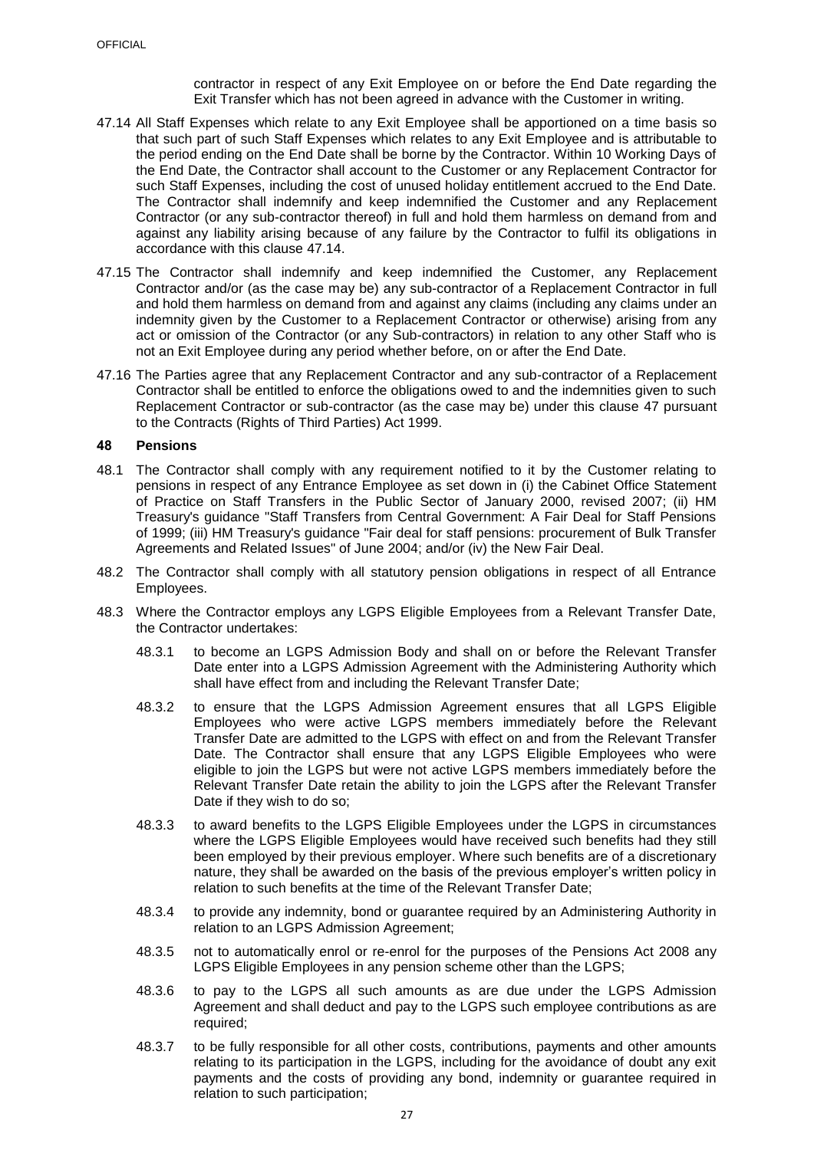contractor in respect of any Exit Employee on or before the End Date regarding the Exit Transfer which has not been agreed in advance with the Customer in writing.

- <span id="page-28-2"></span>47.14 All Staff Expenses which relate to any Exit Employee shall be apportioned on a time basis so that such part of such Staff Expenses which relates to any Exit Employee and is attributable to the period ending on the End Date shall be borne by the Contractor. Within 10 Working Days of the End Date, the Contractor shall account to the Customer or any Replacement Contractor for such Staff Expenses, including the cost of unused holiday entitlement accrued to the End Date. The Contractor shall indemnify and keep indemnified the Customer and any Replacement Contractor (or any sub-contractor thereof) in full and hold them harmless on demand from and against any liability arising because of any failure by the Contractor to fulfil its obligations in accordance with this clause [47.14.](#page-28-2)
- 47.15 The Contractor shall indemnify and keep indemnified the Customer, any Replacement Contractor and/or (as the case may be) any sub-contractor of a Replacement Contractor in full and hold them harmless on demand from and against any claims (including any claims under an indemnity given by the Customer to a Replacement Contractor or otherwise) arising from any act or omission of the Contractor (or any Sub-contractors) in relation to any other Staff who is not an Exit Employee during any period whether before, on or after the End Date.
- <span id="page-28-1"></span>47.16 The Parties agree that any Replacement Contractor and any sub-contractor of a Replacement Contractor shall be entitled to enforce the obligations owed to and the indemnities given to such Replacement Contractor or sub-contractor (as the case may be) under this clause [47](#page-25-1) pursuant to the Contracts (Rights of Third Parties) Act 1999.

### <span id="page-28-0"></span>**48 Pensions**

- 48.1 The Contractor shall comply with any requirement notified to it by the Customer relating to pensions in respect of any Entrance Employee as set down in (i) the Cabinet Office Statement of Practice on Staff Transfers in the Public Sector of January 2000, revised 2007; (ii) HM Treasury's guidance "Staff Transfers from Central Government: A Fair Deal for Staff Pensions of 1999; (iii) HM Treasury's guidance "Fair deal for staff pensions: procurement of Bulk Transfer Agreements and Related Issues" of June 2004; and/or (iv) the New Fair Deal.
- 48.2 The Contractor shall comply with all statutory pension obligations in respect of all Entrance Employees.
- 48.3 Where the Contractor employs any LGPS Eligible Employees from a Relevant Transfer Date, the Contractor undertakes:
	- 48.3.1 to become an LGPS Admission Body and shall on or before the Relevant Transfer Date enter into a LGPS Admission Agreement with the Administering Authority which shall have effect from and including the Relevant Transfer Date;
	- 48.3.2 to ensure that the LGPS Admission Agreement ensures that all LGPS Eligible Employees who were active LGPS members immediately before the Relevant Transfer Date are admitted to the LGPS with effect on and from the Relevant Transfer Date. The Contractor shall ensure that any LGPS Eligible Employees who were eligible to join the LGPS but were not active LGPS members immediately before the Relevant Transfer Date retain the ability to join the LGPS after the Relevant Transfer Date if they wish to do so;
	- 48.3.3 to award benefits to the LGPS Eligible Employees under the LGPS in circumstances where the LGPS Eligible Employees would have received such benefits had they still been employed by their previous employer. Where such benefits are of a discretionary nature, they shall be awarded on the basis of the previous employer's written policy in relation to such benefits at the time of the Relevant Transfer Date;
	- 48.3.4 to provide any indemnity, bond or guarantee required by an Administering Authority in relation to an LGPS Admission Agreement;
	- 48.3.5 not to automatically enrol or re-enrol for the purposes of the Pensions Act 2008 any LGPS Eligible Employees in any pension scheme other than the LGPS;
	- 48.3.6 to pay to the LGPS all such amounts as are due under the LGPS Admission Agreement and shall deduct and pay to the LGPS such employee contributions as are required;
	- 48.3.7 to be fully responsible for all other costs, contributions, payments and other amounts relating to its participation in the LGPS, including for the avoidance of doubt any exit payments and the costs of providing any bond, indemnity or guarantee required in relation to such participation;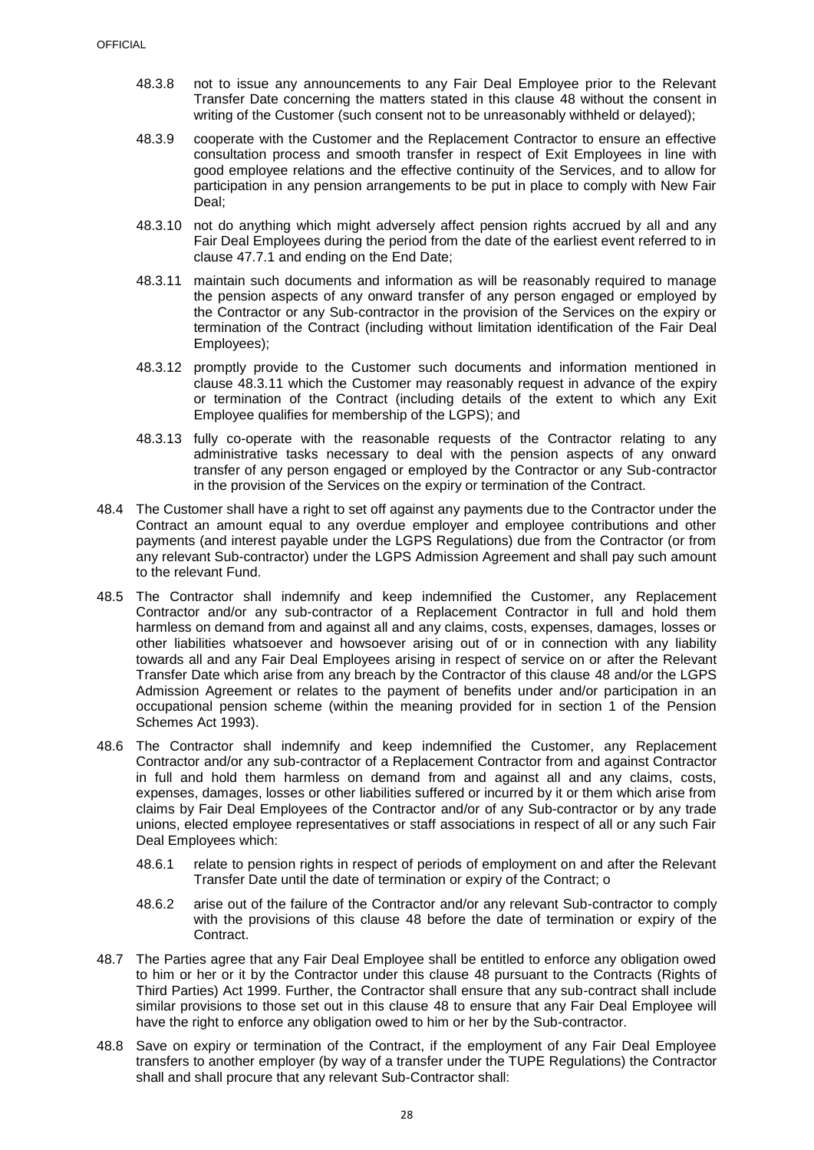- 48.3.8 not to issue any announcements to any Fair Deal Employee prior to the Relevant Transfer Date concerning the matters stated in this clause [48](#page-28-0) without the consent in writing of the Customer (such consent not to be unreasonably withheld or delayed);
- 48.3.9 cooperate with the Customer and the Replacement Contractor to ensure an effective consultation process and smooth transfer in respect of Exit Employees in line with good employee relations and the effective continuity of the Services, and to allow for participation in any pension arrangements to be put in place to comply with New Fair Deal;
- 48.3.10 not do anything which might adversely affect pension rights accrued by all and any Fair Deal Employees during the period from the date of the earliest event referred to in clause [47.7.1](#page-26-0) and ending on the End Date;
- <span id="page-29-1"></span>48.3.11 maintain such documents and information as will be reasonably required to manage the pension aspects of any onward transfer of any person engaged or employed by the Contractor or any Sub-contractor in the provision of the Services on the expiry or termination of the Contract (including without limitation identification of the Fair Deal Employees);
- 48.3.12 promptly provide to the Customer such documents and information mentioned in clause [48.3.11](#page-29-1) which the Customer may reasonably request in advance of the expiry or termination of the Contract (including details of the extent to which any Exit Employee qualifies for membership of the LGPS); and
- 48.3.13 fully co-operate with the reasonable requests of the Contractor relating to any administrative tasks necessary to deal with the pension aspects of any onward transfer of any person engaged or employed by the Contractor or any Sub-contractor in the provision of the Services on the expiry or termination of the Contract.
- 48.4 The Customer shall have a right to set off against any payments due to the Contractor under the Contract an amount equal to any overdue employer and employee contributions and other payments (and interest payable under the LGPS Regulations) due from the Contractor (or from any relevant Sub-contractor) under the LGPS Admission Agreement and shall pay such amount to the relevant Fund.
- 48.5 The Contractor shall indemnify and keep indemnified the Customer, any Replacement Contractor and/or any sub-contractor of a Replacement Contractor in full and hold them harmless on demand from and against all and any claims, costs, expenses, damages, losses or other liabilities whatsoever and howsoever arising out of or in connection with any liability towards all and any Fair Deal Employees arising in respect of service on or after the Relevant Transfer Date which arise from any breach by the Contractor of this clause [48](#page-28-0) and/or the LGPS Admission Agreement or relates to the payment of benefits under and/or participation in an occupational pension scheme (within the meaning provided for in section 1 of the Pension Schemes Act 1993).
- 48.6 The Contractor shall indemnify and keep indemnified the Customer, any Replacement Contractor and/or any sub-contractor of a Replacement Contractor from and against Contractor in full and hold them harmless on demand from and against all and any claims, costs, expenses, damages, losses or other liabilities suffered or incurred by it or them which arise from claims by Fair Deal Employees of the Contractor and/or of any Sub-contractor or by any trade unions, elected employee representatives or staff associations in respect of all or any such Fair Deal Employees which:
	- 48.6.1 relate to pension rights in respect of periods of employment on and after the Relevant Transfer Date until the date of termination or expiry of the Contract; o
	- 48.6.2 arise out of the failure of the Contractor and/or any relevant Sub-contractor to comply with the provisions of this clause [48](#page-28-0) before the date of termination or expiry of the Contract.
- <span id="page-29-0"></span>48.7 The Parties agree that any Fair Deal Employee shall be entitled to enforce any obligation owed to him or her or it by the Contractor under this clause [48](#page-28-0) pursuant to the Contracts (Rights of Third Parties) Act 1999. Further, the Contractor shall ensure that any sub-contract shall include similar provisions to those set out in this clause [48](#page-28-0) to ensure that any Fair Deal Employee will have the right to enforce any obligation owed to him or her by the Sub-contractor.
- 48.8 Save on expiry or termination of the Contract, if the employment of any Fair Deal Employee transfers to another employer (by way of a transfer under the TUPE Regulations) the Contractor shall and shall procure that any relevant Sub-Contractor shall: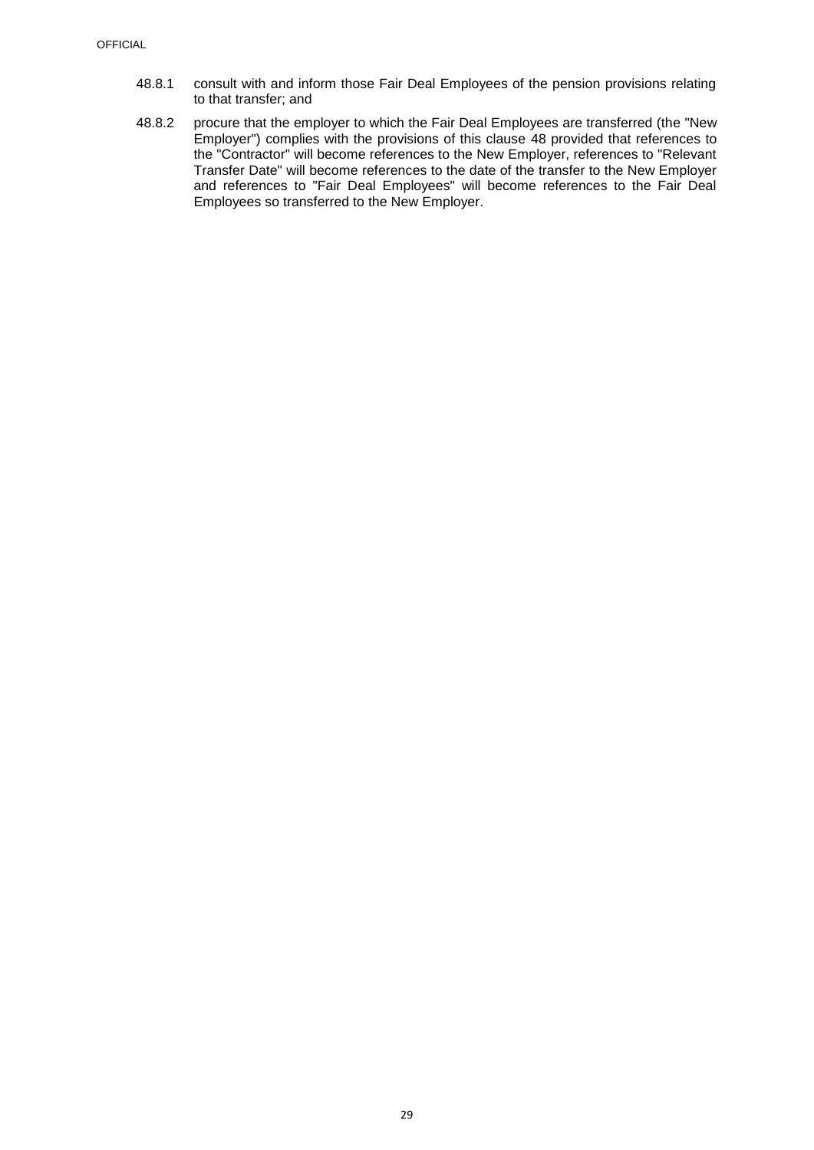- 48.8.1 consult with and inform those Fair Deal Employees of the pension provisions relating to that transfer; and
- 48.8.2 procure that the employer to which the Fair Deal Employees are transferred (the "New Employer") complies with the provisions of this clause [48](#page-28-0) provided that references to the "Contractor" will become references to the New Employer, references to "Relevant Transfer Date" will become references to the date of the transfer to the New Employer and references to "Fair Deal Employees" will become references to the Fair Deal Employees so transferred to the New Employer.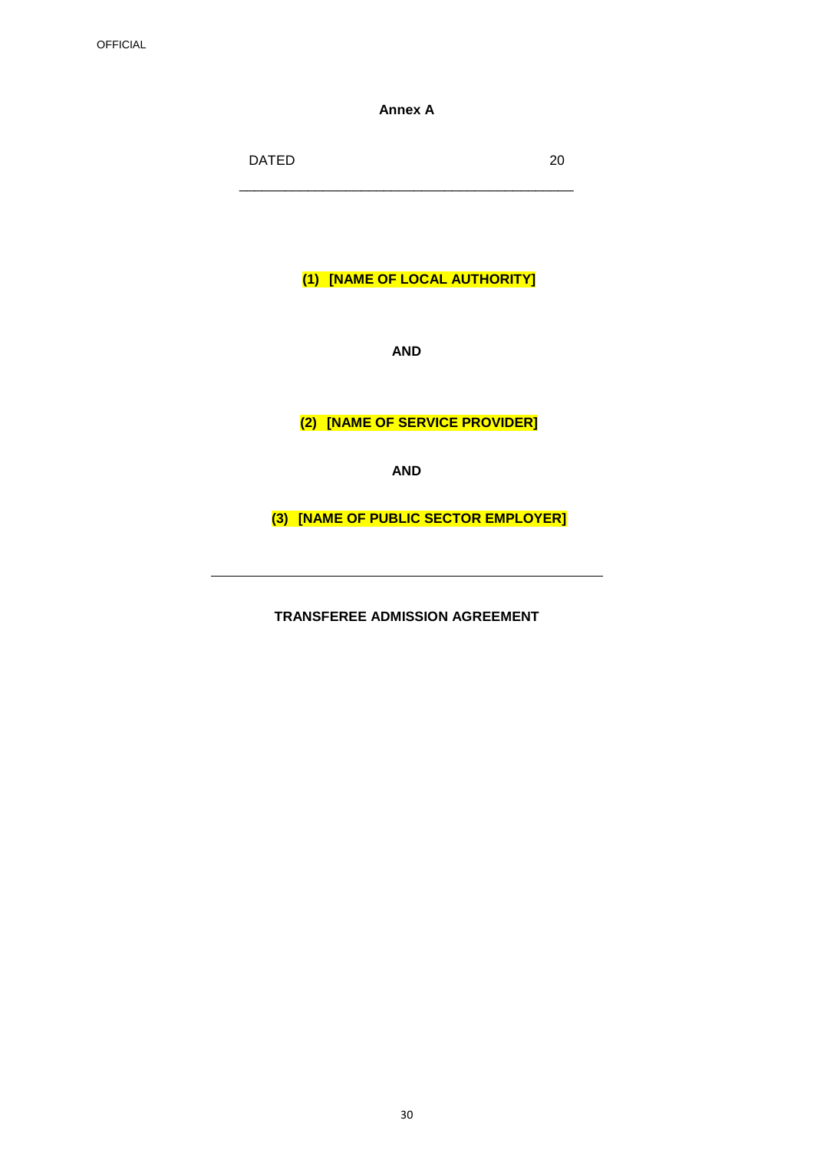**Annex A**

DATED 20 \_\_\_\_\_\_\_\_\_\_\_\_\_\_\_\_\_\_\_\_\_\_\_\_\_\_\_\_\_\_\_\_\_\_\_\_\_\_\_\_\_\_\_\_

**(1) [NAME OF LOCAL AUTHORITY]**

**AND**

**(2) [NAME OF SERVICE PROVIDER]**

**AND**

**(3) [NAME OF PUBLIC SECTOR EMPLOYER]**

**TRANSFEREE ADMISSION AGREEMENT**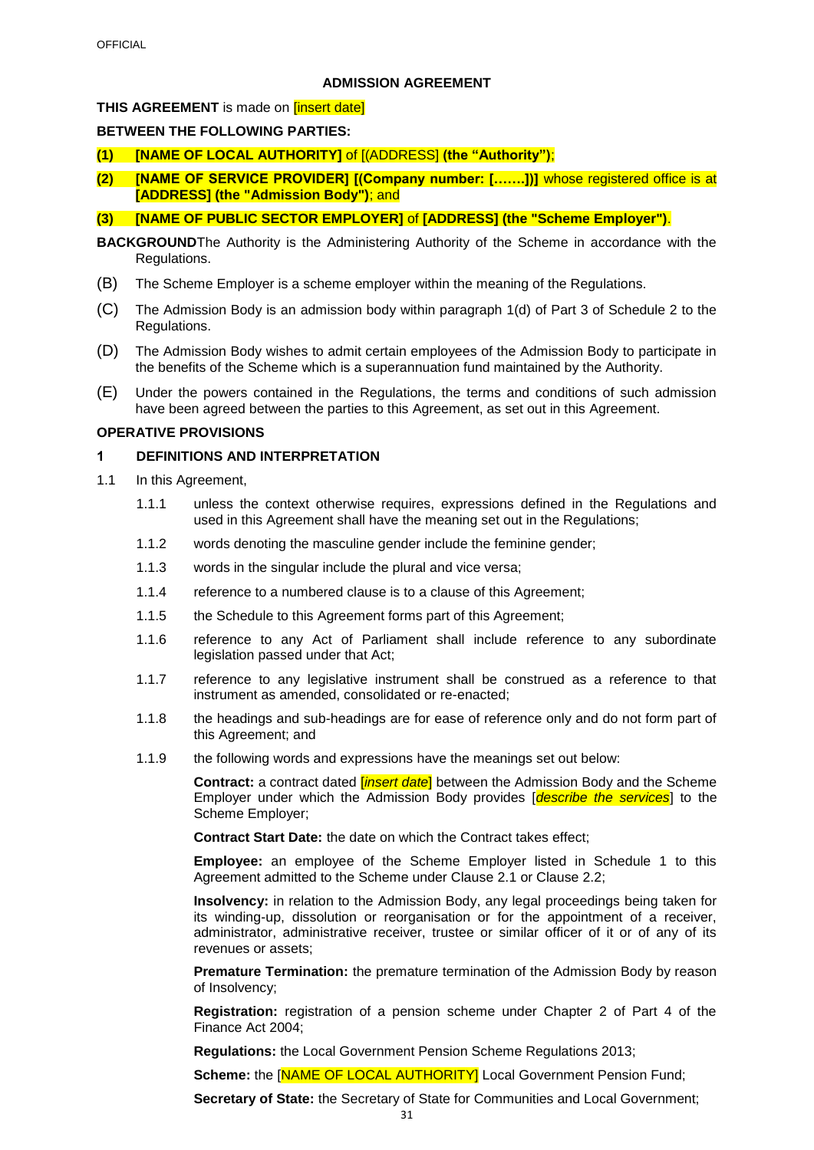## **ADMISSION AGREEMENT**

## **THIS AGREEMENT** is made on **[insert date]**

## **BETWEEN THE FOLLOWING PARTIES:**

- **(1) [NAME OF LOCAL AUTHORITY]** of [(ADDRESS] **(the "Authority")**;
- **(2) [NAME OF SERVICE PROVIDER] [(Company number: […….])]** whose registered office is at **[ADDRESS] (the "Admission Body")**; and
- **(3) [NAME OF PUBLIC SECTOR EMPLOYER]** of **[ADDRESS] (the "Scheme Employer")**.
- **BACKGROUND**The Authority is the Administering Authority of the Scheme in accordance with the Regulations.
- (B) The Scheme Employer is a scheme employer within the meaning of the Regulations.
- (C) The Admission Body is an admission body within paragraph 1(d) of Part 3 of Schedule 2 to the Regulations.
- (D) The Admission Body wishes to admit certain employees of the Admission Body to participate in the benefits of the Scheme which is a superannuation fund maintained by the Authority.
- (E) Under the powers contained in the Regulations, the terms and conditions of such admission have been agreed between the parties to this Agreement, as set out in this Agreement.

## **OPERATIVE PROVISIONS**

## **1 DEFINITIONS AND INTERPRETATION**

- 1.1 In this Agreement,
	- 1.1.1 unless the context otherwise requires, expressions defined in the Regulations and used in this Agreement shall have the meaning set out in the Regulations;
	- 1.1.2 words denoting the masculine gender include the feminine gender;
	- 1.1.3 words in the singular include the plural and vice versa;
	- 1.1.4 reference to a numbered clause is to a clause of this Agreement;
	- 1.1.5 the Schedule to this Agreement forms part of this Agreement;
	- 1.1.6 reference to any Act of Parliament shall include reference to any subordinate legislation passed under that Act;
	- 1.1.7 reference to any legislative instrument shall be construed as a reference to that instrument as amended, consolidated or re-enacted;
	- 1.1.8 the headings and sub-headings are for ease of reference only and do not form part of this Agreement; and
	- 1.1.9 the following words and expressions have the meanings set out below:

**Contract:** a contract dated [*insert date*] between the Admission Body and the Scheme Employer under which the Admission Body provides [*describe the services*] to the Scheme Employer;

**Contract Start Date:** the date on which the Contract takes effect;

**Employee:** an employee of the Scheme Employer listed in Schedule 1 to this Agreement admitted to the Scheme under Clause [2.1](#page-33-0) or Clause [2.2;](#page-33-1) 

**Insolvency:** in relation to the Admission Body, any legal proceedings being taken for its winding-up, dissolution or reorganisation or for the appointment of a receiver, administrator, administrative receiver, trustee or similar officer of it or of any of its revenues or assets;

**Premature Termination:** the premature termination of the Admission Body by reason of Insolvency;

**Registration:** registration of a pension scheme under Chapter 2 of Part 4 of the Finance Act 2004;

**Regulations:** the Local Government Pension Scheme Regulations 2013;

**Scheme:** the **[NAME OF LOCAL AUTHORITY]** Local Government Pension Fund;

**Secretary of State:** the Secretary of State for Communities and Local Government;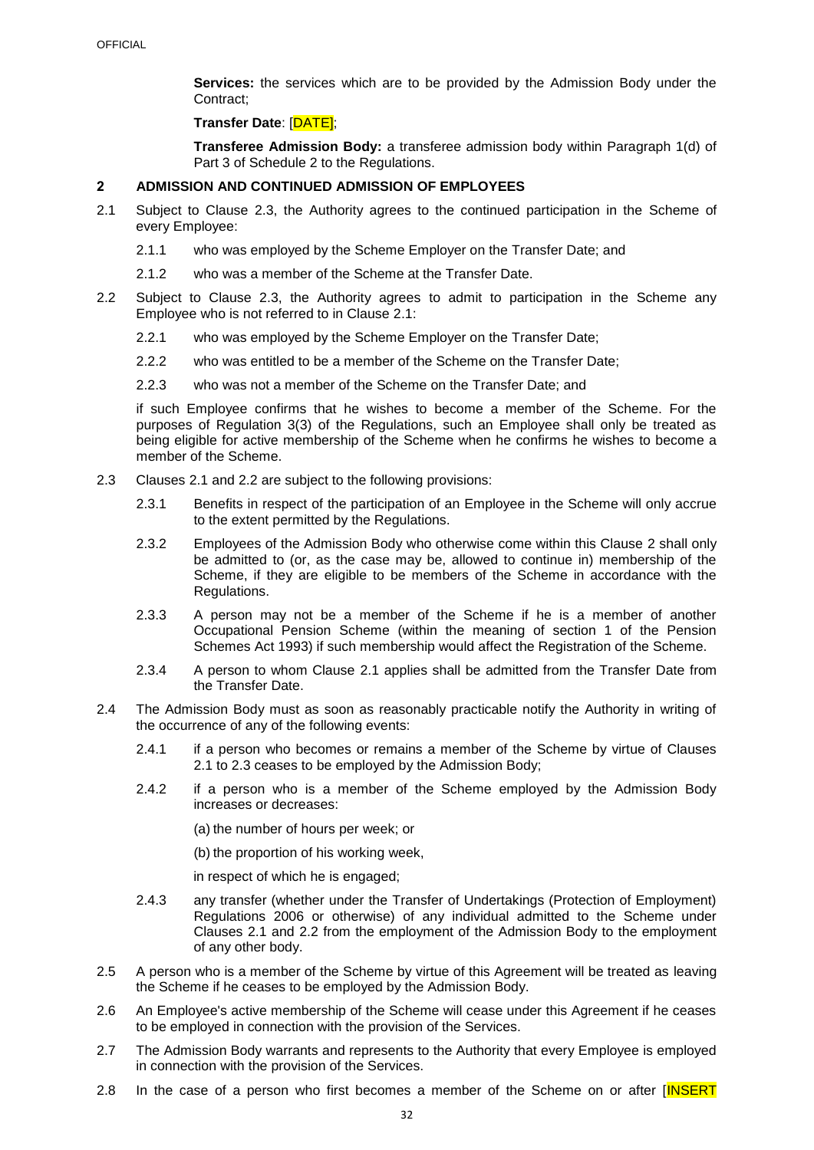**Services:** the services which are to be provided by the Admission Body under the Contract;

#### **Transfer Date**: [DATE];

**Transferee Admission Body:** a transferee admission body within Paragraph 1(d) of Part 3 of Schedule 2 to the Regulations.

#### <span id="page-33-3"></span>**2 ADMISSION AND CONTINUED ADMISSION OF EMPLOYEES**

- <span id="page-33-0"></span>2.1 Subject to Clause [2.3,](#page-33-2) the Authority agrees to the continued participation in the Scheme of every Employee:
	- 2.1.1 who was employed by the Scheme Employer on the Transfer Date; and
	- 2.1.2 who was a member of the Scheme at the Transfer Date.
- <span id="page-33-1"></span>2.2 Subject to Clause 2.3, the Authority agrees to admit to participation in the Scheme any Employee who is not referred to in Clause [2.1:](#page-33-0)
	- 2.2.1 who was employed by the Scheme Employer on the Transfer Date;
	- 2.2.2 who was entitled to be a member of the Scheme on the Transfer Date;
	- 2.2.3 who was not a member of the Scheme on the Transfer Date; and

if such Employee confirms that he wishes to become a member of the Scheme. For the purposes of Regulation 3(3) of the Regulations, such an Employee shall only be treated as being eligible for active membership of the Scheme when he confirms he wishes to become a member of the Scheme.

- <span id="page-33-2"></span>2.3 Clauses [2.1](#page-33-0) and [2.2](#page-33-1) are subject to the following provisions:
	- 2.3.1 Benefits in respect of the participation of an Employee in the Scheme will only accrue to the extent permitted by the Regulations.
	- 2.3.2 Employees of the Admission Body who otherwise come within this Clause [2](#page-33-3) shall only be admitted to (or, as the case may be, allowed to continue in) membership of the Scheme, if they are eligible to be members of the Scheme in accordance with the Regulations.
	- 2.3.3 A person may not be a member of the Scheme if he is a member of another Occupational Pension Scheme (within the meaning of section 1 of the Pension Schemes Act 1993) if such membership would affect the Registration of the Scheme.
	- 2.3.4 A person to whom Clause [2.1](#page-33-0) applies shall be admitted from the Transfer Date from the Transfer Date.
- 2.4 The Admission Body must as soon as reasonably practicable notify the Authority in writing of the occurrence of any of the following events:
	- 2.4.1 if a person who becomes or remains a member of the Scheme by virtue of Clauses [2.1](#page-33-0) to [2.3](#page-33-2) ceases to be employed by the Admission Body;
	- 2.4.2 if a person who is a member of the Scheme employed by the Admission Body increases or decreases:

(a) the number of hours per week; or

(b) the proportion of his working week,

in respect of which he is engaged;

- 2.4.3 any transfer (whether under the Transfer of Undertakings (Protection of Employment) Regulations 2006 or otherwise) of any individual admitted to the Scheme under Clauses [2.1](#page-33-0) and [2.2](#page-33-1) from the employment of the Admission Body to the employment of any other body.
- 2.5 A person who is a member of the Scheme by virtue of this Agreement will be treated as leaving the Scheme if he ceases to be employed by the Admission Body.
- 2.6 An Employee's active membership of the Scheme will cease under this Agreement if he ceases to be employed in connection with the provision of the Services.
- 2.7 The Admission Body warrants and represents to the Authority that every Employee is employed in connection with the provision of the Services.
- 2.8 In the case of a person who first becomes a member of the Scheme on or after [INSERT]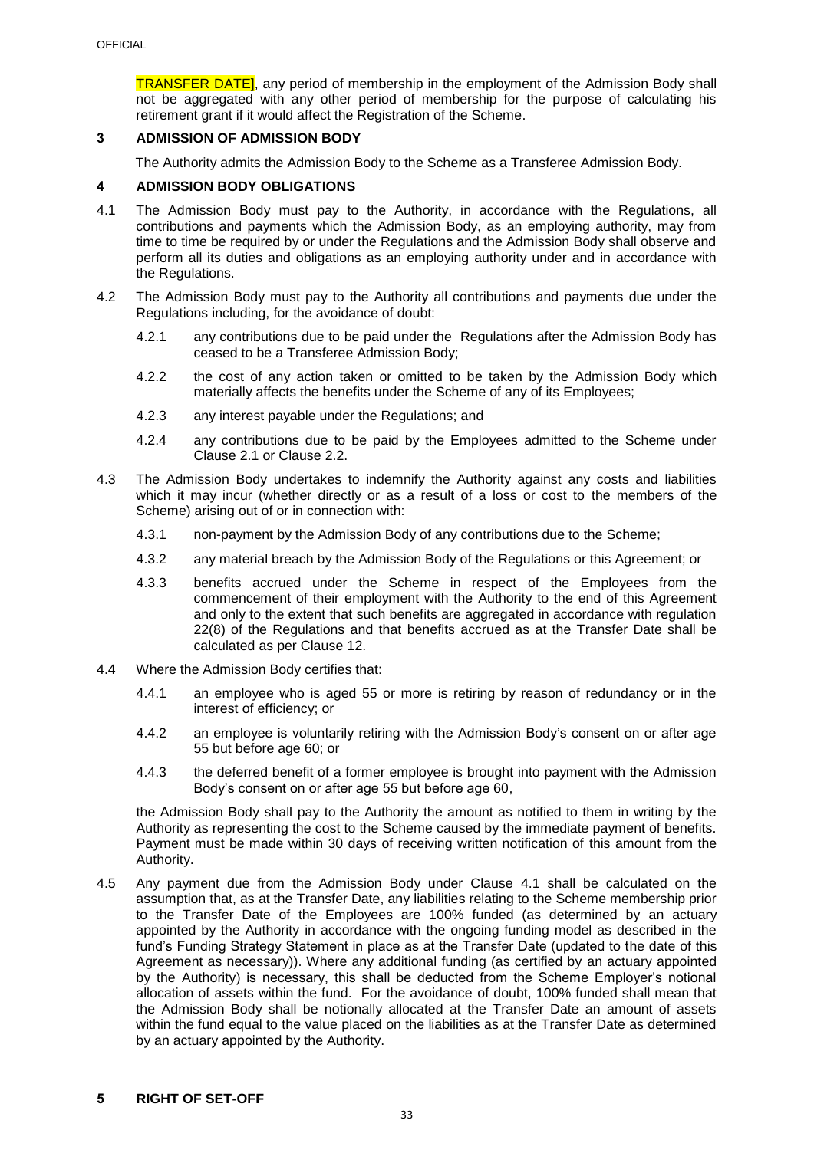**TRANSFER DATE**, any period of membership in the employment of the Admission Body shall not be aggregated with any other period of membership for the purpose of calculating his retirement grant if it would affect the Registration of the Scheme.

## **3 ADMISSION OF ADMISSION BODY**

The Authority admits the Admission Body to the Scheme as a Transferee Admission Body.

## **4 ADMISSION BODY OBLIGATIONS**

- <span id="page-34-0"></span>4.1 The Admission Body must pay to the Authority, in accordance with the Regulations, all contributions and payments which the Admission Body, as an employing authority, may from time to time be required by or under the Regulations and the Admission Body shall observe and perform all its duties and obligations as an employing authority under and in accordance with the Regulations.
- 4.2 The Admission Body must pay to the Authority all contributions and payments due under the Regulations including, for the avoidance of doubt:
	- 4.2.1 any contributions due to be paid under the Regulations after the Admission Body has ceased to be a Transferee Admission Body;
	- 4.2.2 the cost of any action taken or omitted to be taken by the Admission Body which materially affects the benefits under the Scheme of any of its Employees;
	- 4.2.3 any interest payable under the Regulations; and
	- 4.2.4 any contributions due to be paid by the Employees admitted to the Scheme under Clause [2.1](#page-33-0) or Clause [2.2.](#page-33-1)
- 4.3 The Admission Body undertakes to indemnify the Authority against any costs and liabilities which it may incur (whether directly or as a result of a loss or cost to the members of the Scheme) arising out of or in connection with:
	- 4.3.1 non-payment by the Admission Body of any contributions due to the Scheme;
	- 4.3.2 any material breach by the Admission Body of the Regulations or this Agreement; or
	- 4.3.3 benefits accrued under the Scheme in respect of the Employees from the commencement of their employment with the Authority to the end of this Agreement and only to the extent that such benefits are aggregated in accordance with regulation 22(8) of the Regulations and that benefits accrued as at the Transfer Date shall be calculated as per Clause [12.](#page-37-0)
- 4.4 Where the Admission Body certifies that:
	- 4.4.1 an employee who is aged 55 or more is retiring by reason of redundancy or in the interest of efficiency; or
	- 4.4.2 an employee is voluntarily retiring with the Admission Body's consent on or after age 55 but before age 60; or
	- 4.4.3 the deferred benefit of a former employee is brought into payment with the Admission Body's consent on or after age 55 but before age 60,

the Admission Body shall pay to the Authority the amount as notified to them in writing by the Authority as representing the cost to the Scheme caused by the immediate payment of benefits. Payment must be made within 30 days of receiving written notification of this amount from the Authority.

4.5 Any payment due from the Admission Body under Clause [4.1](#page-34-0) shall be calculated on the assumption that, as at the Transfer Date, any liabilities relating to the Scheme membership prior to the Transfer Date of the Employees are 100% funded (as determined by an actuary appointed by the Authority in accordance with the ongoing funding model as described in the fund's Funding Strategy Statement in place as at the Transfer Date (updated to the date of this Agreement as necessary)). Where any additional funding (as certified by an actuary appointed by the Authority) is necessary, this shall be deducted from the Scheme Employer's notional allocation of assets within the fund. For the avoidance of doubt, 100% funded shall mean that the Admission Body shall be notionally allocated at the Transfer Date an amount of assets within the fund equal to the value placed on the liabilities as at the Transfer Date as determined by an actuary appointed by the Authority.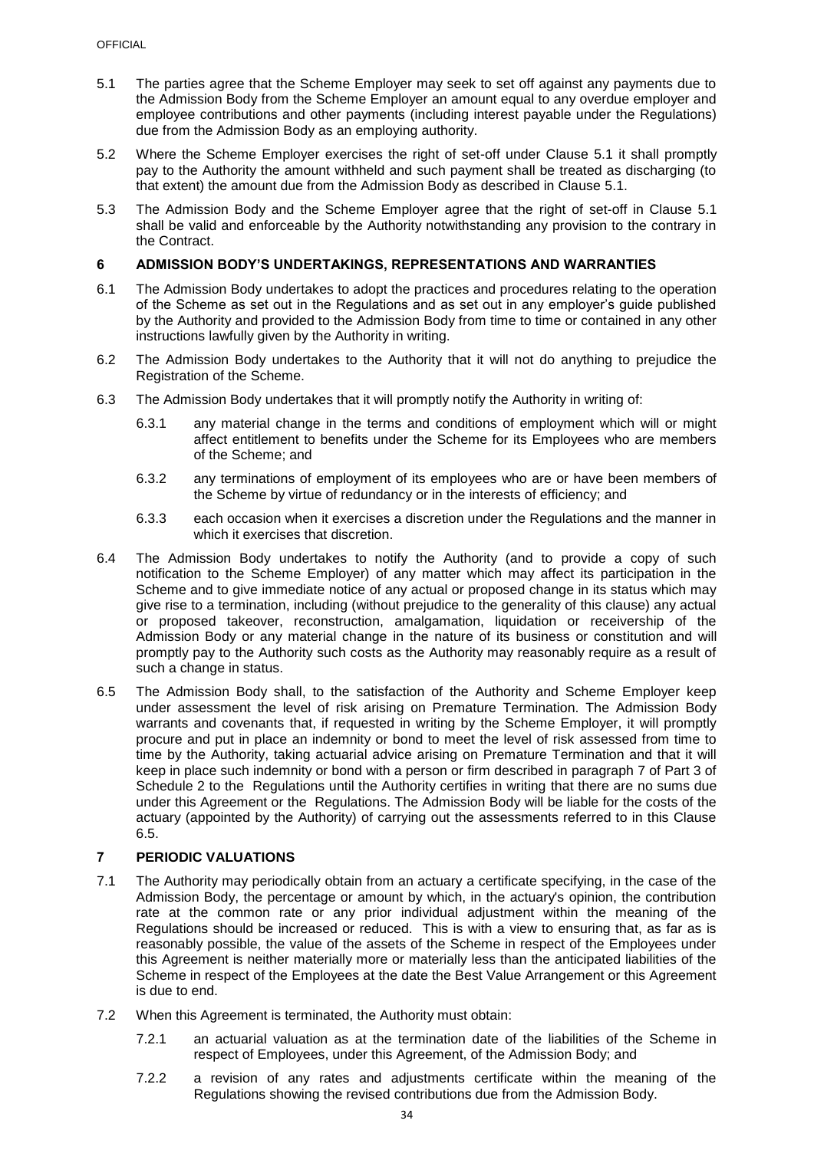- <span id="page-35-0"></span>5.1 The parties agree that the Scheme Employer may seek to set off against any payments due to the Admission Body from the Scheme Employer an amount equal to any overdue employer and employee contributions and other payments (including interest payable under the Regulations) due from the Admission Body as an employing authority.
- 5.2 Where the Scheme Employer exercises the right of set-off under Clause [5.1](#page-35-0) it shall promptly pay to the Authority the amount withheld and such payment shall be treated as discharging (to that extent) the amount due from the Admission Body as described in Clause [5.1.](#page-35-0)
- 5.3 The Admission Body and the Scheme Employer agree that the right of set-off in Clause [5.1](#page-35-0) shall be valid and enforceable by the Authority notwithstanding any provision to the contrary in the Contract.

## **6 ADMISSION BODY'S UNDERTAKINGS, REPRESENTATIONS AND WARRANTIES**

- 6.1 The Admission Body undertakes to adopt the practices and procedures relating to the operation of the Scheme as set out in the Regulations and as set out in any employer's guide published by the Authority and provided to the Admission Body from time to time or contained in any other instructions lawfully given by the Authority in writing.
- 6.2 The Admission Body undertakes to the Authority that it will not do anything to prejudice the Registration of the Scheme.
- 6.3 The Admission Body undertakes that it will promptly notify the Authority in writing of:
	- 6.3.1 any material change in the terms and conditions of employment which will or might affect entitlement to benefits under the Scheme for its Employees who are members of the Scheme; and
	- 6.3.2 any terminations of employment of its employees who are or have been members of the Scheme by virtue of redundancy or in the interests of efficiency; and
	- 6.3.3 each occasion when it exercises a discretion under the Regulations and the manner in which it exercises that discretion.
- 6.4 The Admission Body undertakes to notify the Authority (and to provide a copy of such notification to the Scheme Employer) of any matter which may affect its participation in the Scheme and to give immediate notice of any actual or proposed change in its status which may give rise to a termination, including (without prejudice to the generality of this clause) any actual or proposed takeover, reconstruction, amalgamation, liquidation or receivership of the Admission Body or any material change in the nature of its business or constitution and will promptly pay to the Authority such costs as the Authority may reasonably require as a result of such a change in status.
- <span id="page-35-1"></span>6.5 The Admission Body shall, to the satisfaction of the Authority and Scheme Employer keep under assessment the level of risk arising on Premature Termination. The Admission Body warrants and covenants that, if requested in writing by the Scheme Employer, it will promptly procure and put in place an indemnity or bond to meet the level of risk assessed from time to time by the Authority, taking actuarial advice arising on Premature Termination and that it will keep in place such indemnity or bond with a person or firm described in paragraph 7 of Part 3 of Schedule 2 to the Regulations until the Authority certifies in writing that there are no sums due under this Agreement or the Regulations. The Admission Body will be liable for the costs of the actuary (appointed by the Authority) of carrying out the assessments referred to in this Clause [6.5.](#page-35-1)

## **7 PERIODIC VALUATIONS**

- 7.1 The Authority may periodically obtain from an actuary a certificate specifying, in the case of the Admission Body, the percentage or amount by which, in the actuary's opinion, the contribution rate at the common rate or any prior individual adjustment within the meaning of the Regulations should be increased or reduced. This is with a view to ensuring that, as far as is reasonably possible, the value of the assets of the Scheme in respect of the Employees under this Agreement is neither materially more or materially less than the anticipated liabilities of the Scheme in respect of the Employees at the date the Best Value Arrangement or this Agreement is due to end.
- 7.2 When this Agreement is terminated, the Authority must obtain:
	- 7.2.1 an actuarial valuation as at the termination date of the liabilities of the Scheme in respect of Employees, under this Agreement, of the Admission Body; and
	- 7.2.2 a revision of any rates and adjustments certificate within the meaning of the Regulations showing the revised contributions due from the Admission Body.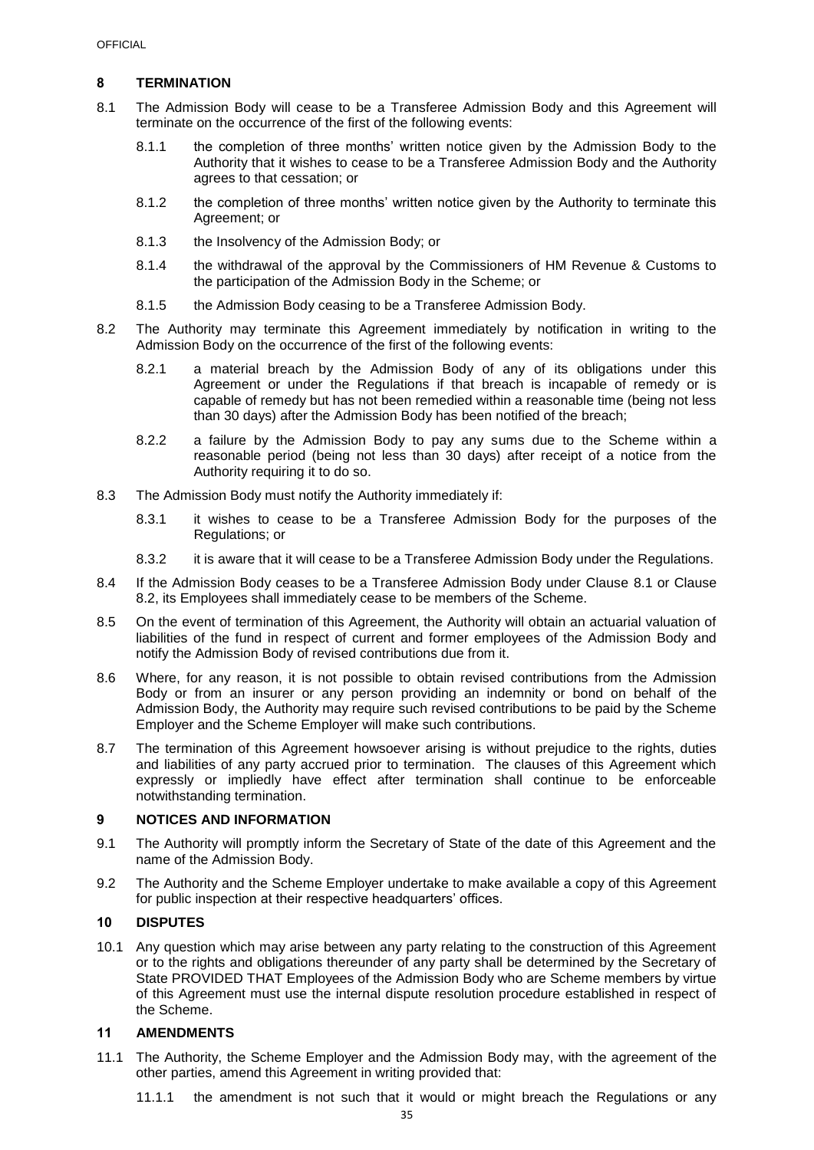## **8 TERMINATION**

- <span id="page-36-0"></span>8.1 The Admission Body will cease to be a Transferee Admission Body and this Agreement will terminate on the occurrence of the first of the following events:
	- 8.1.1 the completion of three months' written notice given by the Admission Body to the Authority that it wishes to cease to be a Transferee Admission Body and the Authority agrees to that cessation; or
	- 8.1.2 the completion of three months' written notice given by the Authority to terminate this Agreement; or
	- 8.1.3 the Insolvency of the Admission Body; or
	- 8.1.4 the withdrawal of the approval by the Commissioners of HM Revenue & Customs to the participation of the Admission Body in the Scheme; or
	- 8.1.5 the Admission Body ceasing to be a Transferee Admission Body.
- <span id="page-36-1"></span>8.2 The Authority may terminate this Agreement immediately by notification in writing to the Admission Body on the occurrence of the first of the following events:
	- 8.2.1 a material breach by the Admission Body of any of its obligations under this Agreement or under the Regulations if that breach is incapable of remedy or is capable of remedy but has not been remedied within a reasonable time (being not less than 30 days) after the Admission Body has been notified of the breach;
	- 8.2.2 a failure by the Admission Body to pay any sums due to the Scheme within a reasonable period (being not less than 30 days) after receipt of a notice from the Authority requiring it to do so.
- 8.3 The Admission Body must notify the Authority immediately if:
	- 8.3.1 it wishes to cease to be a Transferee Admission Body for the purposes of the Regulations; or
	- 8.3.2 it is aware that it will cease to be a Transferee Admission Body under the Regulations.
- 8.4 If the Admission Body ceases to be a Transferee Admission Body under Clause [8.1](#page-36-0) or Clause [8.2,](#page-36-1) its Employees shall immediately cease to be members of the Scheme.
- 8.5 On the event of termination of this Agreement, the Authority will obtain an actuarial valuation of liabilities of the fund in respect of current and former employees of the Admission Body and notify the Admission Body of revised contributions due from it.
- 8.6 Where, for any reason, it is not possible to obtain revised contributions from the Admission Body or from an insurer or any person providing an indemnity or bond on behalf of the Admission Body, the Authority may require such revised contributions to be paid by the Scheme Employer and the Scheme Employer will make such contributions.
- 8.7 The termination of this Agreement howsoever arising is without prejudice to the rights, duties and liabilities of any party accrued prior to termination. The clauses of this Agreement which expressly or impliedly have effect after termination shall continue to be enforceable notwithstanding termination.

## **9 NOTICES AND INFORMATION**

- 9.1 The Authority will promptly inform the Secretary of State of the date of this Agreement and the name of the Admission Body.
- 9.2 The Authority and the Scheme Employer undertake to make available a copy of this Agreement for public inspection at their respective headquarters' offices.

## **10 DISPUTES**

10.1 Any question which may arise between any party relating to the construction of this Agreement or to the rights and obligations thereunder of any party shall be determined by the Secretary of State PROVIDED THAT Employees of the Admission Body who are Scheme members by virtue of this Agreement must use the internal dispute resolution procedure established in respect of the Scheme.

#### **11 AMENDMENTS**

- 11.1 The Authority, the Scheme Employer and the Admission Body may, with the agreement of the other parties, amend this Agreement in writing provided that:
	- 11.1.1 the amendment is not such that it would or might breach the Regulations or any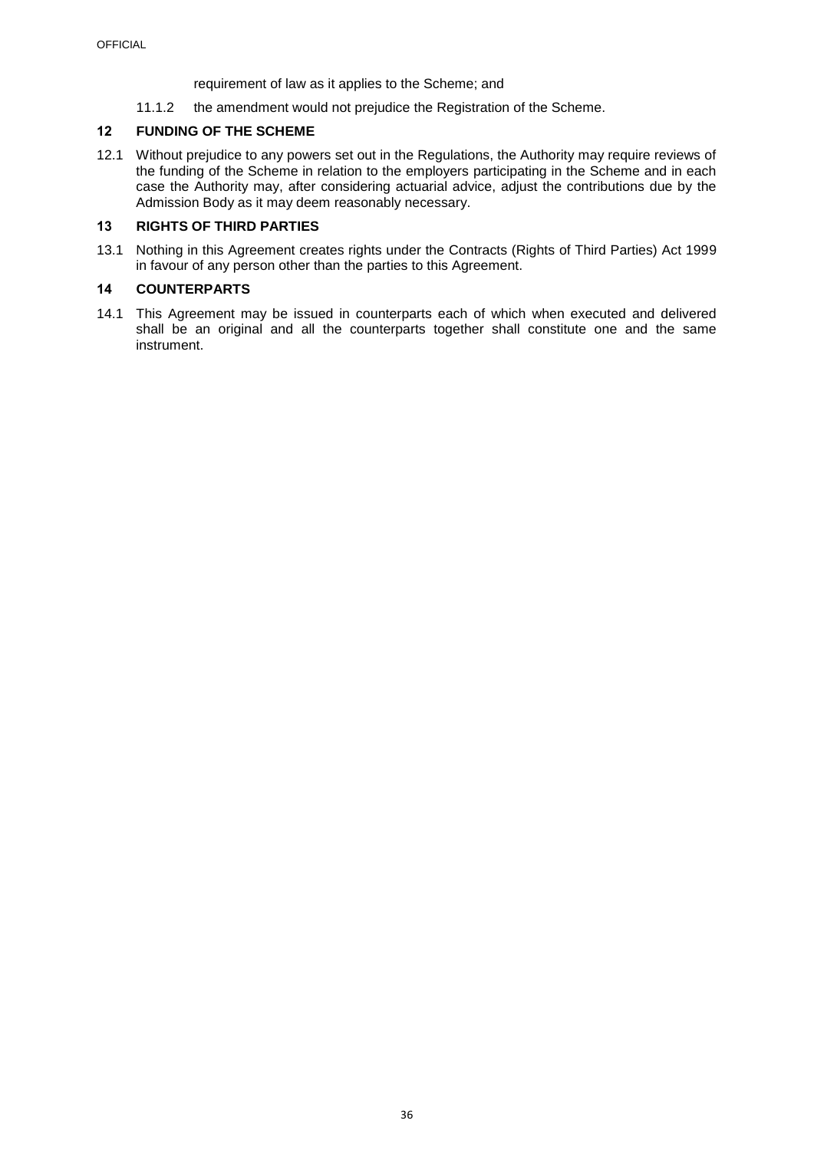requirement of law as it applies to the Scheme; and

11.1.2 the amendment would not prejudice the Registration of the Scheme.

## <span id="page-37-0"></span>**12 FUNDING OF THE SCHEME**

12.1 Without prejudice to any powers set out in the Regulations, the Authority may require reviews of the funding of the Scheme in relation to the employers participating in the Scheme and in each case the Authority may, after considering actuarial advice, adjust the contributions due by the Admission Body as it may deem reasonably necessary.

## **13 RIGHTS OF THIRD PARTIES**

13.1 Nothing in this Agreement creates rights under the Contracts (Rights of Third Parties) Act 1999 in favour of any person other than the parties to this Agreement.

## **14 COUNTERPARTS**

14.1 This Agreement may be issued in counterparts each of which when executed and delivered shall be an original and all the counterparts together shall constitute one and the same instrument.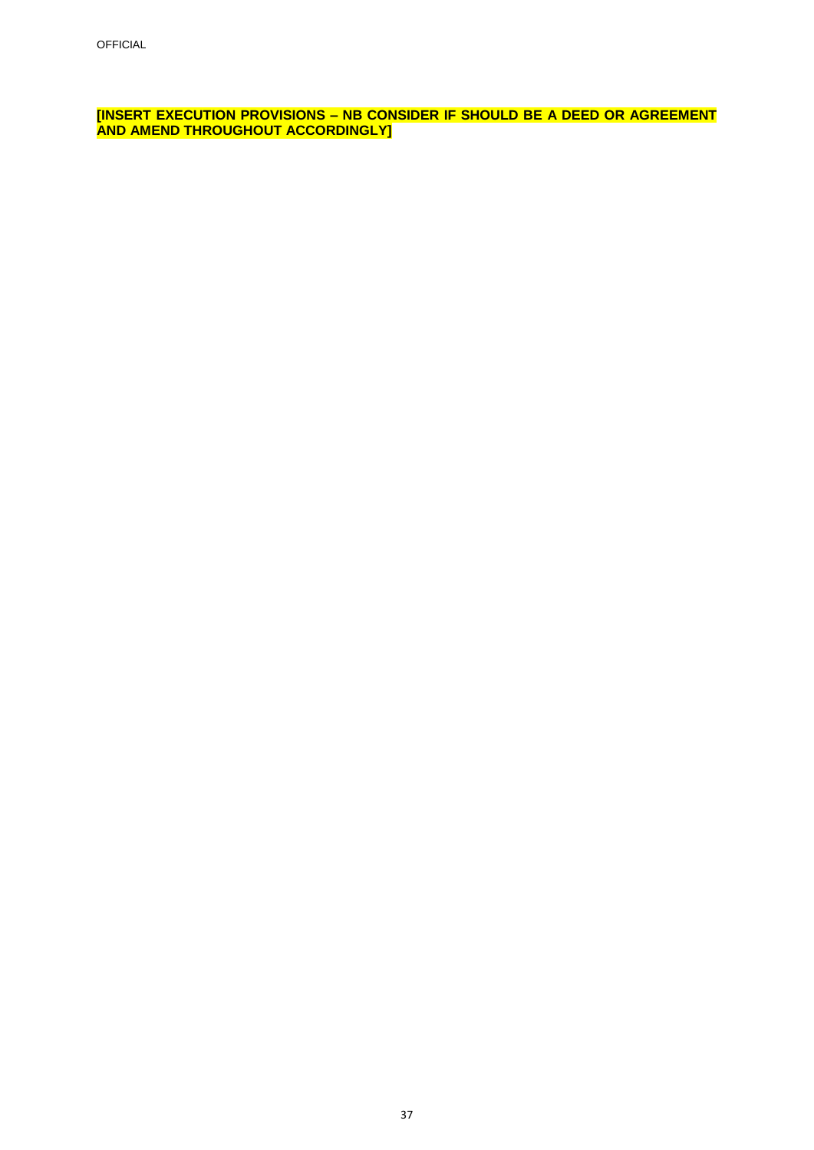**[INSERT EXECUTION PROVISIONS – NB CONSIDER IF SHOULD BE A DEED OR AGREEMENT AND AMEND THROUGHOUT ACCORDINGLY]**